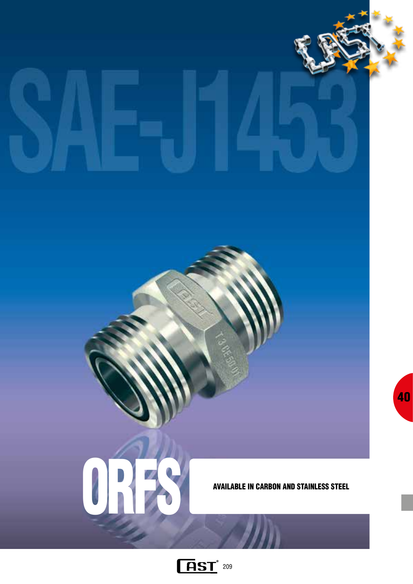

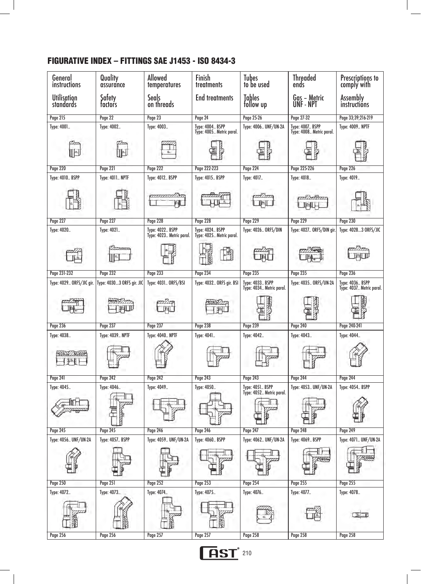# FIGURATIVE INDEX – FITTINGS SAE J1453 - ISO 8434-3

| General<br>instructions  | Quality<br>assurance      | Allowed<br>temperatures                     | Finish<br>treatments                               | <b>Tubes</b><br>to be used                  | <b>Threaded</b><br>ends                     | Prescriptions to<br>comply with                    |
|--------------------------|---------------------------|---------------------------------------------|----------------------------------------------------|---------------------------------------------|---------------------------------------------|----------------------------------------------------|
| Utilisation<br>standards | Safety<br>tactors         | Seals<br>on threads                         | <b>End treatments</b>                              | Tables<br>follow up                         | Gas – Metric<br>UNF - NPT                   | <b>Assembly</b><br>instructions                    |
| Page 215                 | Page 22                   | Page 23                                     | Page 24                                            | Page 25-26                                  | Page 27-32                                  | Page 33;39;216-219                                 |
| Type: 4001               | Type: 4002                | Type: 4003                                  | <b>Type: 4004 BSPP</b><br>Type: 4005 Metric paral. | Type: 4006 UNF/UN-2A                        | Type: 4007 BSPP<br>Type: 4008 Metric paral. | <b>Type: 4009 NPTF</b>                             |
|                          |                           |                                             |                                                    |                                             |                                             |                                                    |
| <b>Page 220</b>          | Page 221                  | <b>Page 222</b>                             | Page 222-223                                       | Page 224                                    | Page 225-226                                | Page 226                                           |
| Type: 4010 BSPP          | <b>Type: 4011 NPTF</b>    | Type: 4012 BSPP                             | Type: 4015 BSPP                                    | Type: 4017                                  | Type: 4018                                  | Type: 4019                                         |
|                          |                           |                                             |                                                    |                                             |                                             |                                                    |
| <b>Page 227</b>          | <b>Page 227</b>           | <b>Page 228</b>                             | <b>Page 228</b>                                    | <b>Page 229</b>                             | <b>Page 229</b>                             | Page 230                                           |
| Type: 4020               | Type: 4021                | Type: 4022 BSPP<br>Type: 4023 Metric paral. | Type: 4024 BSPP<br>Type: 4025 Metric paral.        | Type: 4026 ORFS/DIN                         | Type: 4027 ORFS/DIN gir.                    | Type: 40283 ORFS/JIC                               |
|                          |                           |                                             |                                                    |                                             |                                             |                                                    |
| Page 231-232             | <b>Page 232</b>           | <b>Page 233</b>                             | <b>Page 234</b>                                    | <b>Page 235</b>                             | <b>Page 235</b>                             | <b>Page 236</b>                                    |
| Type: 4029 ORFS/JIC gir. | Type: 40303 ORFS gir. JIC | Type: 4031 ORFS/BSI                         | Type: 4032 ORFS gir. BSI                           | Type: 4033 BSPP<br>Type: 4034 Metric paral. | Type: 4035 ORFS/UN-2A                       | <b>Type: 4036 BSPP</b><br>Type: 4037 Metric paral. |
|                          |                           |                                             |                                                    |                                             |                                             |                                                    |
| <b>Page 236</b>          | <b>Page 237</b>           | <b>Page 237</b>                             | <b>Page 238</b>                                    | <b>Page 239</b>                             | <b>Page 240</b>                             | Page 240-241                                       |
| Type: 4038               | <b>Type: 4039 NPTF</b>    | <b>Type: 4040 NPTF</b>                      | Type: 4041                                         | Туре: 4042                                  | Туре: 4043                                  | Type: 4044                                         |
|                          |                           |                                             |                                                    |                                             |                                             |                                                    |
| <b>Page 241</b>          | <b>Page 242</b>           | <b>Page 242</b>                             | <b>Page 243</b>                                    | <b>Page 243</b>                             | <b>Page 244</b>                             | <b>Page 244</b>                                    |
| Type: 4045               | Туре: 4046                | Type: 4049                                  | Туре: 4050                                         | Type: 4051 BSPP<br>Type: 4052 Metric paral. | Type: 4053 UNF/UN-2A                        | <b>Type: 4054 BSPP</b>                             |
|                          |                           |                                             |                                                    |                                             |                                             |                                                    |
| Page 245                 | <b>Page 245</b>           | <b>Page 246</b>                             | <b>Page 246</b>                                    | <b>Page 247</b>                             | <b>Page 248</b>                             | <b>Page 249</b>                                    |
| Type: 4056 UNF/UN-2A     | <b>Type: 4057 BSPP</b>    | Type: 4059 UNF/UN-2A                        | <b>Type: 4060 BSPP</b>                             | Type: 4062 UNF/UN-2A                        | Type: 4069 BSPP                             | Type: 4071 UNF/UN-2A                               |
|                          |                           |                                             |                                                    |                                             |                                             |                                                    |
| <b>Page 250</b>          | <b>Page 251</b>           | <b>Page 252</b>                             | <b>Page 253</b>                                    | <b>Page 254</b>                             | <b>Page 255</b>                             | <b>Page 255</b>                                    |
| Type: 4072               | Type: 4073                | Type: 4074                                  | Type: 4075                                         | Type: 4076                                  | Type: 4077                                  | Type: 4078                                         |
|                          |                           |                                             |                                                    |                                             |                                             |                                                    |
| <b>Page 256</b>          | <b>Page 256</b>           | Page 257                                    | <b>Page 257</b>                                    | <b>Page 258</b>                             | <b>Page 258</b>                             | <b>Page 258</b>                                    |

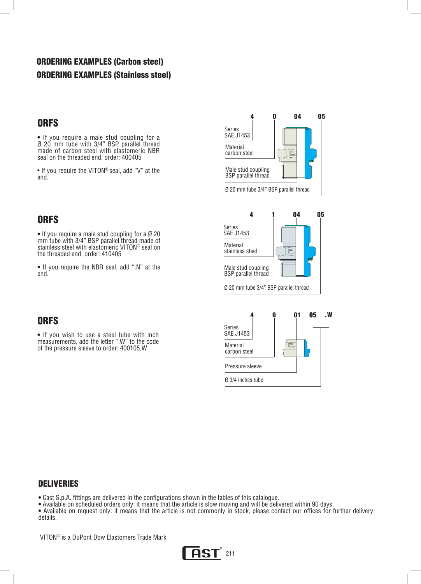# ORDERING EXAMPLES (Carbon steel) ORDERING EXAMPLES (Stainless steel)

## **ORFS**

**•** If you require a male stud coupling for a Ø 20 mm tube with 3/4" BSP parallel thread made of carbon steel with elastomeric NBR seal on the threaded end, order: 400405

• If you require the VITON® seal, add "V" at the end.

# ORFS

**•** If you require a male stud coupling for a Ø 20 mm tube with 3/4" BSP parallel thread made of stainless steel with elastomeric VITON® seal on the threaded end, order: 410405

**•** If you require the NBR seal, add ".N" at the end.





# **ORFS**

**•** If you wish to use a steel tube with inch measurements, add the letter ".W" to the code of the pressure sleeve to order: 400105.W



#### DELIVERIES

**•** Cast S.p.A. fittings are delivered in the configurations shown in the tables of this catalogue.

**•** Available on scheduled orders only: it means that the article is slow moving and will be delivered within 90 days.

**•** Available on request only: it means that the article is not commonly in stock; please contact our offices for further delivery details.

VITON® is a DuPont Dow Elastomers Trade Mark

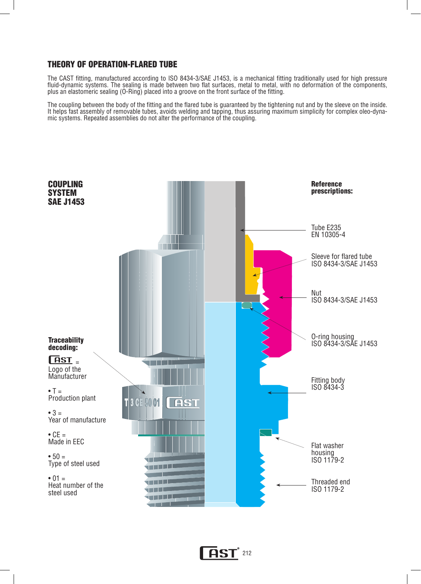#### THEORY OF OPERATION-FLARED TUBE

The CAST fitting, manufactured according to ISO 8434-3/SAE J1453, is a mechanical fitting traditionally used for high pressure fluid-dynamic systems. The sealing is made between two flat surfaces, metal to metal, with no deformation of the components, plus an elastomeric sealing (O-Ring) placed into a groove on the front surface of the fitting.

The coupling between the body of the fitting and the flared tube is guaranteed by the tightening nut and by the sleeve on the inside. It helps fast assembly of removable tubes, avoids welding and tapping, thus assuring maximum simplicity for complex oleo-dynamic systems. Repeated assemblies do not alter the performance of the coupling.



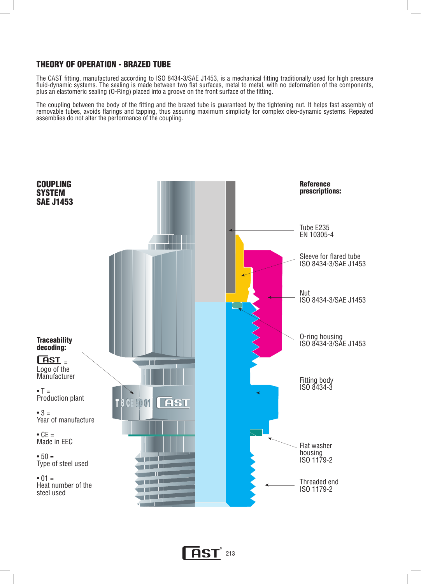#### THEORY OF OPERATION - BRAZED TUBE

The CAST fitting, manufactured according to ISO 8434-3/SAE J1453, is a mechanical fitting traditionally used for high pressure fluid-dynamic systems. The sealing is made between two flat surfaces, metal to metal, with no deformation of the components, plus an elastomeric sealing (O-Ring) placed into a groove on the front surface of the fitting.

The coupling between the body of the fitting and the brazed tube is guaranteed by the tightening nut. It helps fast assembly of removable tubes, avoids flarings and tapping, thus assuring maximum simplicity for complex oleo-dynamic systems. Repeated assemblies do not alter the performance of the coupling.



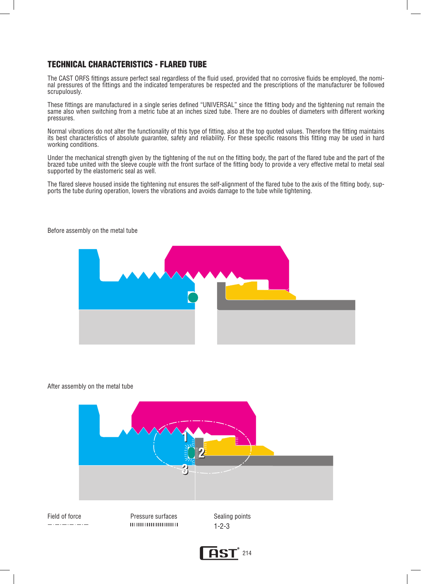## TECHNICAL CHARACTERISTICS - FLARED TUBE

The CAST ORFS fittings assure perfect seal regardless of the fluid used, provided that no corrosive fluids be employed, the nominal pressures of the fittings and the indicated temperatures be respected and the prescriptions of the manufacturer be followed scrupulously.

These fittings are manufactured in a single series defined "UNIVERSAL" since the fitting body and the tightening nut remain the same also when switching from a metric tube at an inches sized tube. There are no doubles of diameters with different working pressures.

Normal vibrations do not alter the functionality of this type of fitting, also at the top quoted values. Therefore the fitting maintains its best characteristics of absolute guarantee, safety and reliability. For these specific reasons this fitting may be used in hard working conditions.

Under the mechanical strength given by the tightening of the nut on the fitting body, the part of the flared tube and the part of the brazed tube united with the sleeve couple with the front surface of the fitting body to provide a very effective metal to metal seal supported by the elastomeric seal as well.

The flared sleeve housed inside the tightening nut ensures the self-alignment of the flared tube to the axis of the fitting body, supports the tube during operation, lowers the vibrations and avoids damage to the tube while tightening.



Before assembly on the metal tube

#### After assembly on the metal tube



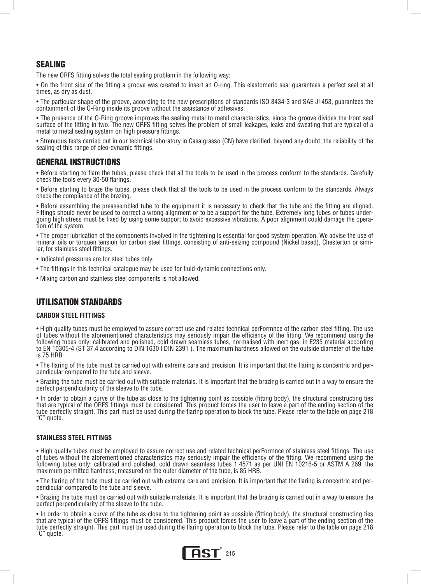## SEALING

The new ORFS fitting solves the total sealing problem in the following way:

• On the front side of the fitting a groove was created to insert an O-ring. This elastomeric seal guarantees a perfect seal at all times, as dry as dust.

• The particular shape of the groove, according to the new prescriptions of standards ISO 8434-3 and SAE J1453, guarantees the containment of the O-Ring inside its groove without the assistance of adhesives.

• The presence of the O-Ring groove improves the sealing metal to metal characteristics, since the groove divides the front seal surface of the fitting in two. The new ORFS fitting solves the problem of small leakages, leaks and sweating that are typical of a metal to metal sealing system on high pressure fittings.

• Strenuous tests carried out in our technical laboratory in Casalgrasso (CN) have clarified, beyond any doubt, the reliability of the sealing of this range of oleo-dynamic fittings.

#### GENERAL INSTRUCTIONS

• Before starting to flare the tubes, please check that all the tools to be used in the process conform to the standards. Carefully check the tools every 30-50 flarings.

• Before starting to braze the tubes, please check that all the tools to be used in the process conform to the standards. Always check the compliance of the brazing.

• Before assembling the preassembled tube to the equipment it is necessary to check that the tube and the fitting are aligned. Fittings should never be used to correct a wrong alignment or to be a support for the tube. Extremely long tubes or tubes undergoing high stress must be fixed by using some support to avoid excessive vibrations. A poor alignment could damage the operation of the system.

• The proper lubrication of the components involved in the tightening is essential for good system operation. We advise the use of mineral oils or torquen tension for carbon steel fittings, consisting of anti-seizing compound (Nickel based), Chesterton or similar, for stainless steel fittings.

• Indicated pressures are for steel tubes only.

- The fittings in this technical catalogue may be used for fluid-dynamic connections only.
- Mixing carbon and stainless steel components is not allowed.

#### UTILISATION STANDARDS

#### **CARBON STEEL FITTINGS**

• High quality tubes must be employed to assure correct use and related technical perFormnce of the carbon steel fitting. The use of tubes without the aforementioned characteristics may seriously impair the efficiency of the fitting. We recommend using the following tubes only: calibrated and polished, cold drawn seamless tubes, normalised with inert gas, in E235 material according to EN 10305-4 (ST 37.4 according to DIN 1630 l DIN 2391 ). The maximum hardness allowed on the outside diameter of the tube is 75 HRB.

• The flaring of the tube must be carried out with extreme care and precision. It is important that the flaring is concentric and per- pendicular compared to the tube and sleeve.

• Brazing the tube must be carried out with suitable materials. It is important that the brazing is carried out in a way to ensure the perfect perpendicularity of the sleeve to the tube.

• In order to obtain a curve of the tube as close to the tightening point as possible (fitting body), the structural constructing ties that are typical of the ORFS fittings must be considered. This product forces the user to leave a part of the ending section of the tube perfectly straight. This part must be used during the flaring operation to block the tube. Please refer to the table on page 218 "C" quote.

#### **STAINLESS STEEL FITTINGS**

• High quality tubes must be employed to assure correct use and related technical perFormnce of stainless steel fittings. The use of tubes without the aforementioned characteristics may seriously impair the efficiency of the fitting. We recommend using the following tubes only: calibrated and polished, cold drawn seamless tubes 1.4571 as per UNI EN 10216-5 or ASTM A 269; the maximum permitted hardness, measured on the outer diameter of the tube, is 85 HRB.

• The flaring of the tube must be carried out with extreme care and precision. It is important that the flaring is concentric and perpendicular compared to the tube and sleeve.

• Brazing the tube must be carried out with suitable materials. It is important that the brazing is carried out in a way to ensure the perfect perpendicularity of the sleeve to the tube.

• In order to obtain a curve of the tube as close to the tightening point as possible (fitting body), the structural constructing ties that are typical of the ORFS fittings must be considered. This product forces the user to leave a part of the ending section of the tube perfectly straight. This part must be used during the flaring operation to block the tube. Please refer to the table on page 218 "C" quote.

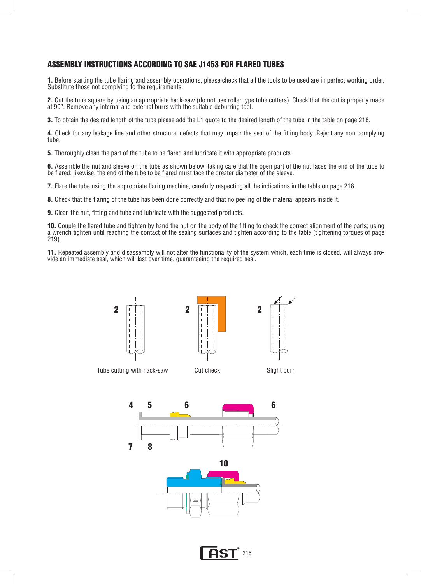## ASSEMBLY INSTRUCTIONS ACCORDING TO SAE J1453 FOR FLARED TUBES

**1.** Before starting the tube flaring and assembly operations, please check that all the tools to be used are in perfect working order. Substitute those not complying to the requirements.

**2.** Cut the tube square by using an appropriate hack-saw (do not use roller type tube cutters). Check that the cut is properly made at 90°. Remove any internal and external burrs with the suitable deburring tool.

**3.** To obtain the desired length of the tube please add the L1 quote to the desired length of the tube in the table on page 218.

**4.** Check for any leakage line and other structural defects that may impair the seal of the fitting body. Reject any non complying tube.

**5.** Thoroughly clean the part of the tube to be flared and lubricate it with appropriate products.

**6.** Assemble the nut and sleeve on the tube as shown below, taking care that the open part of the nut faces the end of the tube to be flared; likewise, the end of the tube to be flared must face the greater diameter of the sleeve.

**7.** Flare the tube using the appropriate flaring machine, carefully respecting all the indications in the table on page 218.

**8.** Check that the flaring of the tube has been done correctly and that no peeling of the material appears inside it.

**9.** Clean the nut, fitting and tube and lubricate with the suggested products.

**10.** Couple the flared tube and tighten by hand the nut on the body of the fitting to check the correct alignment of the parts; using a wrench tighten until reaching the contact of the sealing surfaces and tighten according to the table (tightening torques of page 219).

**11.** Repeated assembly and disassembly will not alter the functionality of the system which, each time is closed, will always provide an immediate seal, which will last over time, guaranteeing the required seal.



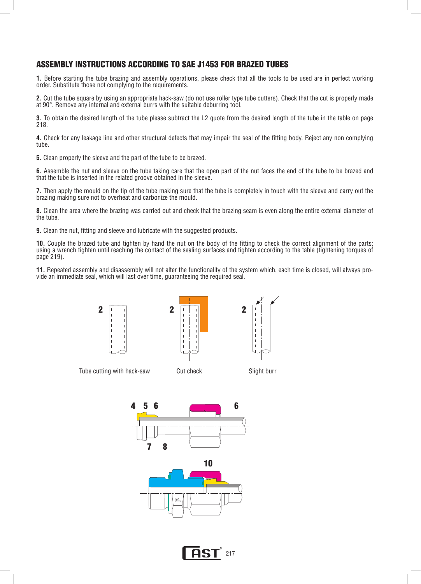#### ASSEMBLY INSTRUCTIONS ACCORDING TO SAE J1453 FOR BRAZED TUBES

**1.** Before starting the tube brazing and assembly operations, please check that all the tools to be used are in perfect working order. Substitute those not complying to the requirements.

**2.** Cut the tube square by using an appropriate hack-saw (do not use roller type tube cutters). Check that the cut is properly made at 90°. Remove any internal and external burrs with the suitable deburring tool.

**3.** To obtain the desired length of the tube please subtract the L2 quote from the desired length of the tube in the table on page 218.

**4.** Check for any leakage line and other structural defects that may impair the seal of the fitting body. Reject any non complying tube.

**5.** Clean properly the sleeve and the part of the tube to be brazed.

**6.** Assemble the nut and sleeve on the tube taking care that the open part of the nut faces the end of the tube to be brazed and that the tube is inserted in the related groove obtained in the sleeve.

**7.** Then apply the mould on the tip of the tube making sure that the tube is completely in touch with the sleeve and carry out the brazing making sure not to overheat and carbonize the mould.

**8.** Clean the area where the brazing was carried out and check that the brazing seam is even along the entire external diameter of the tube.

**9.** Clean the nut, fitting and sleeve and lubricate with the suggested products.

**10.** Couple the brazed tube and tighten by hand the nut on the body of the fitting to check the correct alignment of the parts; using a wrench tighten until reaching the contact of the sealing surfaces and tighten according to the table (tightening torques of page 219).

**11.** Repeated assembly and disassembly will not alter the functionality of the system which, each time is closed, will always provide an immediate seal, which will last over time, guaranteeing the required seal.



Tube cutting with hack-saw Cut check Slight burr





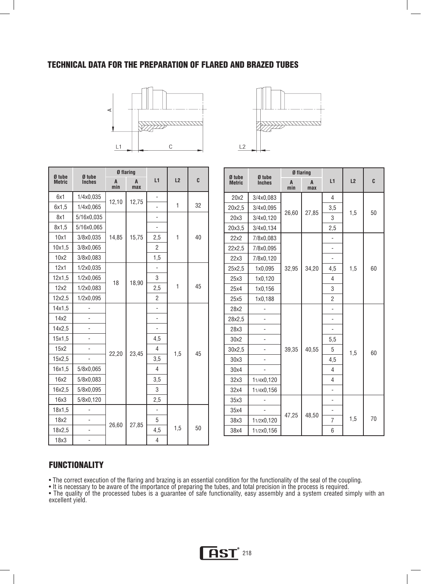#### TECHNICAL DATA FOR THE PREPARATION OF FLARED AND BRAZED TUBES





| Ø tube        | Ø flaring<br>Ø tube |          |          |                          |     |    |
|---------------|---------------------|----------|----------|--------------------------|-----|----|
| <b>Metric</b> | <b>Inches</b>       | A<br>min | A<br>max | L1                       | L2  | C  |
| 6x1           | 1/4x0,035           |          | 12,75    |                          |     |    |
| 6x1,5         | 1/4x0,065           | 12,10    |          |                          | 1   | 32 |
| 8x1           | 5/16x0,035          |          |          |                          |     |    |
| 8x1,5         | 5/16x0,065          |          |          |                          |     |    |
| 10x1          | 3/8x0,035           | 14,85    | 15,75    | 2,5                      | 1   | 40 |
| 10x1,5        | 3/8x0,065           |          |          | $\overline{2}$           |     |    |
| 10x2          | 3/8x0,083           |          |          | 1,5                      |     |    |
| 12x1          | 1/2x0,035           |          |          |                          |     |    |
| 12x1,5        | 1/2x0,065           | 18       | 18,90    | 3                        |     |    |
| 12x2          | 1/2x0,083           |          |          | 2,5                      | 1   | 45 |
| 12x2,5        | 1/2x0,095           |          |          | $\overline{2}$           |     |    |
| 14x1,5        |                     |          |          |                          |     |    |
| 14x2          |                     |          |          | $\overline{\phantom{0}}$ |     |    |
| 14x2,5        |                     |          |          |                          |     |    |
| 15x1,5        | ÷,                  |          |          | 4,5                      |     |    |
| 15x2          |                     | 22,20    | 23,45    | $\overline{4}$           | 1,5 | 45 |
| 15x2,5        |                     |          |          | 3,5                      |     |    |
| 16x1,5        | 5/8x0,065           |          |          | 4                        |     |    |
| 16x2          | 5/8x0,083           |          |          | 3,5                      |     |    |
| 16x2,5        | 5/8x0,095           |          |          | 3                        |     |    |
| 16x3          | 5/8x0,120           |          |          | 2,5                      |     |    |
| 18x1,5        |                     |          |          |                          |     |    |
| 18x2          |                     |          |          | 5                        |     |    |
| 18x2,5        |                     | 26,60    | 27,85    | 4,5                      | 1,5 | 50 |
| 18x3          |                     |          |          | 4                        |     |    |

| Ø tube        | Ø tube        |          | Ø flaring |                |     |    |
|---------------|---------------|----------|-----------|----------------|-----|----|
| <b>Metric</b> | <b>Inches</b> | A<br>min | A<br>max  | L1             | L2  | C  |
| 20x2          | 3/4x0,083     |          |           | 4              |     |    |
| 20x2,5        | 3/4x0,095     | 26,60    | 27,85     | 3,5            | 1,5 | 50 |
| 20x3          | 3/4x0,120     |          |           | 3              |     |    |
| 20x3,5        | 3/4x0,134     |          |           | 2,5            |     |    |
| 22x2          | 7/8x0,083     |          |           |                |     |    |
| 22x2,5        | 7/8x0,095     |          |           |                |     |    |
| 22x3          | 7/8x0,120     |          |           |                |     |    |
| 25x2,5        | 1x0,095       | 32,95    | 34,20     | 4,5            | 1,5 | 60 |
| 25x3          | 1x0,120       |          |           | 4              |     |    |
| 25x4          | 1x0,156       |          |           | 3              |     |    |
| 25x5          | 1x0,188       |          |           | $\overline{2}$ |     |    |
| 28x2          |               |          |           |                |     |    |
| 28x2,5        |               |          |           |                |     |    |
| 28x3          |               |          |           |                |     |    |
| 30x2          |               |          |           | 5,5            |     |    |
| 30x2,5        |               | 39,35    | 40,55     | 5              | 1,5 | 60 |
| 30x3          |               |          |           | 4,5            |     |    |
| 30x4          |               |          |           | 4              |     |    |
| 32x3          | 11/4x0,120    |          |           | 4              |     |    |
| 32x4          | 11/4x0,156    |          |           | ٠              |     |    |
| 35x3          |               |          |           |                |     |    |
| 35x4          |               |          |           |                |     |    |
| 38x3          | 11/2x0,120    | 47,25    | 48,50     | $\overline{7}$ | 1,5 | 70 |
| 38x4          | 11/2x0,156    |          |           | 6              |     |    |

#### **FUNCTIONALITY**

• The correct execution of the flaring and brazing is an essential condition for the functionality of the seal of the coupling.

• It is necessary to be aware of the importance of preparing the tubes, and total precision in the process is required.

• The quality of the processed tubes is a guarantee of safe functionality, easy assembly and a system created simply with an excellent yield.

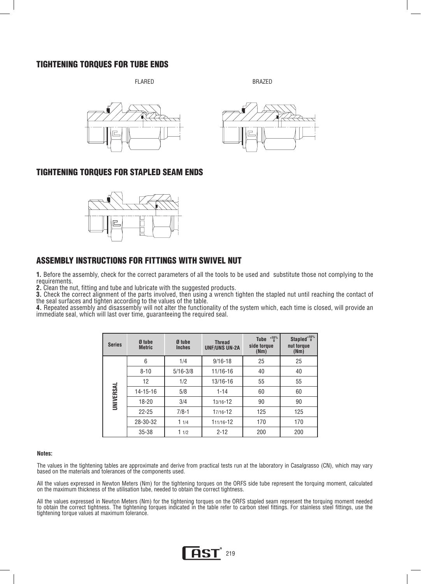#### TIGHTENING TORQUES FOR TUBE ENDS

FLARED BRAZED





#### TIGHTENING TORQUES FOR STAPLED SEAM ENDS



#### ASSEMBLY INSTRUCTIONS FOR FITTINGS WITH SWIVEL NUT

**1.** Before the assembly, check for the correct parameters of all the tools to be used and substitute those not complying to the requirements.

**2.** Clean the nut, fitting and tube and lubricate with the suggested products.

**3.** Check the correct alignment of the parts involved, then using a wrench tighten the stapled nut until reaching the contact of the seal surfaces and tighten according to the values of the table.

**4.** Repeated assembly and disassembly will not alter the functionality of the system which, each time is closed, will provide an immediate seal, which will last over time, guaranteeing the required seal.

| <b>Series</b>    | Ø tube<br><b>Metric</b> | Ø tube<br><b>Inches</b> | <b>Thread</b><br><b>UNF/UNS UN-2A</b> | $^{+10\%}_{0}$<br><b>Tube</b><br>side torque<br>(Nm) | Stapled <sup>+10%</sup><br>nut torque<br>(Nm) |
|------------------|-------------------------|-------------------------|---------------------------------------|------------------------------------------------------|-----------------------------------------------|
|                  | 6                       | 1/4                     | $9/16 - 18$                           | 25                                                   | 25                                            |
|                  | $8 - 10$                | $5/16 - 3/8$            | 11/16-16                              | 40                                                   | 40                                            |
|                  | 12                      | 1/2                     | 13/16-16                              | 55                                                   | 55                                            |
| <b>UNIVERSAL</b> | $14 - 15 - 16$          | 5/8                     | $1 - 14$                              | 60                                                   | 60                                            |
|                  | 18-20                   | 3/4                     | $13/16 - 12$                          | 90                                                   | 90                                            |
|                  | $22 - 25$               | $7/8 - 1$               | 17/16-12                              | 125                                                  | 125                                           |
|                  | 28-30-32<br>11/4        |                         | 111/16-12                             | 170                                                  | 170                                           |
|                  | $35 - 38$               | 11/2                    | $2 - 12$                              | 200                                                  | 200                                           |

#### **Notes:**

The values in the tightening tables are approximate and derive from practical tests run at the laboratory in Casalgrasso (CN), which may vary based on the materials and tolerances of the components used.

All the values expressed in Newton Meters (Nm) for the tightening torques on the ORFS side tube represent the torquing moment, calculated on the maximum thickness of the utilisation tube, needed to obtain the correct tightness.

All the values expressed in Newton Meters (Nm) for the tightening torques on the ORFS stapled seam represent the torquing moment needed to obtain the correct tightness. The tightening torques indicated in the table refer to carbon steel fittings. For stainless steel fittings, use the tightening torque values at maximum tolerance.

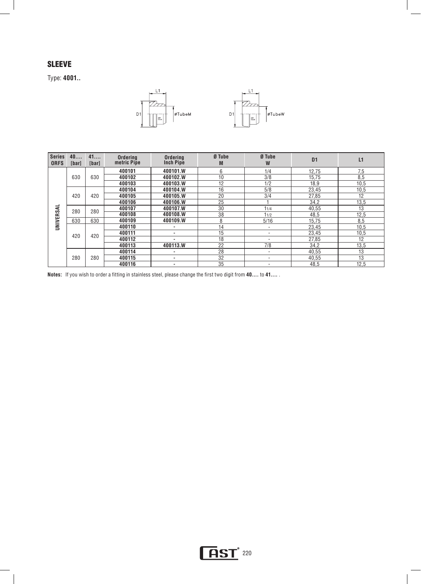## **SLEEVE**

Type: **4001..**



| <b>Series</b><br><b>ORFS</b> | 40<br><b>[bar]</b> | 41<br>[bar] | Ordering<br>metric Pipe | <b>Ordering</b><br><b>Inch Pipe</b> | Ø Tube<br>M | Ø Tube<br>W              | D <sub>1</sub> | L1   |
|------------------------------|--------------------|-------------|-------------------------|-------------------------------------|-------------|--------------------------|----------------|------|
|                              |                    |             | 400101                  | 400101.W                            | 6           | 1/4                      | 12,75          | 7,5  |
|                              | 630                | 630         | 400102                  | 400102.W                            | 10          | 3/8                      | 15.75          | 8,5  |
|                              |                    |             | 400103                  | 400103.W                            | 12          | 1/2                      | 18,9           | 10,5 |
|                              |                    |             | 400104                  | 400104.W                            | 16          | 5/8                      | 23,45          | 10,5 |
|                              | 420                | 420         | 400105                  | 400105.W                            | 20          | 3/4                      | 27,85          | 12   |
|                              |                    |             | 400106                  | 400106.W                            | 25          |                          | 34,2           | 13,5 |
|                              | 280                | 280         | 400107                  | 400107.W                            | 30          | 11/4                     | 40,55          | 13   |
|                              |                    |             | 400108                  | 400108.W                            | 38          | 11/2                     | 48,5           | 12,5 |
| UNIVERSAL                    | 630                | 630         | 400109                  | 400109.W                            | 8           | 5/16                     | 15.75          | 8,5  |
|                              |                    |             | 400110                  | ۰                                   | 14          |                          | 23,45          | 10,5 |
|                              | 420                | 420         | 400111                  | ۰                                   | 15          |                          | 23,45          | 10,5 |
|                              |                    |             | 400112                  | ۰                                   | 18          |                          | 27,85          | 12   |
|                              |                    |             | 400113                  | 400113.W                            | 22          | 7/8                      | 34,2           | 13,5 |
|                              |                    |             | 400114                  | ۰                                   | 28          | $\overline{\phantom{a}}$ | 40,55          | 13   |
|                              | 280                | 280         | 400115                  | ٠                                   | 32          |                          | 40,55          | 13   |
|                              |                    |             | 400116                  | ۰                                   | 35          |                          | 48,5           | 12.5 |

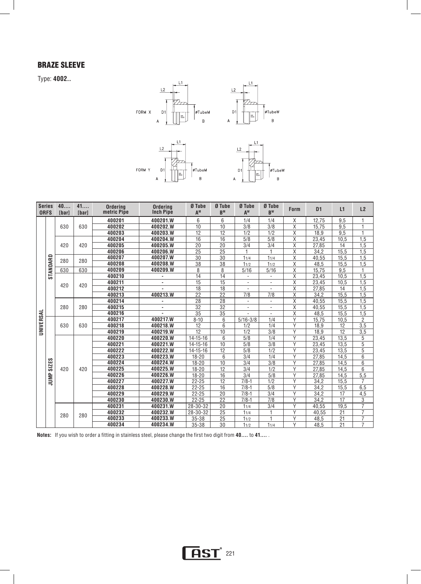## Braze Sleeve

Type: **4002..**



| <b>ORFS</b> | <b>Series</b>     | 40<br><b>[bar]</b> | 41<br><b>[bar]</b> | <b>Ordering</b><br>metric Pipe | <b>Ordering</b><br><b>Inch Pipe</b> | Ø Tube<br>A <sup>M</sup> | Ø Tube<br>$B^{M}$ | Ø Tube<br>AW             | Ø Tube<br>$B^{W}$        | <b>Form</b>             | D <sub>1</sub> | L1   | L2               |
|-------------|-------------------|--------------------|--------------------|--------------------------------|-------------------------------------|--------------------------|-------------------|--------------------------|--------------------------|-------------------------|----------------|------|------------------|
|             |                   |                    |                    | 400201                         | 400201.W                            | 6                        | 6                 | 1/4                      | 1/4                      | X                       | 12.75          | 9,5  |                  |
|             |                   | 630                | 630                | 400202                         | 400202.W                            | 10                       | 10                | 3/8                      | 3/8                      | X                       | 15.75          | 9,5  | 1                |
|             |                   |                    |                    | 400203                         | 400203.W                            | 12                       | $\overline{12}$   | 1/2                      | 1/2                      | Χ                       | 18,9           | 9,5  | 1                |
|             |                   |                    |                    | 400204                         | 400204.W                            | 16                       | 16                | 5/8                      | 5/8                      | X                       | 23,45          | 10,5 | 1,5              |
|             |                   | 420                | 420                | 400205                         | 400205.W                            | 20                       | $\overline{20}$   | 3/4                      | 3/4                      | X                       | 27,85          | 14   | 1,5              |
|             |                   |                    |                    | 400206                         | 400206.W                            | 25                       | 25                | 1                        | 1                        | Χ                       | 34.2           | 15.5 | 1.5              |
|             |                   | 280                | 280                | 400207                         | 400207.W                            | 30                       | 30                | 11/4                     | 11/4                     | X                       | 40,55          | 15,5 | 1,5              |
|             | STANDARD          |                    |                    | 400208                         | 400208.W                            | $\overline{38}$          | 38                | 11/2                     | 11/2                     | X                       | 48,5           | 15,5 | 1,5              |
|             |                   | 630                | 630                | 400209                         | 400209.W                            | 8                        | 8                 | $\overline{5/16}$        | $\frac{5}{16}$           | $\overline{\mathsf{x}}$ | 15,75          | 9.5  |                  |
|             |                   |                    |                    | 400210                         |                                     | $\overline{14}$          | $\overline{14}$   | $\overline{\phantom{a}}$ | $\overline{\phantom{a}}$ | $\overline{\mathsf{x}}$ | 23.45          | 10.5 | 1,5              |
|             |                   | 420                | 420                | 400211                         |                                     | 15                       | 15                |                          |                          | $\overline{\mathsf{x}}$ | 23,45          | 10,5 | 1,5              |
|             |                   |                    |                    | 400212                         |                                     | 18                       | 18                |                          |                          | $\overline{\mathsf{x}}$ | 27,85          | 14   | 1,5              |
|             |                   |                    |                    | 400213                         | 400213.W                            | 22                       | 22                | 7/8                      | 7/8                      | $\overline{\mathsf{x}}$ | 34.2           | 15.5 | 1,5              |
|             |                   |                    |                    | 400214                         |                                     | 28                       | 28                | $\blacksquare$           | $\overline{\phantom{a}}$ | X                       | 40.55          | 15.5 | 1.5              |
|             |                   | 280                | 280                | 400215                         | $\sim$                              | 32                       | $\overline{32}$   | $\blacksquare$           | $\overline{\phantom{a}}$ | X                       | 40,55          | 15,5 | 1,5              |
|             |                   |                    |                    | 400216                         |                                     | 35                       | $\overline{35}$   |                          |                          | X                       | 48,5           | 15.5 | 1.5              |
| UNIVERSAL   |                   |                    |                    | 400217                         | 400217.W                            | $8 - 10$                 | 6                 | $5/16 - 3/8$             | 1/4                      | Υ                       | 15.75          | 10,5 | $\overline{2}$   |
|             |                   | 630                | 630                | 400218                         | 400218.W                            | 12                       | 6                 | 1/2                      | 1/4                      | γ                       | 18.9           | 12   | 3,5              |
|             |                   |                    |                    | 400219                         | 400219.W                            | 12                       | 10                | 1/2                      | 3/8                      | Y                       | 18.9           | 12   | 3,5              |
|             |                   |                    |                    | 400220                         | 400220.W                            | $14 - 15 - 16$           | 6                 | 5/8                      | 1/4                      | $\vee$                  | 23,45          | 13,5 | 5                |
|             |                   |                    |                    | 400221                         | 400221.W                            | 14-15-16                 | 10                | 5/8                      | 3/8                      | Y                       | 23,45          | 13,5 | 5                |
|             |                   |                    |                    | 400222                         | 400222.W                            | $14 - 15 - 16$           | 12                | 5/8                      | 1/2                      | Υ                       | 23.45          | 13.5 | 5                |
|             |                   |                    |                    | 400223                         | 400223.W                            | $18 - 20$                | 6                 | 3/4                      | 1/4                      | Υ                       | 27,85          | 14,5 | 6                |
|             | <b>SIZES</b>      |                    |                    | 400224                         | 400224.W                            | $18 - 20$                | 10                | $\overline{3/4}$         | 3/8                      | Υ                       | 27,85          | 14,5 | 6                |
|             |                   | 420                | 420                | 400225                         | 400225.W                            | $18 - 20$                | 12                | 3/4                      | 1/2                      | Υ                       | 27,85          | 14,5 | 6                |
|             | JUMP <sub>3</sub> |                    |                    | 400226                         | 400226.W                            | $18 - 20$                | 16                | 3/4                      | 5/8                      | γ                       | 27.85          | 14,5 | 5.5              |
|             |                   |                    |                    | 400227                         | 400227.W                            | $22 - 25$                | 12                | $7/8 - 1$                | 1/2                      | Υ                       | 34,2           | 15,5 | 7                |
|             |                   |                    |                    | 400228                         | 400228.W                            | $22 - 25$                | 16                | $7/8 - 1$                | 5/8                      | γ                       | 34,2           | 15,5 | 6.5              |
|             |                   |                    |                    | 400229                         | 400229.W                            | $22 - 25$                | 20                | $7/8-1$                  | 3/4                      | γ                       | 34.2           | 17   | $\overline{4,5}$ |
|             |                   |                    |                    | 400230                         | 400230.W                            | $22 - 25$                | 22                | $7/8 - 1$                | 7/8                      | Y                       | 34,2           | 17   | 3                |
|             |                   |                    |                    | 400231                         | 400231.W                            | 28-30-32                 | 20                | 11/4                     | $\overline{3/4}$         | Y                       | 40,55          | 19,5 | $\overline{7}$   |
|             |                   | 280                | 280                | 400232                         | 400232.W                            | 28-30-32                 | 25                | 11/4                     | $\overline{1}$           | $\overline{Y}$          | 40.55          | 21   | $\overline{7}$   |
|             |                   |                    |                    | 400233                         | 400233.W                            | 35-38                    | 25                | 11/2                     | $\mathbf{1}$             | Υ                       | 48.5           | 21   | $\overline{7}$   |
|             |                   |                    |                    | 400234                         | 400234.W                            | 35-38                    | 30                | 11/2                     | 11/4                     | Y                       | 48.5           | 21   | $\overline{7}$   |

**AST**<sup>221</sup>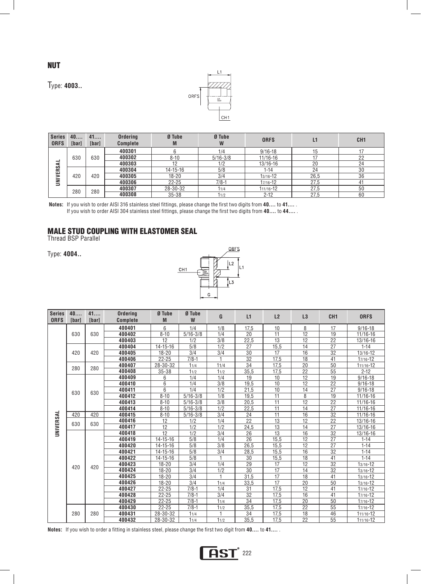

Type: **4003..**



| <b>Series</b><br><b>ORFS</b> | 40<br>[bar] | 41<br>[bar] | <b>Ordering</b><br><b>Complete</b> | Ø Tube<br>M    | Ø Tube<br>W  | <b>ORFS</b>  | L1   | CH <sub>1</sub> |
|------------------------------|-------------|-------------|------------------------------------|----------------|--------------|--------------|------|-----------------|
|                              |             |             | 400301                             |                | 1/4          | $9/16 - 18$  | 15   |                 |
|                              | 630         | 630         | 400302                             | $8 - 10$       | $5/16 - 3/8$ | $11/16 - 16$ |      | 22              |
| ⋖                            |             |             | 400303                             | 12             | 1/2          | 13/16-16     | 20   | 24              |
| IVERS.                       |             |             | 400304                             | $14 - 15 - 16$ | 5/8          | $1 - 14$     | 24   | 30              |
|                              | 420         | 420         | 400305                             | 18-20          | 3/4          | 13/16-12     | 26.5 | 36              |
| ℥                            |             |             | 400306                             | $22 - 25$      | $7/8-1$      | 17/16-12     | 27,5 | 41              |
|                              | 280         | 280         | 400307                             | 28-30-32       | 11/4         | 111/16-12    | 27,5 | 50              |
|                              |             |             | 400308                             | $35 - 38$      | 11/2         | $2 - 12$     | 27.5 | 60              |

**Notes:** If you wish to order AISI 316 stainless steel fittings, please change the first two digits from **40....** to **41....** . If you wish to order AISI 304 stainless steel fittings, please change the first two digits from **40....** to **44....** .

## MALE STUD COUPLING WITH ELASTOMER SEAL

Thread BSP Parallel

Type: **4004..** 



| <b>Series</b><br><b>ORFS</b> | 40<br>[bar] | 41<br>[bar] | <b>Ordering</b><br><b>Complete</b> | Ø Tube<br>M          | Ø Tube<br>W  | G         | L1              | L2           | L3              | CH <sub>1</sub> | <b>ORFS</b>            |
|------------------------------|-------------|-------------|------------------------------------|----------------------|--------------|-----------|-----------------|--------------|-----------------|-----------------|------------------------|
|                              |             |             | 400401                             | 6                    | 1/4          | 1/8       | 17,5            | 10           | 8               | 17              | $9/16 - 18$            |
|                              | 630         | 630         | 400402                             | $8 - 10$             | $5/16 - 3/8$ | 1/4       | 20              | 11           | 12              | 19              | 11/16-16               |
|                              |             |             | 400403                             | 12                   | 1/2          | 3/8       | 22,5            | 13           | 12              | 22              | $13/16 - 16$           |
|                              |             |             | 400404                             | $14 - 15 - 16$       | 5/8          | 1/2       | $\overline{27}$ | 15,5         | $\overline{14}$ | $\overline{27}$ | $1 - 14$               |
|                              | 420         | 420         | 400405                             | $18 - 20$            | 3/4          | 3/4       | 30              | 17           | 16              | 32              | $13/16 - 12$           |
|                              |             |             | 400406                             | $22 - 25$            | $7/8 - 1$    |           | $\overline{32}$ | 17.5         | 18              | 41              | $17/16 - 12$           |
|                              | 280         | 280         | 400407                             | 28-30-32             | 11/4         | 11/4      | $\overline{34}$ | 17,5         | 20              | 50              | 111/16-12              |
|                              |             |             | 400408                             | $35 - 38$            | 11/2         | 11/2      | 35,5            | 17,5         | 22              | 55              | $2 - 12$               |
|                              |             |             | 400409                             | 6                    | 1/4          | 1/4       | 19              | 10           | $\overline{12}$ | 19              | $9/16 - 18$            |
|                              |             |             | 400410                             | 6                    | 1/4          | 3/8       | 19,5            | 10           | 12              | 22              | $9/16 - 18$            |
|                              | 630         | 630         | 400411                             | 6                    | 1/4          | 1/2       | 21,5            | 10           | 14              | 27              | $9/16 - 18$            |
|                              |             |             | 400412                             | $8 - 10$             | $5/16 - 3/8$ | 1/8       | 19,5            | 11           | 8               | 19              | 11/16-16               |
|                              |             |             | 400413                             | $8 - 10$             | $5/16 - 3/8$ | 3/8       | 20,5            | 11           | 12              | 22              | 11/16-16               |
|                              |             |             | 400414                             | $8 - 10$             | $5/16 - 3/8$ | 1/2       | 22,5            | 11           | 14              | 27              | 11/16-16               |
| UNIVERSAL                    | 420         | 420         | 400415                             | $8 - 10$             | $5/16 - 3/8$ | 3/4       | 24              | 11           | 16              | 32              | $11/16 - 16$           |
|                              | 630         | 630         | 400416                             | 12                   | 1/2          | 1/4       | 22              | 13           | 12              | 22              | $13/16 - 16$           |
|                              |             |             | 400417                             | 12                   | 1/2          | 1/2       | 24,5            | 13           | 14              | 27              | 13/16-16               |
|                              |             |             | 400418                             | 12                   | 1/2          | 3/4       | 26              | 13           | 16              | 32              | 13/16-16               |
|                              |             |             | 400419                             | $14 - 15 - 16$       | 5/8          | 1/4       | 26              | 15,5         | 12              | 27              | $1 - 14$               |
|                              |             |             | 400420                             | $14 - 15 - 16$       | 5/8          | 3/8       | 26,5            | 15,5         | 12              | 27              | $1 - 14$               |
|                              |             |             | 400421                             | $14 - 15 - 16$       | 5/8          | 3/4       | 28,5            | 15,5         | 16              | 32              | $1 - 14$               |
|                              |             |             | 400422                             | $14 - 15 - 16$       | 5/8          | 1         | 30              | 15,5         | 18              | 41              | $1 - 14$               |
|                              | 420         | 420         | 400423                             | $18 - 20$            | 3/4          | 1/4       | 29              | 17           | 12              | 32              | $13/16 - 12$           |
|                              |             |             | 400424                             | $18 - 20$            | 3/4          | 1/2       | 30              | 17           | 14              | 32              | $13/16 - 12$           |
|                              |             |             | 400425                             | $18 - 20$            | 3/4          | 1         | 31,5            | 17           | 18              | 41              | $13/16 - 12$           |
|                              |             |             | 400426                             | $18 - 20$            | 3/4          | 11/4      | 33,5            | 17           | $\overline{20}$ | 50              | $13/16 - 12$           |
|                              |             |             | 400427                             | 22-25                | $7/8 - 1$    | 1/4       | 31              | 17,5         | $\overline{12}$ | 41              | $17/16 - 12$           |
|                              |             |             | 400428                             | 22-25                | $7/8 - 1$    | 3/4       | 32              | 17,5         | 16              | $\overline{41}$ | $17/16 - 12$           |
|                              |             |             | 400429                             | 22-25                | $7/8 - 1$    | 11/4      | 34              | 17,5         | 20              | 50              | $17/16 - 12$           |
|                              |             |             | 400430                             | $22 - 25$            | $7/8-1$      | 11/2<br>1 | 35,5            | 17,5         | 22              | 55              | $17/16 - 12$           |
|                              | 280         | 280         | 400431<br>400432                   | 28-30-32<br>28-30-32 | 11/4<br>11/4 | 11/2      | 34<br>35,5      | 17,5<br>17.5 | 18<br>22        | 46<br>55        | 111/16-12<br>111/16-12 |
|                              |             |             |                                    |                      |              |           |                 |              |                 |                 |                        |



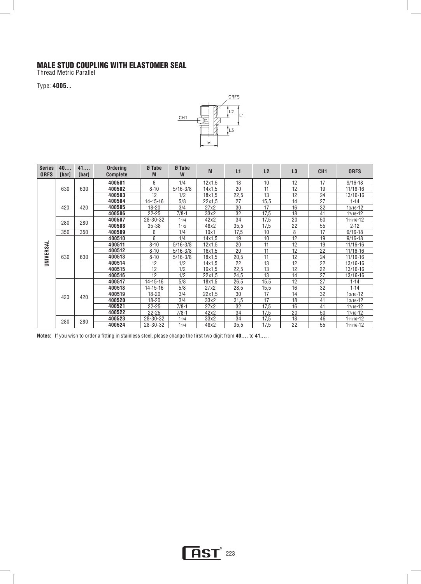#### MALE STUD COUPLING WITH ELASTOMER SEAL

Thread Metric Parallel

Type: **4005..** 



| <b>Series</b><br><b>ORFS</b> | 40<br>[bar] | 41<br>[bar] | <b>Ordering</b><br><b>Complete</b> | Ø Tube<br>M    | Ø Tube<br>W  | M      | L1   | L2   | L3 | CH <sub>1</sub> | <b>ORFS</b>  |
|------------------------------|-------------|-------------|------------------------------------|----------------|--------------|--------|------|------|----|-----------------|--------------|
|                              |             |             | 400501                             | 6              | 1/4          | 12x1.5 | 18   | 10   | 12 | 17              | $9/16 - 18$  |
|                              | 630         | 630         | 400502                             | $8 - 10$       | $5/16 - 3/8$ | 14x1.5 | 20   | 11   | 12 | 19              | 11/16-16     |
|                              |             |             | 400503                             | 12             | 1/2          | 18x1,5 | 22,5 | 13   | 12 | 24              | 13/16-16     |
|                              |             |             | 400504                             | 14-15-16       | 5/8          | 22x1.5 | 27   | 15,5 | 14 | 27              | $1 - 14$     |
|                              | 420         | 420         | 400505                             | $18 - 20$      | 3/4          | 27x2   | 30   | 17   | 16 | 32              | 13/16-12     |
|                              |             |             | 400506                             | $22 - 25$      | $7/8 - 1$    | 33x2   | 32   | 17,5 | 18 | 41              | 17/16-12     |
|                              |             | 280         | 400507                             | 28-30-32       | 11/4         | 42x2   | 34   | 17,5 | 20 | 50              | 111/16-12    |
|                              | 280         |             | 400508                             | $35 - 38$      | 11/2         | 48x2   | 35,5 | 17,5 | 22 | 55              | $2 - 12$     |
|                              | 350         | 350         | 400509                             | 6              | 1/4          | 10x1   | 17,5 | 10   | 8  | 17              | $9/16 - 18$  |
|                              |             |             | 400510                             | 6              | 1/4          | 14x1.5 | 19   | 10   | 12 | 19              | $9/16 - 18$  |
|                              | 630         | 630         | 400511                             | $8 - 10$       | $5/16 - 3/8$ | 12x1.5 | 20   | 11   | 12 | 19              | $11/16 - 16$ |
| UNIVERSAL                    |             |             | 400512                             | $8 - 10$       | $5/16 - 3/8$ | 16x1.5 | 20   | 11   | 12 | 22              | 11/16-16     |
|                              |             |             | 400513                             | $8 - 10$       | $5/16 - 3/8$ | 18x1,5 | 20,5 | 11   | 12 | 24              | 11/16-16     |
|                              |             |             | 400514                             | 12             | 1/2          | 14x1.5 | 22   | 13   | 12 | 22              | 13/16-16     |
|                              |             |             | 400515                             | 12             | 1/2          | 16x1,5 | 22,5 | 13   | 12 | 22              | 13/16-16     |
|                              |             |             | 400516                             | 12             | 1/2          | 22x1.5 | 24,5 | 13   | 14 | 27              | 13/16-16     |
|                              |             |             | 400517                             | $14 - 15 - 16$ | 5/8          | 18x1.5 | 26,5 | 15,5 | 12 | 27              | $1 - 14$     |
|                              |             |             | 400518                             | 14-15-16       | 5/8          | 27x2   | 28,5 | 15,5 | 16 | 32              | $1 - 14$     |
|                              | 420         | 420         | 400519                             | $18 - 20$      | 3/4          | 22x1.5 | 30   | 17   | 14 | 32              | $13/16 - 12$ |
|                              |             |             | 400520                             | $18 - 20$      | 3/4          | 33x2   | 31,5 | 17   | 18 | 41              | $13/16 - 12$ |
|                              |             |             | 400521                             | $22 - 25$      | $7/8 - 1$    | 27x2   | 32   | 17,5 | 16 | 41              | $17/16 - 12$ |
|                              |             |             | 400522                             | $22 - 25$      | $7/8 - 1$    | 42x2   | 34   | 17,5 | 20 | 50              | $17/16 - 12$ |
|                              | 280         | 280         | 400523                             | 28-30-32       | 11/4         | 33x2   | 34   | 17,5 | 18 | 46              | 111/16-12    |
|                              |             |             | 400524                             | 28-30-32       | 11/4         | 48x2   | 35,5 | 17,5 | 22 | 55              | 111/16-12    |

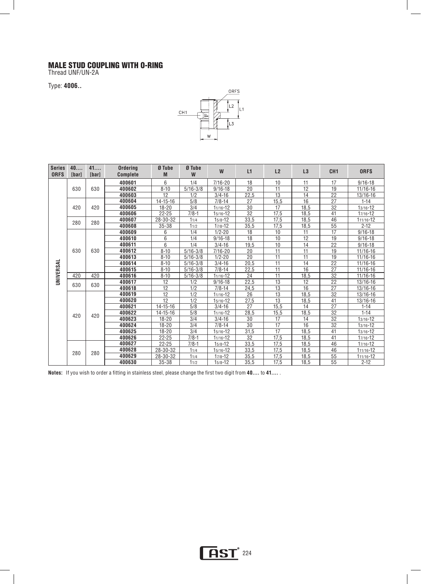#### MALE STUD COUPLING WITH O-RING

Thread UNF/UN-2A L

Type: **4006..** 



| <b>Series</b><br><b>ORFS</b> | 40<br><b>[bar]</b> | 41<br><b>[bar]</b> | <b>Ordering</b><br><b>Complete</b> | Ø Tube<br>M    | Ø Tube<br>W  | W            | L1              | L2              | L3              | CH <sub>1</sub> | <b>ORFS</b>   |
|------------------------------|--------------------|--------------------|------------------------------------|----------------|--------------|--------------|-----------------|-----------------|-----------------|-----------------|---------------|
|                              |                    |                    | 400601                             | 6              | 1/4          | $7/16 - 20$  | 18              | 10              | 11              | 17              | $9/16 - 18$   |
|                              | 630                | 630                | 400602                             | $8 - 10$       | $5/16 - 3/8$ | $9/16 - 18$  | 20              | 11              | 12              | 19              | 11/16-16      |
|                              |                    |                    | 400603                             | 12             | 1/2          | $3/4 - 16$   | 22,5            | 13              | 14              | 22              | 13/16-16      |
|                              |                    |                    | 400604                             | $14 - 15 - 16$ | 5/8          | $7/8 - 14$   | 27              | 15,5            | 16              | $\overline{27}$ | $1 - 14$      |
|                              | 420                | 420                | 400605                             | $18 - 20$      | 3/4          | $11/16 - 12$ | 30              | 17              | 18,5            | 32              | $13/16 - 12$  |
|                              |                    |                    | 400606                             | $22 - 25$      | $7/8 - 1$    | $15/16 - 12$ | $\overline{32}$ | 17,5            | 18,5            | 41              | 17/16-12      |
|                              | 280                | 280                | 400607                             | 28-30-32       | 11/4         | $15/8 - 12$  | 33,5            | 17.5            | 18.5            | 46              | 111/16-12     |
|                              |                    |                    | 400608                             | $35 - 38$      | 11/2         | $17/8 - 12$  | 35.5            | 17,5            | 18,5            | 55              | $2 - 12$      |
|                              |                    |                    | 400609                             | 6              | 1/4          | $1/2 - 20$   | 18              | 10              | 11              | 17              | $9/16 - 18$   |
|                              |                    |                    | 400610                             | 6              | 1/4          | $9/16 - 18$  | 18              | 10              | 12              | 19              | $9/16 - 18$   |
|                              |                    |                    | 400611                             | 6              | 1/4          | $3/4 - 16$   | 19.5            | 10              | 14              | 22              | $9/16 - 18$   |
|                              | 630                | 630                | 400612                             | $8 - 10$       | $5/16 - 3/8$ | $7/16 - 20$  | 20              | $\overline{11}$ | $\overline{11}$ | 19              | 11/16-16      |
|                              |                    |                    | 400613                             | $8 - 10$       | $5/16 - 3/8$ | $1/2 - 20$   | 20              | 11              | 11              | 19              | $11/16 - 16$  |
| UNIVERSAL                    |                    |                    | 400614                             | $8 - 10$       | $5/16 - 3/8$ | $3/4 - 16$   | 20.5            | 11              | 14              | 22              | 11/16-16      |
|                              |                    |                    | 400615                             | $8 - 10$       | $5/16 - 3/8$ | $7/8 - 14$   | 22,5            | 11              | 16              | 27              | 11/16-16      |
|                              | 420                | 420                | 400616                             | $8 - 10$       | $5/16 - 3/8$ | $11/16 - 12$ | 24              | $\overline{11}$ | 18,5            | 32              | $11/16 - 16$  |
|                              | 630                | 630                | 400617                             | 12             | 1/2          | $9/16 - 18$  | 22,5            | $\overline{13}$ | $\overline{12}$ | $\overline{22}$ | 13/16-16      |
|                              |                    |                    | 400618                             | 12             | 1/2          | $7/8 - 14$   | 24,5            | 13              | 16              | 27              | 13/16-16      |
|                              |                    |                    | 400619                             | 12             | 1/2          | $11/16 - 12$ | 26              | 13              | 18,5            | 32              | 13/16-16      |
|                              |                    |                    | 400620                             | 12             | 1/2          | 15/16-12     | 27,5            | 13              | 18,5            | 41              | 13/16-16      |
|                              |                    |                    | 400621                             | $14 - 15 - 16$ | 5/8          | $3/4 - 16$   | 27              | 15,5            | 14              | 27              | $1 - 14$      |
|                              | 420                | 420                | 400622                             | $14 - 15 - 16$ | 5/8          | 11/16-12     | 28,5            | 15,5            | 18,5            | 32              | $1 - 14$      |
|                              |                    |                    | 400623                             | $18 - 20$      | 3/4          | $3/4 - 16$   | 30              | 17              | 14              | 32              | $13/16 - 12$  |
|                              |                    |                    | 400624                             | $18 - 20$      | 3/4          | $7/8 - 14$   | 30              | 17              | 16              | 32              | $13/16 - 12$  |
|                              |                    |                    | 400625                             | $18 - 20$      | 3/4          | $15/16 - 12$ | 31.5            | 17              | 18.5            | 41              | 13/16-12      |
|                              |                    |                    | 400626                             | $22 - 25$      | $7/8 - 1$    | $11/16 - 12$ | 32              | 17,5            | 18,5            | 41              | 17/16-12      |
|                              |                    |                    | 400627                             | $22 - 25$      | $7/8 - 1$    | $15/8 - 12$  | 33,5            | 17,5            | 18,5            | 46              | 17/16-12      |
|                              | 280                | 280                | 400628                             | 28-30-32       | 11/4         | $15/16 - 12$ | 33.5            | 17,5            | 18,5            | 46              | $111/16 - 12$ |
|                              |                    |                    | 400629                             | 28-30-32       | 11/4         | $17/8 - 12$  | 35,5            | 17,5            | 18,5            | 55              | 111/16-12     |
|                              |                    |                    | 400630                             | $35 - 38$      | 11/2         | $15/8 - 12$  | 35.5            | 17,5            | 18,5            | $\overline{55}$ | $2 - 12$      |

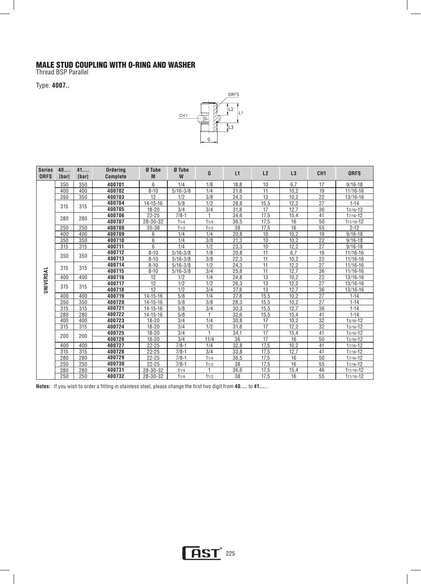#### MALE STUD COUPLING WITH O-RING AND WASHER

Thread BSP Parallel  $\overline{a}$ 

Type: **4007..** 



| <b>Series</b><br><b>ORFS</b> | 40<br>[bar] | 41<br>[bar] | <b>Ordering</b><br><b>Complete</b> | Ø Tube<br>M    | Ø Tube<br>W      | G    | L1   | L2              | L3              | CH <sub>1</sub> | <b>ORFS</b>   |
|------------------------------|-------------|-------------|------------------------------------|----------------|------------------|------|------|-----------------|-----------------|-----------------|---------------|
|                              | 350         | 350         | 400701                             | 6              | 1/4              | 1/8  | 18,8 | 10              | 6.7             | 17              | $9/16 - 18$   |
|                              | 400         | 400         | 400702                             | $8 - 10$       | $5/16 - 3/8$     | 1/4  | 21.8 | 11              | 10.2            | 19              | 11/16-16      |
|                              | 350         | 350         | 400703                             | 12             | 1/2              | 3/8  | 24,3 | 13              | 10.2            | $\overline{22}$ | 13/16-16      |
|                              |             |             | 400704                             | $14 - 15 - 16$ | 5/8              | 1/2  | 28,8 | 15,5            | 12,2            | $\overline{27}$ | $1 - 14$      |
|                              | 315         | 315         | 400705                             | $18 - 20$      | 3/4              | 3/4  | 31,8 | 17              | 12.7            | 36              | $13/16 - 12$  |
|                              | 280         | 280         | 400706                             | $22 - 25$      | $7/8 - 1$        |      | 34,6 | 17.5            | 15,4            | 41              | $17/16 - 12$  |
|                              |             |             | 400707                             | 28-30-32       | 11/4             | 11/4 | 36,5 | 17,5            | 16              | $\overline{50}$ | 111/16-12     |
|                              | 250         | 250         | 400708                             | 35-38          | 11/2             | 11/2 | 38   | 17,5            | $\overline{16}$ | $\overline{55}$ | $2 - 12$      |
|                              | 400         | 400         | 400709                             | 6              | 1/4              | 1/4  | 20.8 | 10              | 10.2            | 19              | $9/16 - 18$   |
|                              | 350         | 350         | 400710                             | 6              | 1/4              | 3/8  | 21,3 | 10              | 10.2            | $\overline{22}$ | $9/16 - 18$   |
|                              | 315         | 315         | 400711                             | 6              | 1/4              | 1/2  | 23,3 | 10              | 12,2            | 27              | $9/16 - 18$   |
|                              | 350         | 350         | 400712                             | $8 - 10$       | $5/16 - 3/8$     | 1/8  | 20.8 | $\overline{11}$ | 6.7             | 19              | 11/16-16      |
|                              |             |             | 400713                             | $8 - 10$       | $5/16 - 3/8$     | 3/8  | 22.3 | 11              | 10.2            | $\overline{22}$ | $11/16 - 16$  |
|                              | 315         | 315         | 400714                             | $8 - 10$       | $5/16 - 3/8$     | 1/2  | 24,3 | $\overline{11}$ | 12,2            | $\overline{27}$ | 11/16-16      |
|                              |             |             | 400715                             | $8 - 10$       | $5/16 - 3/8$     | 3/4  | 25,8 | $\overline{11}$ | 12.7            | 36              | 11/16-16      |
| UNIVERSAL                    | 400         | 400         | 400716                             | 12             | 1/2              | 1/4  | 24.8 | 13              | 10.2            | 22              | 13/16-16      |
|                              | 315         | 315         | 400717                             | 12             | 1/2              | 1/2  | 26,3 | 13              | 12,2            | 27              | 13/16-16      |
|                              |             |             | 400718                             | 12             | 1/2              | 3/4  | 27,8 | 13              | 12,7            | 36              | 13/16-16      |
|                              | 400         | 400         | 400719                             | $14 - 15 - 16$ | 5/8              | 1/4  | 27.8 | 15.5            | 10.2            | 27              | $1 - 14$      |
|                              | 350         | 350         | 400720                             | $14 - 15 - 16$ | 5/8              | 3/8  | 28,3 | 15,5            | 10,2            | $\overline{27}$ | $1 - 14$      |
|                              | 315         | 315         | 400721                             | $14 - 15 - 16$ | 5/8              | 3/4  | 30,3 | 15,5            | 12,7            | 36              | $1 - 14$      |
|                              | 280         | 280         | 400722                             | $14 - 15 - 16$ | $\overline{5/8}$ | 1    | 32,6 | 15,5            | 15,4            | 41              | $1 - 14$      |
|                              | 400         | 400         | 400723                             | $18 - 20$      | 3/4              | 1/4  | 30,8 | 17              | 10,2            | $\overline{32}$ | $13/16 - 12$  |
|                              | 315         | 315         | 400724                             | $18 - 20$      | 3/4              | 1/2  | 31.8 | 17              | 12.2            | $\overline{32}$ | $13/16 - 12$  |
|                              | 200         | 200         | 400725                             | $18 - 20$      | 3/4              | 1    | 34,1 | 17              | 15,4            | 41              | $13/16 - 12$  |
|                              |             |             | 400726                             | $18 - 20$      | 3/4              | 11/4 | 36   | 17              | 16              | 50              | $13/16 - 12$  |
|                              | 400         | 400         | 400727                             | $22 - 25$      | $7/8 - 1$        | 1/4  | 32,8 | 17,5            | 10,2            | 41              | $17/16 - 12$  |
|                              | 315         | 315         | 400728                             | $22 - 25$      | $7/8-1$          | 3/4  | 33,8 | 17,5            | 12,7            | 41              | $17/16 - 12$  |
|                              | 280         | 280         | 400729                             | $22 - 25$      | $7/8-1$          | 11/4 | 36,5 | 17,5            | 16              | 50              | 17/16-12      |
|                              | 250         | 250         | 400730                             | $22 - 25$      | $7/8 - 1$        | 11/2 | 38   | 17,5            | $\overline{16}$ | 55              | 17/16-12      |
|                              | 280         | 280         | 400731                             | 28-30-32       | 11/4             |      | 36,6 | 17.5            | 15,4            | 46              | $111/16 - 12$ |
|                              | 250         | 250         | 400732                             | 28-30-32       | 11/4             | 11/2 | 38   | 17,5            | 16              | 55              | 111/16-12     |

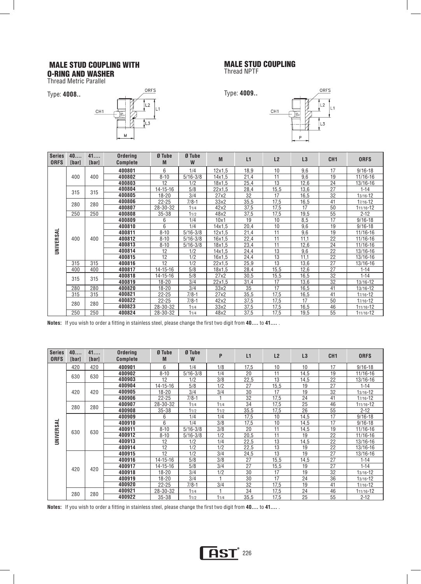# MALE STUD COUPLING WITH

O-RING AND WASHER Thread Metric Parallel

Type: **4008..** 



#### MALE STUD COUPLING

Thread NPTF



| <b>Series</b><br><b>ORFS</b> | 40<br>[bar] | 41<br>[bar] | Ordering<br><b>Complete</b> | Ø Tube<br>M    | Ø Tube<br>W  | M             | L1   | L2   | L3   | CH <sub>1</sub> | <b>ORFS</b>   |
|------------------------------|-------------|-------------|-----------------------------|----------------|--------------|---------------|------|------|------|-----------------|---------------|
|                              |             |             | 400801                      | 6              | 1/4          | $12\times1.5$ | 18,9 | 10   | 9,6  | 17              | $9/16 - 18$   |
|                              | 400         | 400         | 400802                      | $8 - 10$       | $5/16 - 3/8$ | 14x1.5        | 21,4 | 11   | 9,6  | 19              | 11/16-16      |
|                              |             |             | 400803                      | 12             | 1/2          | 18x1.5        | 25,4 | 13   | 12,6 | 24              | 13/16-16      |
|                              | 315         | 315         | 400804                      | $14 - 15 - 16$ | 5/8          | 22x1.5        | 28,4 | 15,5 | 13,6 | 27              | $1 - 14$      |
|                              |             |             | 400805                      | $18 - 20$      | 3/4          | 27x2          | 32   | 17   | 16,5 | 32              | $13/16 - 12$  |
|                              | 280         | 280         | 400806                      | $22 - 25$      | $7/8-1$      | 33x2          | 35,5 | 17,5 | 16,5 | 41              | 17/16-12      |
|                              |             |             | 400807                      | 28-30-32       | 11/4         | 42x2          | 37,5 | 17,5 | 17   | 50              | 111/16-12     |
|                              | 250         | 250         | 400808                      | $35 - 38$      | 11/2         | 48x2          | 37,5 | 17,5 | 19,5 | 55              | $2 - 12$      |
|                              |             |             | 400809                      | 6              | 1/4          | 10x1          | 19   | 10   | 8,5  | 17              | $9/16 - 18$   |
|                              |             |             | 400810                      | 6              | 1/4          | 14x1.5        | 20,4 | 10   | 9,6  | 19              | $9/16 - 18$   |
|                              | 400         |             | 400811                      | $8 - 10$       | $5/16 - 3/8$ | 12x1.5        | 21,4 | 11   | 9,6  | 19              | 11/16-16      |
|                              |             | 400         | 400812                      | $8 - 10$       | $5/16 - 3/8$ | 16x1.5        | 22,4 | 11   | 11,1 | 22              | 11/16-16      |
| UNIVERSAL                    |             |             | 400813                      | $8 - 10$       | $5/16 - 3/8$ | 18x1.5        | 23,4 | 11   | 12,6 | 24              | 11/16-16      |
|                              |             |             | 400814                      | 12             | 1/2          | 14x1.5        | 24,4 | 13   | 9,6  | 22              | 13/16-16      |
|                              |             |             | 400815                      | 12             | 1/2          | 16x1.5        | 24,4 | 13   | 11,1 | 22              | 13/16-16      |
|                              | 315         | 315         | 400816                      | 12             | 1/2          | 22x1,5        | 25,9 | 13   | 13,6 | 27              | 13/16-16      |
|                              | 400         | 400         | 400817                      | $14 - 15 - 16$ | 5/8          | 18x1,5        | 28,4 | 15,5 | 12,6 | 27              | $1 - 14$      |
|                              | 315         | 315         | 400818                      | $14 - 15 - 16$ | 5/8          | 27x2          | 30,5 | 15,5 | 16,5 | 32              | $1 - 14$      |
|                              |             |             | 400819                      | $18 - 20$      | 3/4          | 22x1.5        | 31,4 | 17   | 13,6 | 32              | 13/16-12      |
|                              | 280         | 280         | 400820                      | $18 - 20$      | 3/4          | 33x2          | 35   | 17   | 16,5 | 41              | 13/16-12      |
|                              | 315         | 315         | 400821                      | $22 - 25$      | $7/8-1$      | 27x2          | 35,5 | 17,5 | 16,5 | 41              | 17/16-12      |
|                              | 280         | 280         | 400822                      | $22 - 25$      | $7/8-1$      | 42x2          | 37,5 | 17,5 | 17   | 50              | $17/16 - 12$  |
|                              |             |             | 400823                      | 28-30-32       | 11/4         | 33x2          | 37,5 | 17,5 | 16,5 | 46              | 111/16-12     |
|                              | 250         | 250         | 400824                      | 28-30-32       | 11/4         | 48x2          | 37,5 | 17,5 | 19,5 | 55              | $111/16 - 12$ |

**Notes:** If you wish to order a fitting in stainless steel, please change the first two digit from **40....** to **41....** .

| <b>Series</b><br><b>ORFS</b> | 40<br><b>[bar]</b> | 41<br>[bar] | <b>Ordering</b><br><b>Complete</b> | Ø Tube<br>M    | Ø Tube<br>W  | P    | L1   | L2   | L3   | CH <sub>1</sub> | <b>ORFS</b>  |
|------------------------------|--------------------|-------------|------------------------------------|----------------|--------------|------|------|------|------|-----------------|--------------|
|                              | 420                | 420         | 400901                             | 6              | 1/4          | 1/8  | 17,5 | 10   | 10   | 17              | $9/16 - 18$  |
|                              | 630                | 630         | 400902                             | $8 - 10$       | $5/16 - 3/8$ | 1/4  | 20   | 11   | 14,5 | 19              | 11/16-16     |
|                              |                    |             | 400903                             | 12             | 1/2          | 3/8  | 22,5 | 13   | 14,5 | 22              | 13/16-16     |
|                              |                    |             | 400904                             | $14 - 15 - 16$ | 5/8          | 1/2  | 27   | 15,5 | 19   | 27              | $1 - 14$     |
|                              | 420                | 420         | 400905                             | $18 - 20$      | 3/4          | 3/4  | 30   | 17   | 19   | 32              | 13/16-12     |
|                              |                    |             | 400906                             | $22 - 25$      | $7/8 - 1$    |      | 32   | 17,5 | 24   | 41              | 17/16-12     |
|                              | 280                | 280         | 400907                             | 28-30-32       | 11/4         | 11/4 | 34   | 17,5 | 25   | 46              | 111/16-12    |
|                              |                    |             | 400908                             | 35-38          | 11/2         | 11/2 | 35,5 | 17,5 | 26   | 55              | $2 - 12$     |
|                              |                    |             | 400909                             | 6              | 1/4          | 1/4  | 17,5 | 10   | 14,5 | 17              | $9/16 - 18$  |
|                              |                    |             | 400910                             | 6              | 1/4          | 3/8  | 17,5 | 10   | 14,5 | 17              | $9/16 - 18$  |
|                              | 630                | 630         | 400911                             | $8 - 10$       | $5/16 - 3/8$ | 3/8  | 20   | 11   | 14,5 | 19              | 11/16-16     |
| UNIVERSAL                    |                    |             | 400912                             | $8 - 10$       | $5/16 - 3/8$ | 1/2  | 20,5 | 11   | 19   | 22              | 11/16-16     |
|                              |                    |             | 400913                             | 12             | 1/2          | 1/4  | 22.5 | 13   | 14,5 | 22              | 13/16-16     |
|                              |                    |             | 400914                             | 12             | 1/2          | 1/2  | 22,5 | 13   | 19   | 22              | 13/16-16     |
|                              |                    |             | 400915                             | 12             | 1/2          | 3/4  | 24,5 | 13   | 19   | 27              | 13/16-16     |
|                              |                    |             | 400916                             | $14 - 15 - 16$ | 5/8          | 3/8  | 27   | 15,5 | 14,5 | 27              | $1 - 14$     |
|                              | 420                | 420         | 400917                             | $14 - 15 - 16$ | 5/8          | 3/4  | 27   | 15,5 | 19   | 27              | $1 - 14$     |
|                              |                    |             | 400918                             | $18 - 20$      | 3/4          | 1/2  | 30   | 17   | 19   | 32              | $13/16 - 12$ |
|                              |                    |             | 400919                             | $18 - 20$      | 3/4          |      | 30   | 17   | 24   | 36              | $13/16 - 12$ |
|                              |                    |             | 400920                             | $22 - 25$      | $7/8 - 1$    | 3/4  | 32   | 17.5 | 19   | 41              | 17/16-12     |
|                              |                    |             | 400921                             | 28-30-32       | 11/4         | м    | 34   | 17,5 | 24   | 46              | 111/16-12    |
|                              | 280                | 280         | 400922                             | $35 - 38$      | 11/2         | 11/4 | 35,5 | 17,5 | 25   | 55              | $2 - 12$     |

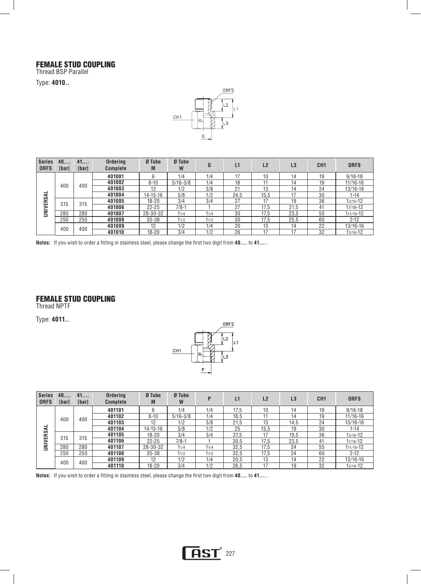### FEMALE STUD COUPLING

Thread BSP Parallel

Type: **4010..** 



| <b>Series</b><br><b>ORFS</b> | 40<br>[bar] | 41<br>[bar] | Ordering<br><b>Complete</b> | Ø Tube<br>M | Ø Tube<br>W  | G    | L1   | L <sub>2</sub> | L3   | CH <sub>1</sub> | <b>ORFS</b>  |
|------------------------------|-------------|-------------|-----------------------------|-------------|--------------|------|------|----------------|------|-----------------|--------------|
|                              |             |             | 401001                      | 6           | 1/4          | 1/4  |      | 10             | 14   | 19              | $9/16 - 18$  |
|                              | 400         | 400         | 401002                      | $8 - 10$    | $5/16 - 3/8$ | 1/4  | 18   |                | 14   | 19              | $11/16 - 16$ |
|                              |             |             | 401003                      | 12          | 1/2          | 3/8  | 21   | 13             | 14   | 24              | 13/16-16     |
| ₹                            |             |             | 401004                      | 14-15-16    | 5/8          | 1/2  | 24.5 | 15.5           | 17   | 30              | $1 - 14$     |
| <b>UNIVERS</b>               | 315         | 315         | 401005                      | $18 - 20$   | 3/4          | 3/4  | 27   | 17             | 19   | 36              | 13/16-12     |
|                              |             |             | 401006                      | $22 - 25$   | $7/8-1$      |      | 27   | 17.5           | 21.5 | 41              | 17/16-12     |
|                              | 280         | 280         | 401007                      | 28-30-32    | 11/4         | 11/4 | 30   | 17.5           | 23.5 | 55              | 111/16-12    |
|                              | 250         | 250         | 401008                      | $35 - 38$   | 11/2         | 11/2 | 30   | 17.5           | 25.5 | 60              | $2 - 12$     |
|                              | 400         | 400         | 401009                      | 12          | 1/2          | 1/4  | 20   | 13             | 14   | 22              | 13/16-16     |
|                              |             |             | 401010                      | $18 - 20$   | 3/4          | 1/2  | 26   |                | 17   | 32              | 13/16-12     |

**Notes:** If you wish to order a fitting in stainless steel, please change the first two digit from **40....** to **41....** .

#### FEMALE STUD COUPLING

Thread NPTF

Type: **4011..** 



| <b>Series</b><br><b>ORFS</b> | 40<br><b>[bar]</b> | 41<br>[bar] | <b>Ordering</b><br><b>Complete</b> | Ø Tube<br>M    | Ø Tube<br>W  |      | L1   | L <sub>2</sub> | L <sub>3</sub> | CH <sub>1</sub> | <b>ORFS</b>  |
|------------------------------|--------------------|-------------|------------------------------------|----------------|--------------|------|------|----------------|----------------|-----------------|--------------|
|                              |                    |             | 401101                             |                | 1/4          | 1/4  | 17.5 | 10             | 14             | 19              | $9/16 - 18$  |
|                              | 400                | 400         | 401102                             | $8 - 10$       | $5/16 - 3/8$ | 1/4  | 18.5 |                | 14             | 19              | 11/16-16     |
|                              |                    |             | 401103                             | 12             | 1/2          | 3/8  | 21.5 | 13             | 14.5           | 24              | 13/16-16     |
| ┙                            |                    |             | 401104                             | $14 - 15 - 16$ | 5/8          | 1/2  | 25   | 15,5           | 19             | 30              | 1-14         |
| <b>UNIVERSA</b>              | 315                | 315         | 401105                             | $18 - 20$      | 3/4          | 3/4  | 27.5 | 17             | 19.5           | 36              | $13/16 - 12$ |
|                              |                    |             | 401106                             | $22 - 25$      | $7/8-1$      |      | 30,5 | 17,5           | 23,5           | 41              | 17/16-12     |
|                              | 280                | 280         | 401107                             | 28-30-32       | 11/4         | 11/4 | 32,5 | 17.5           | 24             | 55              | 111/16-12    |
|                              | 250                | 250         | 401108                             | $35 - 38$      | 11/2         | 11/2 | 32.5 | 17.5           | 24             | 60              | $2 - 12$     |
|                              | 400                | 400         | 401109                             | 12             | 1/2          | 1/4  | 20.5 | 13             | 14             | 22              | 13/16-16     |
|                              |                    |             | 401110                             | $18 - 20$      | 3/4          | 1/2  | 26.5 | 17             | 19             | 32              | 13/16-12     |

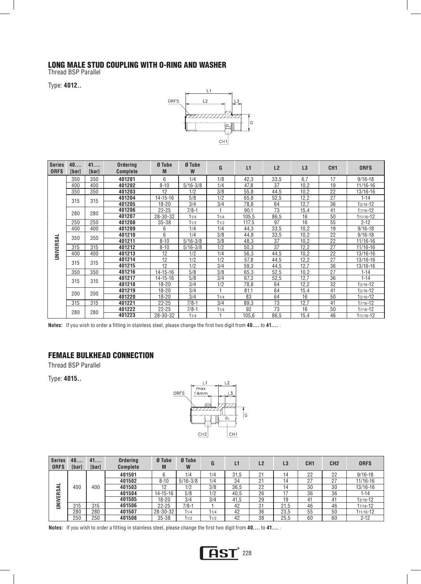#### LONG MALE STUD COUPLING WITH O-RING AND WASHER

Thread BSP Parallel L

Type: **4012..** 



| <b>Series</b><br><b>ORFS</b> | 40<br>[bar] | 41<br>[bar] | Ordering<br><b>Complete</b> | Ø Tube<br>M    | Ø Tube<br>W  | G    | L1    | L2   | L3   | CH <sub>1</sub> | <b>ORFS</b>  |
|------------------------------|-------------|-------------|-----------------------------|----------------|--------------|------|-------|------|------|-----------------|--------------|
|                              | 350         | 350         | 401201                      | 6              | 1/4          | 1/8  | 42,3  | 33,5 | 6.7  | 17              | $9/16 - 18$  |
|                              | 400         | 400         | 401202                      | $8 - 10$       | $5/16 - 3/8$ | 1/4  | 47,8  | 37   | 10,2 | 19              | 11/16-16     |
|                              | 350         | 350         | 401203                      | 12             | 1/2          | 3/8  | 55,8  | 44,5 | 10,2 | 22              | 13/16-16     |
|                              |             | 315         | 401204                      | $14 - 15 - 16$ | 5/8          | 1/2  | 65,8  | 52.5 | 12.2 | 27              | $1 - 14$     |
|                              | 315         |             | 401205                      | $18 - 20$      | 3/4          | 3/4  | 78,8  | 64   | 12,7 | 36              | $13/16 - 12$ |
|                              | 280         | 280         | 401206                      | $22 - 25$      | $7/8 - 1$    |      | 90,1  | 73   | 15,4 | 41              | 17/16-12     |
|                              |             |             | 401207                      | 28-30-32       | 11/4         | 11/4 | 105,5 | 86,5 | 16   | 50              | 111/16-12    |
|                              | 250         | 250         | 401208                      | 35-38          | 11/2         | 11/2 | 117,5 | 97   | 16   | 55              | $2 - 12$     |
|                              | 400         | 400         | 401209                      | 6              | 1/4          | 1/4  | 44,3  | 33,5 | 10,2 | 19              | $9/16 - 18$  |
|                              | 350         | 350         | 401210                      | 6              | 1/4          | 3/8  | 44,8  | 33,5 | 10.2 | 22              | $9/16 - 18$  |
|                              |             |             | 401211                      | $8 - 10$       | $5/16 - 3/8$ | 3/8  | 48,3  | 37   | 10,2 | 22              | 11/16-16     |
|                              | 315         | 315         | 401212                      | $8 - 10$       | $5/16 - 3/8$ | 1/2  | 50,3  | 37   | 12,2 | 27              | 11/16-16     |
| UNIVERSAL                    | 400         | 400         | 401213                      | 12             | 1/2          | 1/4  | 56,3  | 44,5 | 10,2 | 22              | 13/16-16     |
|                              | 315         | 315         | 401214                      | 12             | 1/2          | 1/2  | 57,8  | 44,5 | 12,2 | 27              | 13/16-16     |
|                              |             |             | 401215                      | 12             | 1/2          | 3/4  | 59,3  | 44.5 | 12.7 | 36              | 13/16-16     |
|                              | 350         | 350         | 401216                      | $14 - 15 - 16$ | 5/8          | 3/8  | 65,3  | 52,5 | 10,2 | 27              | $1 - 14$     |
|                              | 315         | 315         | 401217                      | $14 - 15 - 16$ | 5/8          | 3/4  | 67,3  | 52,5 | 12,7 | 36              | $1 - 14$     |
|                              |             |             | 401218                      | $18 - 20$      | 3/4          | 1/2  | 78,8  | 64   | 12,2 | 32              | $13/16 - 12$ |
|                              | 200         | 200         | 401219                      | $18 - 20$      | 3/4          |      | 81,1  | 64   | 15,4 | 41              | $13/16 - 12$ |
|                              |             |             | 401220                      | $18 - 20$      | 3/4          | 11/4 | 83    | 64   | 16   | 50              | $13/16 - 12$ |
|                              | 315         | 315         | 401221                      | $22 - 25$      | $7/8 - 1$    | 3/4  | 89,3  | 73   | 12,7 | 41              | 17/16-12     |
|                              | 280         | 280         | 401222                      | $22 - 25$      | $7/8-1$      | 11/4 | 92    | 73   | 16   | 50              | 17/16-12     |
|                              |             |             | 401223                      | 28-30-32       | 11/4         |      | 105,6 | 86,5 | 15,4 | 46              | 111/16-12    |

**Notes:** If you wish to order a fitting in stainless steel, please change the first two digit from **40....** to **41....** .

#### FEMALE BULKHEAD CONNECTION

Thread BSP Parallel

Type: **4015..** 



| <b>Series</b><br><b>ORFS</b> | 40<br><b>Ibarl</b> | 41<br>[bar] | <b>Ordering</b><br><b>Complete</b> | Ø Tube<br>M    | Ø Tube<br>W  | G    | L1   | L <sub>2</sub> | L3   | CH <sub>1</sub> | CH <sub>2</sub> | <b>ORFS</b>  |
|------------------------------|--------------------|-------------|------------------------------------|----------------|--------------|------|------|----------------|------|-----------------|-----------------|--------------|
|                              |                    |             | 401501                             | 6              | 1/4          | 1/4  | 31.5 | 21             |      | 22              | 22              | $9/16 - 18$  |
|                              |                    |             | 401502                             | $8 - 10$       | $5/16 - 3/8$ | 1/4  | 34   | 21             | 14   | 27              | 27              | $11/16 - 16$ |
| ᅳ<br>⋖<br><b>VERS</b>        | 400                | 400         | 401503                             | 12             | 1/2          | 3/8  | 36.5 | 22             |      | 30              | 30              | $13/16 - 16$ |
|                              |                    |             | 401504                             | $14 - 15 - 16$ | 5/8          | 1/2  | 40.5 | 26             |      | 36              | 36              | 1-14         |
|                              |                    |             | 401505                             | 18-20          | 3/4          | 3/4  | 41.5 | 29             | 19   | 41              | 41              | 13/16-12     |
| Ì                            | 315                | 315         | 401506                             | $22 - 25$      | $7/8-1$      |      | 42   | 31             | 21.5 | 46              | 46              | 17/16-12     |
|                              | 280                | 280         | 401507                             | 28-30-32       | 11/4         | 11/4 | 42   | 36             | 23,5 | 55              | 50              | 111/16-12    |
|                              | 250                | 250         | 401508                             | $35 - 38$      | 11/2         | 11/2 | 42   | 38             | 25,5 | 60              | 60              | $2 - 12$     |



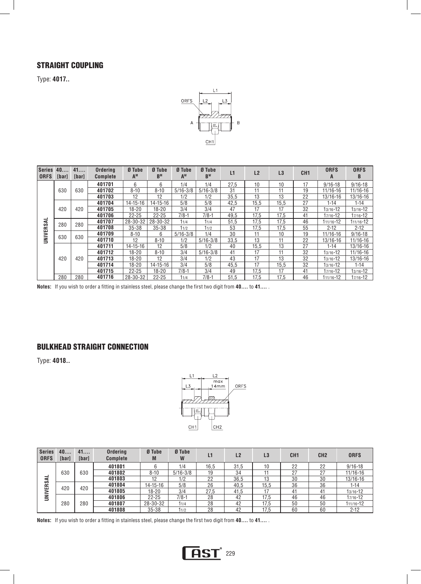## STRAIGHT COUPLING

Type: **4017..**



| <b>Series</b><br><b>ORFS</b> | 40.<br>[bar] | 41<br>[bar] | <b>Ordering</b><br><b>Complete</b> | Ø Tube<br>A <sup>M</sup> | Ø Tube<br>B <sub>M</sub> | Ø Tube<br>AW | Ø Tube<br><b>B</b> <sub>w</sub> | L1   | L <sub>2</sub> | L3   | CH <sub>1</sub> | <b>ORFS</b><br>A | <b>ORFS</b><br>B |
|------------------------------|--------------|-------------|------------------------------------|--------------------------|--------------------------|--------------|---------------------------------|------|----------------|------|-----------------|------------------|------------------|
|                              |              |             | 401701                             | 6                        | 6                        | 1/4          | 1/4                             | 27.5 | 10             | 10   | 17              | $9/16 - 18$      | $9/16 - 18$      |
|                              | 630          | 630         | 401702                             | $8 - 10$                 | $8 - 10$                 | $5/16 - 3/8$ | $5/16 - 3/8$                    | 31   | 11             | 11   | 19              | 11/16-16         | 11/16-16         |
|                              |              |             | 401703                             | 12                       | 12                       | 1/2          | 1/2                             | 35.5 | 13             | 13   | 22              | $13/16 - 16$     | 13/16-16         |
|                              |              |             | 401704                             | $14 - 15 - 16$           | $14 - 15 - 16$           | 5/8          | 5/8                             | 42,5 | 15.5           | 15.5 | 27              | $1 - 14$         | $1 - 14$         |
|                              | 420          | 420         | 401705                             | $18 - 20$                | 18-20                    | 3/4          | 3/4                             | 47   | 17             | 17   | 32              | $13/16 - 12$     | 13/16-12         |
|                              |              |             | 401706                             | $22 - 25$                | $22 - 25$                | $7/8-1$      | $7/8-1$                         | 49,5 | 17.5           | 17.5 | 41              | $17/16 - 12$     | 17/16-12         |
| UNIVERSAL                    | 280          | 280         | 401707                             | 28-30-32                 | 28-30-32                 | 11/4         | 11/4                            | 51.5 | 17.5           | 17.5 | 46              | $111/16 - 12$    | 111/16-12        |
|                              |              |             | 401708                             | $35 - 38$                | 35-38                    | 11/2         | 11/2                            | 53   | 17.5           | 17.5 | 55              | $2 - 12$         | $2 - 12$         |
|                              | 630          | 630         | 401709                             | $8 - 10$                 | 6                        | $5/16 - 3/8$ | 1/4                             | 30   | 11             | 10   | 19              | $11/16 - 16$     | $9/16 - 18$      |
|                              |              |             | 401710                             | 12                       | $8 - 10$                 | 1/2          | $5/16 - 3/8$                    | 33,5 | 13             | 11   | 22              | $13/16 - 16$     | 11/16-16         |
|                              |              |             | 401711                             | $14 - 15 - 16$           | 12                       | 5/8          | 1/2                             | 40   | 15,5           | 13   | 27              | $1 - 14$         | 13/16-16         |
|                              |              |             | 401712                             | $18 - 20$                | $8 - 10$                 | 3/4          | $5/16 - 3/8$                    | 41   | 17             | 11   | 32              | $13/16 - 12$     | 11/16-16         |
|                              | 420          | 420         | 401713                             | $18 - 20$                | 12                       | 3/4          | 1/2                             | 43   | 17             | 13   | 32              | $13/16 - 12$     | 13/16-16         |
|                              |              |             | 401714                             | $18 - 20$                | $14 - 15 - 16$           | 3/4          | 5/8                             | 45,5 | 17             | 15.5 | 32              | $13/16 - 12$     | $1 - 14$         |
|                              |              |             | 401715                             | $22 - 25$                | 18-20                    | $7/8-1$      | 3/4                             | 49   | 17.5           | 17   | 41              | 17/16-12         | 13/16-12         |
|                              | 280          | 280         | 401716                             | 28-30-32                 | $22 - 25$                | 11/4         | $7/8-1$                         | 51.5 | 17.5           | 17.5 | 46              | 111/16-12        | 17/16-12         |

**Notes:** If you wish to order a fitting in stainless steel, please change the first two digit from **40....** to **41....** .

### BULKHEAD STRAIGHT CONNECTION

Type: **4018..** 



| Series <sup>1</sup><br><b>ORFS</b> | 40<br><b>[bar]</b> | 41<br>[bar] | <b>Ordering</b><br><b>Complete</b> | Ø Tube<br>M    | Ø Tube<br>W  | L1   | L <sub>2</sub> | L3   | CH <sub>1</sub> | CH <sub>2</sub> | <b>ORFS</b>  |
|------------------------------------|--------------------|-------------|------------------------------------|----------------|--------------|------|----------------|------|-----------------|-----------------|--------------|
|                                    |                    |             | 401801                             |                | 1/4          | 16.5 | 31,5           | 10   | 22              | 22              | $9/16 - 18$  |
| -<br>ERSA                          | 630                | 630         | 401802                             | $8 - 10$       | $5/16 - 3/8$ | 19   | 34             |      | 27              | 27              | 11/16-16     |
|                                    |                    |             | 401803                             | 12             | 1/2          | 22   | 36,5           | 13   | 30              | 30              | 13/16-16     |
|                                    | 420                | 420         | 401804                             | $14 - 15 - 16$ | 5/8          | 26   | 40,5           | 15.5 | 36              | 36              | 1-14         |
|                                    |                    |             | 401805                             | $18 - 20$      | 3/4          | 27.5 | 41.5           |      | 41              | 41              | $13/16 - 12$ |
| UNIVI                              |                    |             | 401806                             | $22 - 25$      | $7/8-1$      | 28   | 42             | 17,5 | 46              | 46              | 17/16-12     |
|                                    | 280                | 280         | 401807                             | 28-30-32       | 11/4         | 28   | 42             | 17.5 | 50              | 50              | 111/16-12    |
|                                    |                    |             | 401808                             | $35 - 38$      | 11/2         | 28   | 42             | 17.5 | 60              | 60              | $2 - 12$     |

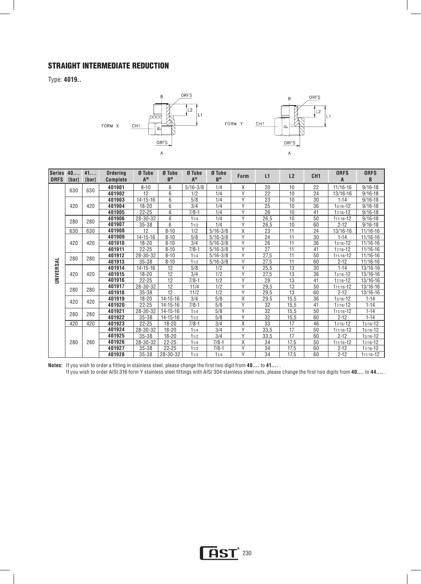## STRAIGHT INTERMEDIATE REDUCTION

Type: **4019..** 



| <b>Series</b><br><b>ORFS</b> | 40<br><b>[bar]</b> | 41<br>[bar] | <b>Ordering</b><br><b>Complete</b> | Ø Tube<br>A <sup>M</sup> | Ø Tube<br>B <sub>M</sub> | Ø Tube<br>A <sup>w</sup> | Ø Tube<br>$B^{W}$ | <b>Form</b>    | L1              | L2              | CH <sub>1</sub> | <b>ORFS</b><br>A | <b>ORFS</b><br>B |
|------------------------------|--------------------|-------------|------------------------------------|--------------------------|--------------------------|--------------------------|-------------------|----------------|-----------------|-----------------|-----------------|------------------|------------------|
|                              | 630                | 630         | 401901                             | $8 - 10$                 | 6                        | $5/16 - 3/8$             | 1/4               | X              | 20              | 10              | 22              | $11/16 - 16$     | $9/16 - 18$      |
|                              |                    |             | 401902                             | 12                       | 6                        | 1/2                      | 1/4               | Y              | 22              | 10              | 24              | 13/16-16         | $9/16 - 18$      |
|                              |                    |             | 401903                             | $14 - 15 - 16$           | 6                        | 5/8                      | 1/4               | Y              | 23              | 10              | 30              | $1 - 14$         | $9/16 - 18$      |
|                              | 420                | 420         | 401904                             | 18-20                    | 6                        | 3/4                      | 1/4               | Υ              | 25              | 10              | 36              | $13/16 - 12$     | $9/16 - 18$      |
|                              |                    |             | 401905                             | $22 - 25$                | 6                        | $7/8-1$                  | 1/4               | Y              | 26              | 10              | 41              | $17/16 - 12$     | $9/16 - 18$      |
|                              | 280                | 280         | 401906                             | 28-30-32                 | 6                        | 11/4                     | 1/4               | Y              | 26,5            | 10              | 50              | 111/16-12        | $9/16 - 18$      |
|                              |                    |             | 401907                             | $35 - 38$                | 6                        | 11/2                     | 1/4               | γ              | 26,5            | 10              | 60              | $2 - 12$         | $9/16 - 18$      |
|                              | 630                | 630         | 401908                             | 12                       | $8 - 10$                 | 1/2                      | $5/16 - 3/8$      | X              | 23              | $\overline{11}$ | 24              | 13/16-16         | 11/16-16         |
|                              |                    |             | 401909                             | $14 - 15 - 16$           | $8 - 10$                 | 5/8                      | $5/16 - 3/8$      | Y              | 24              | 11              | 30              | $1 - 14$         | $11/16 - 16$     |
|                              | 420                | 420         | 401910                             | $18 - 20$                | $8 - 10$                 | 3/4                      | $5/16 - 3/8$      | Y              | 26              | 11              | 36              | $13/16 - 12$     | $11/16 - 16$     |
|                              |                    |             | 401911                             | $22 - 25$                | $8 - 10$                 | $7/8 - 1$                | $5/16 - 3/8$      | $\overline{Y}$ | $\overline{27}$ | $\overline{11}$ | 41              | 17/16-12         | $11/16 - 16$     |
|                              | 280                | 280         | 401912                             | 28-30-32                 | $8 - 10$                 | 11/4                     | $5/16 - 3/8$      | Y              | 27,5            | 11              | 50              | 111/16-12        | $11/16 - 16$     |
| UNIVERSAL                    |                    |             | 401913                             | $35 - 38$                | $8 - 10$                 | 11/2                     | $5/16 - 3/8$      | $\overline{Y}$ | 27,5            | 11              | 60              | $2 - 12$         | $11/16 - 16$     |
|                              |                    |             | 401914                             | 14-15-16                 | 12                       | 5/8                      | 1/2               | Y              | 25,5            | 13              | 30              | $1 - 14$         | 13/16-16         |
|                              | 420                | 420         | 401915                             | $18 - 20$                | 12                       | 3/4                      | 1/2               | Y              | 27,5            | 13              | 36              | $13/16 - 12$     | 13/16-16         |
|                              |                    |             | 401916                             | $22 - 25$                | $\overline{12}$          | $7/8 - 1$                | 1/2               | $\overline{Y}$ | 29              | 13              | 41              | $17/16 - 12$     | 13/16-16         |
|                              | 280                | 280         | 401917                             | 28-30-32                 | $\overline{12}$          | 11/4                     | 1/2               | $\overline{Y}$ | 29,5            | 13              | 50              | $111/16 - 12$    | 13/16-16         |
|                              |                    |             | 401918                             | $35 - 38$                | $\overline{12}$          | 11/2                     | 1/2               | $\overline{Y}$ | 29,5            | $\overline{13}$ | 60              | $2 - 12$         | 13/16-16         |
|                              | 420                | 420         | 401919                             | $18 - 20$                | 14-15-16                 | 3/4                      | 5/8               | X              | 29,5            | 15,5            | 36              | $13/16 - 12$     | $1 - 14$         |
|                              |                    |             | 401920                             | $22 - 25$                | 14-15-16                 | $7/8-1$                  | 5/8               | Y              | 32              | 15,5            | 41              | 17/16-12         | $1 - 14$         |
|                              | 280                | 280         | 401921                             | 28-30-32                 | $14 - 15 - 16$           | 11/4                     | 5/8               | Y              | $\overline{32}$ | 15,5            | 50              | 111/16-12        | $1 - 14$         |
|                              |                    |             | 401922                             | $35 - 38$                | 14-15-16                 | 11/2                     | 5/8               | Υ              | 32              | 15,5            | 60              | $2 - 12$         | $1 - 14$         |
|                              | 420                | 420         | 401923                             | $22 - 25$                | $18 - 20$                | $7/8-1$                  | 3/4               | X              | $\overline{33}$ | 17              | 46              | $17/16 - 12$     | $13/16 - 12$     |
|                              |                    |             | 401924                             | 28-30-32                 | $18 - 20$                | 11/4                     | 3/4               | Y              | 33,5            | 17              | 50              | $111/16 - 12$    | $13/16 - 12$     |
|                              |                    |             | 401925                             | $35 - 38$                | $18 - 20$                | 11/2                     | 3/4               | $\overline{Y}$ | 33,5            | 17              | 60              | $2 - 12$         | $13/16 - 12$     |
|                              | 280                | 280         | 401926                             | 28-30-32                 | $22 - 25$                | 11/4                     | $7/8-1$           | X              | 34              | 17,5            | 50              | $111/16 - 12$    | 17/16-12         |
|                              |                    |             | 401927                             | $35 - 38$                | $22 - 25$                | 11/2                     | $7/8-1$           | Υ              | 34              | 17,5            | 60              | $2 - 12$         | $17/16 - 12$     |
|                              |                    |             | 401928                             | $35 - 38$                | 28-30-32                 | 11/2                     | 11/4              | Y              | 34              | 17,5            | 60              | $2 - 12$         | $111/16 - 12$    |

**Notes:** If you wish to order a fitting in stainless steel, please change the first two digit from **40....** to **41....** .

If you wish to order AISI 316 form Y stainless steel fittings with AISI 304 stainless steel nuts, please change the first two digits from **40....** to **44....** .

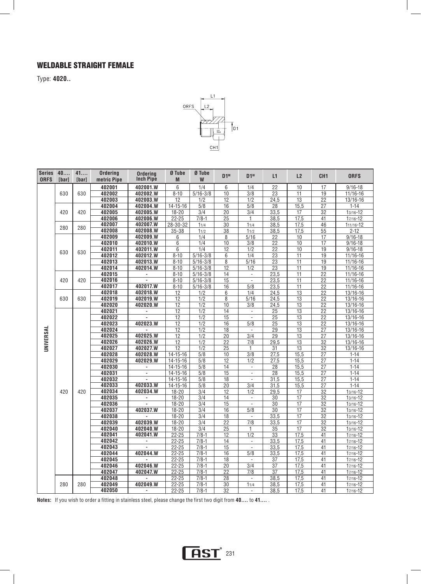## WELDABLE STRAIGHT FEMALE

Type: **4020..**



| <b>Series</b><br><b>ORFS</b> | 40<br><b>[bar]</b> | 41<br>[bar] | <b>Ordering</b><br>metric Pipe | <b>Ordering</b><br><b>Inch Pipe</b>            | Ø Tube<br>M                      | Ø Tube<br>W             | $D1^M$                | $D1^w$                                     | L1                    | L <sub>2</sub>  | CH <sub>1</sub>                    | <b>ORFS</b>          |
|------------------------------|--------------------|-------------|--------------------------------|------------------------------------------------|----------------------------------|-------------------------|-----------------------|--------------------------------------------|-----------------------|-----------------|------------------------------------|----------------------|
|                              |                    |             | 402001                         | 402001.W                                       | $6\phantom{a}$                   | 1/4                     | 6                     | 1/4                                        | 22                    | 10              | 17                                 | $9/16 - 18$          |
|                              | 630                | 630         | 402002                         | 402002.W                                       | $8 - 10$                         | $5/16 - 3/8$            | 10                    | $\overline{3/8}$                           | 23                    | 11              | 19                                 | 11/16-16             |
|                              |                    |             | 402003                         | 402003.W                                       | 12                               | 1/2                     | $\overline{12}$       | 1/2                                        | 24,5                  | $\overline{13}$ | $\overline{22}$                    | 13/16-16             |
|                              |                    |             | 402004                         | 402004.W                                       | $14 - 15 - 16$                   | $\overline{5/8}$        | $\overline{16}$       | 5/8                                        | $\overline{28}$       | 15,5            | 27                                 | $1 - 14$             |
|                              | 420                | 420         | 402005                         | 402005.W                                       | $18 - 20$                        | 3/4                     | 20                    | 3/4                                        | 33,5                  | 17              | 32                                 | $13/16 - 12$         |
|                              |                    |             | 402006                         | 402006.W                                       | $22 - 25$                        | $7/8 - 1$               | 25                    | $\mathbf{1}$                               | 38,5                  | 17,5            | 41                                 | $17/16 - 12$         |
|                              | 280                | 280         | 402007                         | 402007.W                                       | $28 - 30 - 32$                   | 11/4                    | 30                    | 11/4                                       | 38,5                  | 17,5            | 46                                 | 111/16-12            |
|                              |                    |             | 402008                         | 402008.W                                       | $35 - 38$                        | 11/2                    | $\overline{38}$       | 11/2                                       | 38,5                  | 17,5            | $\overline{55}$                    | $2 - 12$             |
|                              |                    |             | 402009                         | 402009.W                                       | $6\,$                            | 1/4                     | 8                     | 5/16                                       | 22                    | 10              | 17                                 | $9/16 - 18$          |
|                              |                    |             | 402010                         | 402010.W                                       | $\,6$                            | $\overline{1/4}$        | 10                    | 3/8                                        | 22                    | 10              | $\overline{17}$                    | $9/16 - 18$          |
|                              | 630                | 630         | 402011                         | 402011.W                                       | 6                                | 1/4                     | $\overline{12}$       | 1/2                                        | $\overline{22}$       | 10              | 19                                 | $9/16 - 18$          |
|                              |                    |             | 402012                         | 402012.W                                       | $8 - 10$                         | $5/16 - 3/8$            | 6                     | 1/4                                        | $\overline{23}$       | 11              | $\overline{19}$                    | $11/16 - 16$         |
|                              |                    |             | 402013                         | 402013.W                                       | $8 - 10$                         | $5/16 - 3/8$            | $\overline{8}$        | $\frac{5}{16}$                             | $\overline{23}$       | $\overline{11}$ | $\overline{19}$                    | 11/16-16             |
|                              |                    |             | 402014                         | 402014.W                                       | $8 - 10$                         | $5/16 - 3/8$            | $\overline{12}$       | 1/2                                        | $\overline{23}$       | $\overline{11}$ | $\overline{19}$                    | $11/16 - 16$         |
|                              |                    |             | 402015                         | ×,                                             | $8 - 10$                         | $5/16 - 3/8$            | $\overline{14}$       | $\overline{\phantom{a}}$                   | 23,5                  | $\overline{11}$ | $\overline{22}$                    | $11/16 - 16$         |
|                              | 420                | 420         | 402016                         |                                                | $8 - 10$                         | $5/16 - 3/8$            | 15                    | $\overline{\phantom{a}}$                   | 23,5                  | $\overline{11}$ | $\overline{22}$                    | $11/16 - 16$         |
|                              |                    |             | 402017                         | 402017.W                                       | $8 - 10$                         | $5/16 - 3/8$            | 16                    | $\overline{5/8}$                           | 23,5                  | $\overline{11}$ | $\overline{22}$                    | $11/16-16$           |
|                              |                    |             | 402018                         | 402018.W                                       | 12                               | 1/2                     | 6                     | 1/4                                        | 24,5                  | 13              | $\overline{22}$                    | $13/16 - 16$         |
|                              | 630                | 630         | 402019                         | 402019.W                                       | $\overline{12}$                  | $\overline{1/2}$        | $\overline{8}$        | $\overline{5/16}$                          | 24,5                  | $\overline{13}$ | $\overline{22}$                    | $13/16 - 16$         |
|                              |                    |             | 402020                         | 402020.W                                       | $\overline{12}$                  | 1/2                     | 10                    | $\overline{3/8}$                           | 24,5                  | $\overline{13}$ | $\overline{22}$                    | 13/16-16             |
|                              |                    |             | 402021                         | $\blacksquare$                                 | $\overline{12}$                  | 1/2                     | 14                    | $\overline{\phantom{a}}$                   | 25                    | 13              | $\overline{22}$                    | $13/16 - 16$         |
|                              |                    |             | 402022                         |                                                | $\overline{12}$                  | $\overline{1/2}$        | $\overline{15}$       | $\overline{\phantom{a}}$                   | $\overline{25}$       | $\overline{13}$ | $\overline{22}$                    | $13/16 - 16$         |
|                              |                    |             | 402023                         | 402023.W                                       | 12                               | $\overline{1/2}$        | 16                    | $\overline{5/8}$                           | $\overline{25}$       | $\overline{13}$ | $\overline{22}$                    | 13/16-16             |
| UNIVERSAL                    |                    |             | 402024                         |                                                | $\overline{12}$                  | $\overline{1/2}$        | $\overline{18}$       | $\overline{\phantom{a}}$                   | $\overline{29}$       | $\overline{13}$ | $\overline{27}$                    | 13/16-16             |
|                              |                    |             | 402025                         | 402025.W                                       | 12                               | 1/2                     | 20                    | 3/4                                        | $\overline{29}$       | 13              | $\overline{27}$                    | 13/16-16             |
|                              |                    |             | 402026                         | 402026.W                                       | 12                               | $\overline{1/2}$        | 22                    | 7/8                                        | 29,5                  | 13              | $\overline{32}$                    | 13/16-16             |
|                              |                    |             | 402027                         | 402027.W                                       | $\overline{12}$                  | $\overline{1/2}$        | $\overline{25}$       | 1                                          | 31                    | $\overline{13}$ | $\overline{32}$                    | 13/16-16             |
|                              |                    |             | 402028<br>402029               | 402028.W<br>402029.W                           | $14 - 15 - 16$                   | $\overline{5/8}$        | 10                    | $\overline{3/8}$                           | 27,5                  | 15,5            | $\overline{27}$                    | $1 - 14$             |
|                              |                    |             | 402030                         |                                                | $14 - 15 - 16$                   | $\overline{5/8}$        | 12                    | 1/2                                        | 27,5                  | 15,5            | $\overline{27}$                    | $1 - 14$             |
|                              |                    |             | 402031                         | $\qquad \qquad \blacksquare$<br>$\blacksquare$ | $14 - 15 - 16$                   | 5/8<br>$\overline{5/8}$ | 14<br>$\overline{15}$ | $\blacksquare$<br>$\overline{\phantom{a}}$ | 28<br>$\overline{28}$ | 15,5<br>15,5    | $\overline{27}$<br>$\overline{27}$ | $1 - 14$             |
|                              |                    |             | 402032                         | ÷.                                             | $14 - 15 - 16$<br>$14 - 15 - 16$ | $\overline{5/8}$        | $\overline{18}$       | $\overline{\phantom{a}}$                   | 31,5                  | 15,5            | 27                                 | $1 - 14$<br>$1 - 14$ |
|                              |                    |             | 402033                         | 402033.W                                       | $14 - 15 - 16$                   | 5/8                     | 20                    | 3/4                                        | 31,5                  | 15,5            | 27                                 | $1 - 14$             |
|                              | 420                | 420         | 402034                         | 402034.W                                       | $18 - 20$                        | 3/4                     | 12                    | 1/2                                        | 29,5                  | 17              | $\overline{32}$                    | $13/16 - 12$         |
|                              |                    |             | 402035                         | ۰                                              | $18 - 20$                        | $\overline{3/4}$        | $\overline{14}$       | $\overline{\phantom{a}}$                   | 30                    | $\overline{17}$ | $\overline{32}$                    | $13/16 - 12$         |
|                              |                    |             | 402036                         | L.                                             | $18 - 20$                        | $\overline{3/4}$        | 15                    | $\Box$                                     | $\overline{30}$       | $\overline{17}$ | $\overline{32}$                    | 13/16-12             |
|                              |                    |             | 402037                         | 402037.W                                       | $18 - 20$                        | 3/4                     | 16                    | 5/8                                        | $\overline{30}$       | $\overline{17}$ | 32                                 | $13/16 - 12$         |
|                              |                    |             | 402038                         |                                                | $18 - 20$                        | $\overline{3/4}$        | $\overline{18}$       | $\overline{\phantom{a}}$                   | 33,5                  | $\overline{17}$ | $\overline{32}$                    | $13/16 - 12$         |
|                              |                    |             | 402039                         | 402039.W                                       | $18 - 20$                        | $\overline{3/4}$        | 22                    | $\overline{7/8}$                           | 33,5                  | $\overline{17}$ | $\overline{32}$                    | $13/16 - 12$         |
|                              |                    |             | 402040                         | 402040.W                                       | $18 - 20$                        | $\overline{3/4}$        | $\overline{25}$       | 1                                          | $\overline{35}$       | $\overline{17}$ | $\overline{32}$                    | $13/16 - 12$         |
|                              |                    |             | 402041                         | 402041.W                                       | $22 - 25$                        | $7/8 - 1$               | $\overline{12}$       | 1/2                                        | $\overline{33}$       | 17,5            | 41                                 | $17/16 - 12$         |
|                              |                    |             | 402042                         |                                                | $22 - 25$                        | $7/8 - 1$               | 14                    | $\blacksquare$                             | 33,5                  | 17,5            | 41                                 | 17/16-12             |
|                              |                    |             | 402043                         |                                                | $22 - 25$                        | $7/8 - 1$               | $\overline{15}$       | $\sim$                                     | 33,5                  | 17,5            | $\overline{41}$                    | 17/16-12             |
|                              |                    |             | 402044                         | 402044.W                                       | $22 - 25$                        | $7/8 - 1$               | 16                    | 5/8                                        | 33,5                  | 17,5            | 41                                 | 17/16-12             |
|                              |                    |             | 402045                         |                                                | $22 - 25$                        | $7/8 - 1$               | 18                    | $\overline{a}$                             | 37                    | 17,5            | 41                                 | 17/16-12             |
|                              |                    |             | 402046                         | 402046.W                                       | $22 - 25$                        | $7/8 - 1$               | $\overline{20}$       | $\overline{3/4}$                           | $\overline{37}$       | 17,5            | 41                                 | 17/16-12             |
|                              |                    |             | 402047                         | 402047.W                                       | $22 - 25$                        | $7/8 - 1$               | $\overline{22}$       | 7/8                                        | $\overline{37}$       | 17,5            | 41                                 | 17/16-12             |
|                              |                    |             | 402048                         |                                                | $22 - 25$                        | $7/8 - 1$               | 28                    | $\Box$                                     | 38,5                  | 17,5            | $\overline{41}$                    | 17/16-12             |
|                              | 280                | 280         | 402049                         | 402049.W                                       | $22 - 25$                        | $7/8-1$                 | $\overline{30}$       | 11/4                                       | 38,5                  | 17,5            | 41                                 | $17/16 - 12$         |
|                              |                    |             | 402050                         | $\blacksquare$                                 | $22 - 25$                        | $7/8-1$                 | $\overline{32}$       | $\blacksquare$                             | 38,5                  | 17,5            | 41                                 | 17/16-12             |

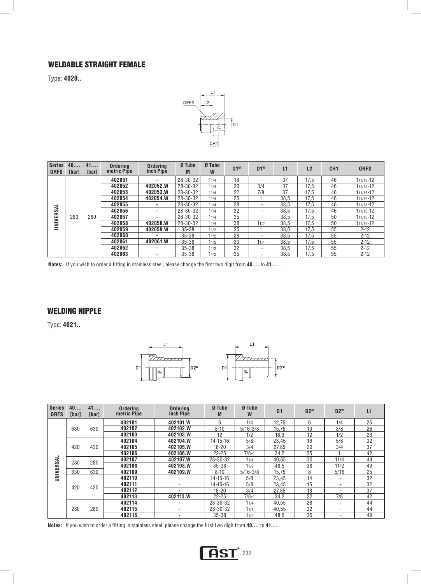#### WELDABLE STRAIGHT FEMALE L

Type: **4020..** 



| <b>Series</b><br><b>ORFS</b> | 40<br>[bar] | 41<br>[bar] | <b>Orderina</b><br>metric Pipe | Ordering<br><b>Inch Pipe</b> | Ø Tube<br>M | Ø Tube<br>W | $D1^M$ | $D1^w$                   | L1   | L2   | CH <sub>1</sub> | <b>ORFS</b> |
|------------------------------|-------------|-------------|--------------------------------|------------------------------|-------------|-------------|--------|--------------------------|------|------|-----------------|-------------|
|                              |             |             | 402051                         | ۰                            | 28-30-32    | 11/4        | 18     |                          | 37   | 17.5 | 46              | 111/16-12   |
|                              |             |             | 402052                         | 402052.W                     | 28-30-32    | 11/4        | 20     | 3/4                      | 37   | 17,5 | 46              | 111/16-12   |
|                              |             |             | 402053                         | 402053.W                     | 28-30-32    | 11/4        | 22     | 7/8                      | 37   | 17,5 | 46              | 111/16-12   |
|                              |             |             | 402054                         | 402054.W                     | 28-30-32    | 11/4        | 25     |                          | 38,5 | 17,5 | 46              | 111/16-12   |
|                              |             |             | 402055                         | ۰.                           | 28-30-32    | 11/4        | 28     | $\overline{\phantom{a}}$ | 38.5 | 17.5 | 46              | 111/16-12   |
| UNIVERSAL                    |             |             | 402056                         | $\sim$                       | 28-30-32    | 11/4        | 32     | $\overline{\phantom{a}}$ | 38,5 | 17,5 | 46              | 111/16-12   |
|                              | 280         | 280         | 402057                         | $\sim$                       | 28-30-32    | 11/4        | 35     | $\overline{\phantom{a}}$ | 38,5 | 17.5 | 50              | 111/16-12   |
|                              |             |             | 402058                         | 402058.W                     | 28-30-32    | 11/4        | 38     | 11/2                     | 38.5 | 17,5 | 50              | 111/16-12   |
|                              |             |             | 402059                         | 402059.W                     | $35 - 38$   | 11/2        | 25     |                          | 38.5 | 17.5 | 55              | $2 - 12$    |
|                              |             |             | 402060                         | ٠                            | $35 - 38$   | 11/2        | 28     | $\overline{\phantom{a}}$ | 38.5 | 17.5 | 55              | $2 - 12$    |
|                              |             |             | 402061                         | 402061.W                     | $35 - 38$   | 11/2        | 30     | 11/4                     | 38.5 | 17.5 | 55              | $2 - 12$    |
|                              |             |             | 402062                         | ۰.                           | $35 - 38$   | 11/2        | 32     | $\overline{\phantom{a}}$ | 38.5 | 17.5 | 55              | $2 - 12$    |
|                              |             |             | 402063                         | ٠                            | $35 - 38$   | 11/2        | 35     | $\overline{\phantom{a}}$ | 38.5 | 17.5 | 55              | $2 - 12$    |

**Notes:** If you wish to order a fitting in stainless steel, please change the first two digit from **40....** to **41....** .

#### WELDING NIPPLE

Type: **4021..** 



| Series<br><b>ORFS</b> | 40<br><b>Ibarl</b> | 41<br><b>Ibarl</b> | <b>Ordering</b><br>metric Pipe | <b>Ordering</b><br><b>Inch Pipe</b> | Ø Tube<br>M    | Ø Tube<br>W  | D <sub>1</sub> | $D2^M$ | $D2^w$ | L1 |
|-----------------------|--------------------|--------------------|--------------------------------|-------------------------------------|----------------|--------------|----------------|--------|--------|----|
|                       |                    |                    | 402101                         | 402101.W                            | 6              | 1/4          | 12.75          | 6      | 1/4    | 25 |
|                       | 630                | 630                | 402102                         | 402102.W                            | $8 - 10$       | $5/16 - 3/8$ | 15.75          | 10     | 3/8    | 26 |
|                       |                    |                    | 402103                         | 402103.W                            | 12             | 1/2          | 18,9           | 12     | 1/2    | 26 |
|                       |                    |                    | 402104                         | 402104.W                            | $14 - 15 - 16$ | 5/8          | 23.45          | 16     | 5/8    | 32 |
|                       | 420                | 420                | 402105                         | 402105.W                            | $18 - 20$      | 3/4          | 27.85          | 20     | 3/4    | 37 |
|                       |                    |                    | 402106                         | 402106.W                            | $22 - 25$      | $7/8-1$      | 34.2           | 25     |        | 42 |
| UNIVERSAL             | 280                | 280                | 402107                         | 402107.W                            | 28-30-32       | 11/4         | 40.55          | 30     | 11/4   | 44 |
|                       |                    |                    | 402108                         | 402108.W                            | $35 - 38$      | 11/2         | 48,5           | 38     | 11/2   | 49 |
|                       | 630                | 630                | 402109                         | 402109.W                            | $8 - 10$       | $5/16 - 3/8$ | 15.75          | 8      | 5/16   | 25 |
|                       |                    |                    | 402110                         | ۰                                   | $14 - 15 - 16$ | 5/8          | 23.45          | 14     | ۰.     | 32 |
|                       | 420                | 420                | 402111                         | ۰                                   | $14 - 15 - 16$ | 5/8          | 23,45          | 15     | ۰.     | 32 |
|                       |                    |                    | 402112                         | ۰                                   | $18 - 20$      | 3/4          | 27,85          | 18     | ۰      | 37 |
|                       |                    |                    | 402113                         | 402113.W                            | $22 - 25$      | $7/8-1$      | 34,2           | 22     | 7/8    | 42 |
|                       |                    |                    | 402114                         | ٠                                   | 28-30-32       | 11/4         | 40,55          | 28     | ۰.     | 44 |
|                       | 280                | 280                | 402115                         | ٠                                   | 28-30-32       | 11/4         | 40,55          | 32     | ۰.     | 44 |
|                       |                    |                    | 402116                         |                                     | $35 - 38$      | 11/2         | 48,5           | 35     | ۰      | 49 |



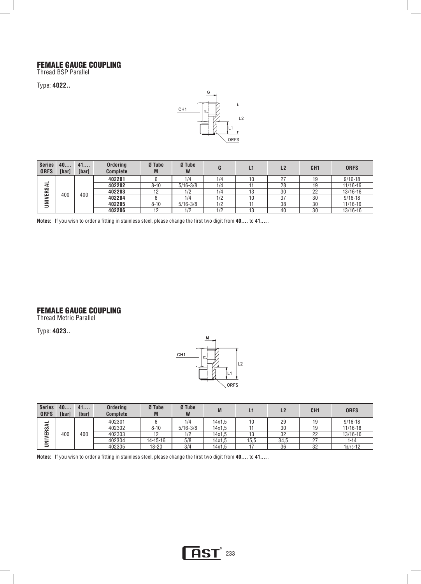#### FEMALE GAUGE COUPLING

Thread BSP Parallel

Type: **4022..** 



| <b>Series</b><br><b>ORFS</b> | 40<br><b>[bar]</b> | 41<br>[bar] | <b>Ordering</b><br><b>Complete</b> | Ø Tube<br>M | Ø Tube<br>W  |     | L1 | L2     | CH <sub>1</sub> | <b>ORFS</b>  |
|------------------------------|--------------------|-------------|------------------------------------|-------------|--------------|-----|----|--------|-----------------|--------------|
|                              |                    |             | 402201                             |             | 1/4          | 1/4 | 10 | $\sim$ | 19              | $9/16 - 18$  |
| ₹                            |                    |             | 402202                             | $8 - 10$    | $5/16 - 3/8$ | 1/4 |    | 28     | 19              | 11/16-16     |
| œ<br>₽<br>₹                  | 400                | 400         | 402203                             |             | 1/2          | 1/4 |    | 30     | 22              | $13/16 - 16$ |
|                              |                    |             | 402204                             |             | 1/4          | 1/2 | 10 | 37     | 30              | $9/16 - 18$  |
|                              |                    |             | 402205                             | $8 - 10$    | $5/16 - 3/8$ | 1/2 |    | 38     | 30              | 11/16-16     |
|                              |                    |             | 402206                             | 19          | 1/2          | 1/2 | 13 | 40     | 30              | 13/16-16     |

**Notes:** If you wish to order a fitting in stainless steel, please change the first two digit from **40....** to **41....** .

#### FEMALE GAUGE COUPLING

Thread Metric Parallel

Type: **4023..** 



| <b>Series</b><br><b>ORFS</b> | 40<br>[bar] | 41<br>[bar] | <b>Ordering</b><br><b>Complete</b> | Ø Tube<br>M    | Ø Tube<br>W  | M      |      | L <sub>2</sub> | CH <sub>1</sub> | <b>ORFS</b> |
|------------------------------|-------------|-------------|------------------------------------|----------------|--------------|--------|------|----------------|-----------------|-------------|
| -<br>2                       |             |             | 402301                             |                | 1/4          | 14x1.5 |      | 29             | 19              | $9/16 - 18$ |
|                              |             |             | 402302                             | $8 - 10$       | $5/16 - 3/8$ | 14x1.5 |      | 30             | 19              | 11/16-18    |
| ERS.<br>₹                    | 400         | 400         | 402303                             |                | 1/2          | 14x1.5 | 13   | 32             | 22              | 13/16-16    |
|                              |             |             | 402304                             | $14 - 15 - 16$ | 5/8          | 14x1.5 | 15,5 | 34.5           | 27              | $1 - 14$    |
|                              |             |             | 402305                             | $18 - 20$      | 3/4          | 14x1,5 |      | 36             | 32              | 13/16-12    |

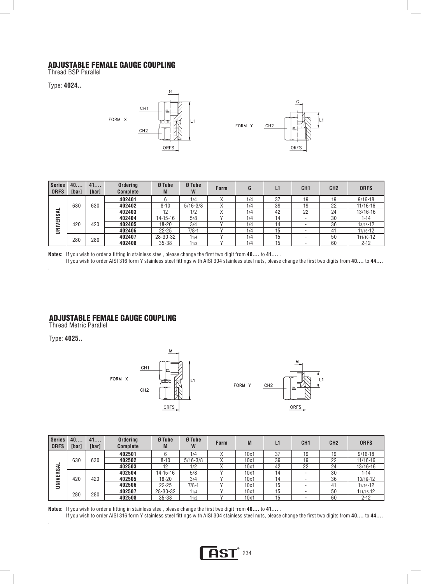#### ADJUSTABLE FEMALE GAUGE COUPLING

Thread BSP Parallel

Type: **4024..**



| <b>Series</b><br><b>ORFS</b> | 40<br><b>[bar]</b> | 41<br>[bar] | <b>Ordering</b><br><b>Complete</b> | Ø Tube<br>M    | Ø Tube<br>W  | <b>Form</b> | G   | L1 | CH1 | CH <sub>2</sub> | <b>ORFS</b>  |
|------------------------------|--------------------|-------------|------------------------------------|----------------|--------------|-------------|-----|----|-----|-----------------|--------------|
|                              |                    |             | 402401                             |                | 1/4          |             | 1/4 | 37 | 19  | 19              | $9/16 - 18$  |
| ₹                            | 630                | 630         | 402402                             | $8 - 10$       | $5/16 - 3/8$ | ∧           | 1/4 | 39 | 19  | 22              | $11/16 - 16$ |
|                              |                    |             | 402403                             | 12             | 1/2          |             | 1/4 | 42 | 22  | 24              | 13/16-16     |
|                              |                    |             | 402404                             | $14 - 15 - 16$ | 5/8          |             | 1/4 | 14 |     | 30              | $1 - 14$     |
|                              | 420                | 420         | 402405                             | $18 - 20$      | 3/4          |             | 1/4 | 14 |     | 36              | $13/16 - 12$ |
| <b>UNIVERS</b>               |                    |             | 402406                             | $22 - 25$      | $7/8-1$      |             | 1/4 | 15 |     | 41              | 17/16-12     |
|                              | 280                | 280         | 402407                             | 28-30-32       | 11/4         |             | 1/4 | 15 |     | 50              | 111/16-12    |
|                              |                    |             | 402408                             | $35 - 38$      | 11/2         |             | 1/4 | 15 |     | 60              | $2 - 12$     |

**Notes:** If you wish to order a fitting in stainless steel, please change the first two digit from **40....** to **41....** .

If you wish to order AISI 316 form Y stainless steel fittings with AISI 304 stainless steel nuts, please change the first two digits from **40....** to **44....** 

#### ADJUSTABLE FEMALE GAUGE COUPLING

Thread Metric Parallel

Type: **4025..** 

.

.



| <b>Series</b><br><b>ORFS</b> | 40<br><b>[bar]</b> | 41<br>[bar] | <b>Ordering</b><br><b>Complete</b> | Ø Tube<br>M    | Ø Tube<br>W  | <b>Form</b> | M    | L1 | CH1                      | CH <sub>2</sub> | <b>ORFS</b>  |
|------------------------------|--------------------|-------------|------------------------------------|----------------|--------------|-------------|------|----|--------------------------|-----------------|--------------|
|                              |                    |             | 402501                             |                | 1/4          |             | 10x1 | 37 | 19                       | 19              | $9/16 - 18$  |
|                              | 630                | 630         | 402502                             | $8 - 10$       | $5/16 - 3/8$ | ∧           | 10x1 | 39 | 19                       | 22              | $11/16 - 16$ |
| –<br>⋖                       |                    |             | 402503                             | 12             | 1/2          |             | 10x1 | 42 | 22                       | 24              | 13/16-16     |
|                              |                    |             | 402504                             | $14 - 15 - 16$ | 5/8          |             | 10x1 | 14 |                          | 30              | $1 - 14$     |
|                              | 420                | 420         | 402505                             | $18 - 20$      | 3/4          |             | 10x1 | 14 |                          | 36              | 13/16-12     |
| <b>UNIVERS</b>               |                    |             | 402506                             | $22 - 25$      | $7/8-1$      |             | 10x1 | 15 |                          | 41              | 17/16-12     |
|                              | 280                | 280         | 402507                             | 28-30-32       | 11/4         |             | 10x1 | 15 | $\overline{\phantom{a}}$ | 50              | 111/16-12    |
|                              |                    |             | 402508                             | $35 - 38$      | 11/2         |             | 10x1 | 15 |                          | 60              | $2 - 12$     |

**Notes:** If you wish to order a fitting in stainless steel, please change the first two digit from **40....** to **41....** .

If you wish to order AISI 316 form Y stainless steel fittings with AISI 304 stainless steel nuts, please change the first two digits from **40....** to **44....** 

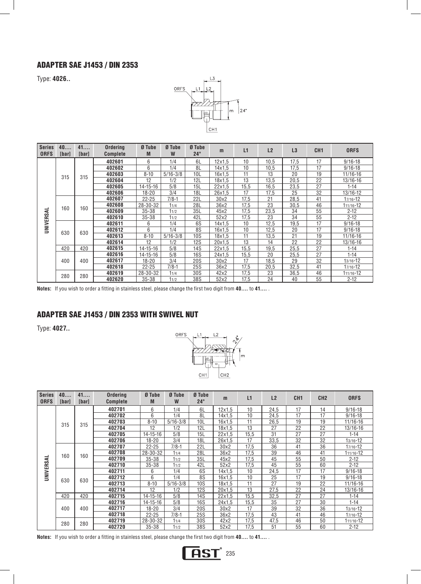## ADAPTER SAE J1453 / DIN 2353

Type: **4026..** 



| <b>Series</b><br><b>ORFS</b> | 40<br>[bar] | 41<br><b>[bar]</b> | <b>Ordering</b><br><b>Complete</b> | Ø Tube<br>M    | Ø Tube<br>W  | Ø Tube<br>$24^\circ$ | m             | L1   | L2   | L3   | CH <sub>1</sub> | <b>ORFS</b>  |
|------------------------------|-------------|--------------------|------------------------------------|----------------|--------------|----------------------|---------------|------|------|------|-----------------|--------------|
|                              |             |                    | 402601                             | 6              | 1/4          | 6L                   | $12\times1.5$ | 10   | 10.5 | 17,5 | 17              | $9/16 - 18$  |
|                              |             |                    | 402602                             | 6              | 1/4          | 8L                   | 14x1.5        | 10   | 10.5 | 17,5 | 17              | $9/16 - 18$  |
|                              | 315         | 315                | 402603                             | $8 - 10$       | $5/16 - 3/8$ | 10L                  | 16x1.5        | 11   | 13   | 20   | 19              | 11/16-16     |
|                              |             |                    | 402604                             | 12             | 1/2          | 12L                  | 18x1.5        | 13   | 13,5 | 20,5 | 22              | 13/16-16     |
|                              |             |                    | 402605                             | $14 - 15 - 16$ | 5/8          | 15L                  | 22x1.5        | 15,5 | 16,5 | 23,5 | 27              | $1 - 14$     |
|                              |             |                    | 402606                             | $18 - 20$      | 3/4          | 18L                  | 26x1.5        | 17   | 17,5 | 25   | 32              | 13/16-12     |
|                              |             |                    | 402607                             | $22 - 25$      | $7/8-1$      | 22L                  | 30x2          | 17,5 | 21   | 28,5 | 41              | $17/16 - 12$ |
|                              | 160         | 160                | 402608                             | 28-30-32       | 11/4         | 28L                  | 36x2          | 17,5 | 23   | 30,5 | 46              | 111/16-12    |
| ₹                            |             |                    | 402609                             | $35 - 38$      | 11/2         | 35L                  | 45x2          | 17,5 | 23,5 | 34   | 55              | $2 - 12$     |
|                              |             |                    | 402610                             | $35 - 38$      | 11/2         | 42L                  | 52x2          | 17,5 | 23   | 34   | 55              | $2 - 12$     |
| <b>UNIVERS</b>               |             |                    | 402611                             | 6              | 1/4          | 6S                   | 14x1.5        | 10   | 12.5 | 19,5 | 17              | $9/16 - 18$  |
|                              | 630         | 630                | 402612                             | 6              | 1/4          | 8S                   | 16x1.5        | 10   | 12.5 | 20   | 17              | $9/16 - 18$  |
|                              |             |                    | 402613                             | $8 - 10$       | $5/16 - 3/8$ | <b>10S</b>           | 18x1.5        | 11   | 13,5 | 21   | 19              | 11/16-16     |
|                              |             |                    | 402614                             | 12             | 1/2          | <b>12S</b>           | 20x1.5        | 13   | 14   | 22   | 22              | 13/16-16     |
|                              | 420         | 420                | 402615                             | $14 - 15 - 16$ | 5/8          | 14S                  | 22x1.5        | 15,5 | 19,5 | 25,5 | 27              | $1 - 14$     |
|                              |             |                    | 402616                             | $14 - 15 - 16$ | 5/8          | <b>16S</b>           | 24x1.5        | 15,5 | 20   | 25,5 | 27              | $1 - 14$     |
|                              | 400         | 400                | 402617                             | $18 - 20$      | 3/4          | <b>20S</b>           | 30x2          | 17   | 18.5 | 29   | 32              | $13/16 - 12$ |
|                              |             |                    | 402618                             | $22 - 25$      | $7/8-1$      | <b>25S</b>           | 36x2          | 17,5 | 20,5 | 32,5 | 41              | 17/16-12     |
|                              | 280         | 280                | 402619                             | 28-30-32       | 11/4         | 30S                  | 42x2          | 17,5 | 23   | 36,5 | 46              | 111/16-12    |
|                              |             |                    | 402620                             | $35 - 38$      | 11/2         | 38S                  | 52x2          | 17.5 | 24   | 40   | 55              | $2 - 12$     |

**Notes:** If you wish to order a fitting in stainless steel, please change the first two digit from **40....** to **41....** .

## ADAPTER SAE J1453 / DIN 2353 with SWIVEL NUT

Type: **4027..** 



| <b>Series</b><br><b>ORFS</b> | 40<br>[bar] | 41<br>[bar] | Ordering<br><b>Complete</b> | Ø Tube<br>M    | Ø Tube<br>W  | Ø Tube<br>$24^\circ$ | m      | L1               | L <sub>2</sub> | CH <sub>1</sub> | CH <sub>2</sub> | <b>ORFS</b>  |
|------------------------------|-------------|-------------|-----------------------------|----------------|--------------|----------------------|--------|------------------|----------------|-----------------|-----------------|--------------|
|                              |             |             | 402701                      | 6              | 1/4          | 6L                   | 12x1.5 | 10 <sup>10</sup> | 24,5           | 17              | 14              | $9/16 - 18$  |
|                              |             |             | 402702                      | 6              | 1/4          | 8L                   | 14x1.5 | 10               | 24,5           | 17              | 17              | $9/16 - 18$  |
|                              |             |             | 402703                      | $8 - 10$       | $5/16 - 3/8$ | 10L                  | 16x1.5 | 11               | 26,5           | 19              | 19              | 11/16-16     |
|                              | 315         | 315         | 402704                      | 12             | 1/2          | 12L                  | 18x1.5 | 13               | 27             | 22              | 22              | 13/16-16     |
|                              |             |             | 402705                      | $14 - 15 - 16$ | 5/8          | 15L                  | 22x1.5 | 15,5             | 31             | 27              | 27              | $1 - 14$     |
|                              |             |             | 402706                      | $18 - 20$      | 3/4          | 18L                  | 26x1.5 | 17               | 33,5           | 32              | 32              | $13/16 - 12$ |
|                              |             |             | 402707                      | $22 - 25$      | $7/8-1$      | 22L                  | 30x2   | 17,5             | 36             | 41              | 36              | 17/16-12     |
|                              | 160         | 160         | 402708                      | 28-30-32       | 11/4         | 28L                  | 36x2   | 17.5             | 39             | 46              | 41              | 111/16-12    |
| UNIVERSAL                    |             |             | 402709                      | $35 - 38$      | 11/2         | 35L                  | 45x2   | 17.5             | 45             | 55              | 50              | $2 - 12$     |
|                              |             |             | 402710                      | $35 - 38$      | 11/2         | 42L                  | 52x2   | 17,5             | 45             | 55              | 60              | $2 - 12$     |
|                              |             |             | 402711                      | 6              | 1/4          | 6S                   | 14x1.5 | 10               | 24,5           | 17              | 17              | $9/16 - 18$  |
|                              | 630         | 630         | 402712                      | 6              | 1/4          | 8S                   | 16x1.5 | 10               | 25             | 17              | 19              | $9/16 - 18$  |
|                              |             |             | 402713                      | $8 - 10$       | $5/16 - 3/8$ | <b>10S</b>           | 18x1.5 | 11               | 27             | 19              | 22              | 11/16-16     |
|                              |             |             | 402714                      | 12             | 1/2          | <b>12S</b>           | 20x1.5 | 13               | 27,5           | 22              | 24              | 13/16-16     |
|                              | 420         | 420         | 402715                      | $14 - 15 - 16$ | 5/8          | 14S                  | 22x1.5 | 15,5             | 32,5           | 27              | 27              | $1 - 14$     |
|                              |             |             | 402716                      | $14 - 15 - 16$ | 5/8          | 16S                  | 24x1.5 | 15,5             | 35             | 27              | 30              | $1 - 14$     |
|                              | 400         | 400         | 402717                      | $18 - 20$      | 3/4          | <b>20S</b>           | 30x2   | 17               | 39             | 32              | 36              | $13/16 - 12$ |
|                              |             |             | 402718                      | $22 - 25$      | $7/8-1$      | <b>25S</b>           | 36x2   | 17,5             | 43             | 41              | 46              | 17/16-12     |
|                              | 280         | 280         | 402719                      | 28-30-32       | 11/4         | 30S                  | 42x2   | 17,5             | 47,5           | 46              | 50              | 111/16-12    |
|                              |             |             | 402720                      | $35 - 38$      | 11/2         | 38S                  | 52x2   | 17,5             | 51             | 55              | 60              | $2 - 12$     |

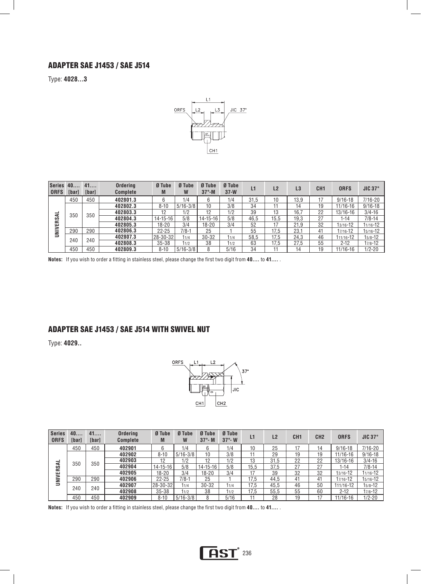#### ADAPTER SAE J1453 / SAE J514

Type: **4028...3**



| <b>Series</b><br><b>ORFS</b> | 40<br>[bar] | 41<br>[bar] | <b>Ordering</b><br><b>Complete</b> | Ø Tube<br>M      | Ø Tube<br>W  | Ø Tube<br>$37^\circ$ -M | Ø Tube<br>$37-W$ | L1   | L2   | L3   | CH <sub>1</sub> | <b>ORFS</b> | <b>JIC 37°</b> |
|------------------------------|-------------|-------------|------------------------------------|------------------|--------------|-------------------------|------------------|------|------|------|-----------------|-------------|----------------|
|                              | 450         | 450         | 402801.3                           | 6                | 1/4          | 6                       | 1/4              | 31.5 | 10   | 13.9 |                 | $9/16 - 18$ | 7/16-20        |
|                              |             |             | 402802.3                           | $8 - 10$         | $5/16 - 3/8$ | 10                      | 3/8              | 34   | 11   | 14   | 19              | 11/16-16    | $9/16 - 18$    |
| –                            | 350         | 350         | 402803.3                           | 12               | 1/2          | 12                      | 1/2              | 39   | 13   | 16.7 | 22              | 13/16-16    | $3/4 - 16$     |
| ERSAI                        |             |             | 402804.3                           | 14-15-16         | 5/8          | $14 - 15 - 16$          | 5/8              | 46.5 | 15.5 | 19,3 | 27              | $1 - 14$    | $7/8 - 14$     |
|                              |             |             | 402805.3                           | 18-20            | 3/4          | 18-20                   | 3/4              | 52   | 17   | 21.9 | 32              | 13/16-12    | 11/16-12       |
| $\geq$                       | 290         | 290         | 402806.3                           | $22 - 25$        | $7/8-1$      | 25                      |                  | 55   | 17.5 | 23,1 | 41              | 17/16-12    | 15/16-12       |
|                              | 240         | 240         | 402807.3                           | $ 28 - 30 - 32 $ | 11/4         | $30 - 32$               | 11/4             | 58.5 | 17.5 | 24.3 | 46              | 111/16-12   | $15/8 - 12$    |
|                              |             |             | 402808.3                           | $35 - 38$        | 11/2         | 38                      | 11/2             | 63   | 17.5 | 27.5 | 55              | $2 - 12$    | $17/8 - 12$    |
|                              | 450         | 450         | 402809.3                           | $8 - 10$         | $5/16 - 3/8$ |                         | 5/16             | 34   |      | 14   | 19              | 11/16-16    | $1/2 - 20$     |

**Notes:** If you wish to order a fitting in stainless steel, please change the first two digit from **40....** to **41....** .

## ADAPTER SAE J1453 / SAE J514 with SWIVEL NUT

Type: **4029..** 



| <b>Series</b><br><b>ORFS</b> | 40<br>[bar] | 41<br>[bar] | <b>Ordering</b><br><b>Complete</b> | Ø Tube<br>M    | Ø Tube<br>W  | Ø Tube<br>$37^\circ$ -M | Ø Tube<br>$37^\circ$ - W | L1   | L <sub>2</sub> | CH <sub>1</sub> | CH <sub>2</sub> | <b>ORFS</b> | JIC $37^\circ$ |
|------------------------------|-------------|-------------|------------------------------------|----------------|--------------|-------------------------|--------------------------|------|----------------|-----------------|-----------------|-------------|----------------|
|                              | 450         | 450         | 402901                             | 6              | 1/4          |                         | 1/4                      | 10   | 25             |                 | 14              | $9/16 - 18$ | $7/16 - 20$    |
|                              |             |             | 402902                             | $8 - 10$       | $5/16 - 3/8$ | 10                      | 3/8                      | 11   | 29             | 19              | 19              | 11/16-16    | $9/16 - 18$    |
| -                            | 350         | 350         | 402903                             | 12             | 1/2          | 12                      | 1/2                      | 13   | 31.5           | 22              | 22              | 13/16-16    | $3/4 - 16$     |
| ERSAI                        |             |             | 402904                             | $14 - 15 - 16$ | 5/8          | $14 - 15 - 16$          | 5/8                      | 15.5 | 37.5           | 27              | 27              | 1-14        | $7/8 - 14$     |
|                              |             |             | 402905                             | 18-20          | 3/4          | 18-20                   | 3/4                      | 17   | 39             | 32              | 32              | 13/16-12    | 11/16-12       |
| <b>MINI</b>                  | 290         | 290         | 402906                             | $22 - 25$      | $7/8-1$      | 25                      |                          | 17.5 | 44.5           | 41              | 41              | 17/16-12    | 15/16-12       |
|                              | 240         | 240         | 402907                             | 28-30-32       | 11/4         | $30 - 32$               | 11/4                     | 17.5 | 45.5           | 46              | 50              | 111/16-12   | 15/8-12        |
|                              |             |             | 402908                             | $35 - 38$      | 11/2         | 38                      | 11/2                     | 17.5 | 55.5           | 55              | 60              | $2 - 12$    | $17/8 - 12$    |
|                              | 450         | 450         | 402909                             | $8 - 10$       | $5/16 - 3/8$ | ጸ                       | 5/16                     |      | 28             | 19              | 17              | 11/16-16    | $1/2 - 20$     |

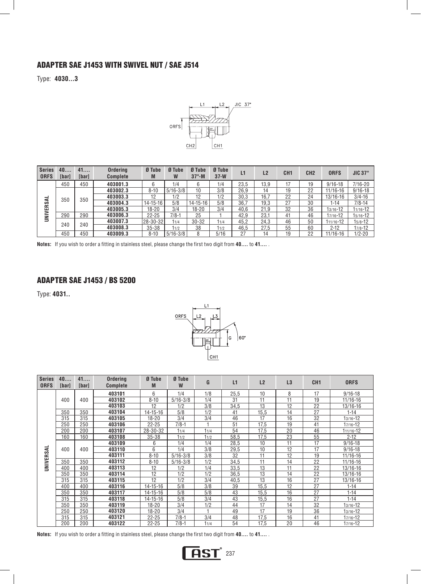## ADAPTER SAE J1453 with SWIVEL NUT / SAE J514

Type: **4030...3**



| <b>Series</b><br><b>ORFS</b> | 40<br>[bar] | 41<br>[bar] | <b>Ordering</b><br><b>Complete</b> | Ø Tube<br>M    | Ø Tube<br>W  | Ø Tube<br>$37^\circ$ -M | Ø Tube<br>$37-W$ | L1   | L <sub>2</sub> | CH <sub>1</sub> | CH <sub>2</sub> | <b>ORFS</b> | JIC 37°     |
|------------------------------|-------------|-------------|------------------------------------|----------------|--------------|-------------------------|------------------|------|----------------|-----------------|-----------------|-------------|-------------|
|                              | 450         | 450         | 403001.3                           |                | 1/4          | 6                       | 1/4              | 23,5 | 13.9           | 17              | 19              | $9/16 - 18$ | 7/16-20     |
|                              |             |             | 403002.3                           | $8 - 10$       | $5/16 - 3/8$ | 10                      | 3/8              | 26.9 | 14             | 19              | 22              | 11/16-16    | $9/16 - 18$ |
| ┙                            | 350         | 350         | 403003.3                           | 12             | 1/2          | 12                      | 1/2              | 30.3 | 16.7           | 22              | 24              | 13/16-16    | $3/4 - 16$  |
|                              |             |             | 403004.3                           | $14 - 15 - 16$ | 5/8          | $14 - 15 - 16$          | 5/8              | 36.7 | 19.3           | 27              | 30              | $1 - 14$    | $7/8 - 14$  |
|                              |             |             | 403005.3                           | 18-20          | 3/4          | 18-20                   | 3/4              | 40.6 | 21.9           | 32              | 36              | 13/16-12    | 11/16-12    |
| UNIVERSA                     | 290         | 290         | 403006.3                           | $22 - 25$      | $7/8-1$      | 25                      |                  | 42.9 | 23.1           | 41              | 46              | 17/16-12    | 15/16-12    |
|                              | 240         | 240         | 403007.3                           | 28-30-32       | 11/4         | $30 - 32$               | 11/4             | 45.2 | 24.3           | 46              | 50              | 111/16-12   | $15/8 - 12$ |
|                              |             |             | 403008.3                           | $35 - 38$      | 11/2         | 38                      | 11/2             | 46.5 | 27.5           | 55              | 60              | $2 - 12$    | $17/8 - 12$ |
|                              | 450         | 450         | 403009.3                           | $8 - 10$       | $5/16 - 3/8$ | 8                       | 5/16             | -27  | 14             | 19              | 22              | 11/16-16    | $1/2 - 20$  |

**Notes:** If you wish to order a fitting in stainless steel, please change the first two digit from **40....** to **41....** .

### ADAPTER SAE J1453 / BS 5200

Type: **4031..** 



| <b>Series</b><br><b>ORFS</b> | 40<br>[bar] | 41<br>[bar] | <b>Ordering</b><br><b>Complete</b> | Ø Tube<br>M    | Ø Tube<br>W  | G    | L1   | L2   | L3 | CH <sub>1</sub> | <b>ORFS</b>  |
|------------------------------|-------------|-------------|------------------------------------|----------------|--------------|------|------|------|----|-----------------|--------------|
|                              |             |             | 403101                             | 6              | 1/4          | 1/8  | 25,5 | 10   | 8  | 17              | $9/16 - 18$  |
|                              | 400         | 400         | 403102                             | $8 - 10$       | $5/16 - 3/8$ | 1/4  | 31   | 11   | 11 | 19              | $11/16 - 16$ |
|                              |             |             | 403103                             | 12             | 1/2          | 3/8  | 34,5 | 13   | 12 | 22              | 13/16-16     |
|                              | 350         | 350         | 403104                             | 14-15-16       | 5/8          | 1/2  | 41   | 15,5 | 14 | 27              | $1 - 14$     |
|                              | 315         | 315         | 403105                             | 18-20          | 3/4          | 3/4  | 46   | 17   | 16 | 32              | $13/16 - 12$ |
|                              | 250         | 250         | 403106                             | $22 - 25$      | $7/8 - 1$    |      | 51   | 17,5 | 19 | 41              | 17/16-12     |
|                              | 200         | 200         | 403107                             | 28-30-32       | 11/4         | 11/4 | 54   | 17,5 | 20 | 46              | 111/16-12    |
|                              | 160         | 160         | 403108                             | $35 - 38$      | 11/2         | 11/2 | 58,5 | 17,5 | 23 | 55              | $2 - 12$     |
|                              |             |             | 403109                             | 6              | 1/4          | 1/4  | 28,5 | 10   | 11 | 17              | $9/16 - 18$  |
|                              | 400         | 400         | 403110                             | 6              | 1/4          | 3/8  | 29,5 | 10   | 12 | 17              | $9/16 - 18$  |
| UNIVERSAL                    |             |             | 403111                             | $8 - 10$       | $5/16 - 3/8$ | 3/8  | 32   | 11   | 12 | 19              | 11/16-16     |
|                              | 350         | 350         | 403112                             | $8 - 10$       | $5/16 - 3/8$ | 1/2  | 34.5 | 11   | 14 | 22              | 11/16-16     |
|                              | 400         | 400         | 403113                             | 12             | 1/2          | 1/4  | 33,5 | 13   | 11 | 22              | $13/16 - 16$ |
|                              | 350         | 350         | 403114                             | 12             | 1/2          | 1/2  | 36,5 | 13   | 14 | 22              | $13/16 - 16$ |
|                              | 315         | 315         | 403115                             | 12             | 1/2          | 3/4  | 40,5 | 13   | 16 | 27              | 13/16-16     |
|                              | 400         | 400         | 403116                             | $14 - 15 - 16$ | 5/8          | 3/8  | 39   | 15,5 | 12 | 27              | $1 - 14$     |
|                              | 350         | 350         | 403117                             | 14-15-16       | 5/8          | 5/8  | 43   | 15,5 | 16 | 27              | $1 - 14$     |
|                              | 315         | 315         | 403118                             | $14 - 15 - 16$ | 5/8          | 3/4  | 43   | 15,5 | 16 | 27              | $1 - 14$     |
|                              | 350         | 350         | 403119                             | $18 - 20$      | 3/4          | 1/2  | 44   | 17   | 14 | 32              | $13/16 - 12$ |
|                              | 250         | 250         | 403120                             | 18-20          | 3/4          |      | 49   | 17   | 19 | 36              | $13/16 - 12$ |
|                              | 315         | 315         | 403121                             | $22 - 25$      | $7/8-1$      | 3/4  | 48   | 17,5 | 16 | 41              | 17/16-12     |
|                              | 200         | 200         | 403122                             | $22 - 25$      | $7/8-1$      | 11/4 | 54   | 17,5 | 20 | 46              | 17/16-12     |

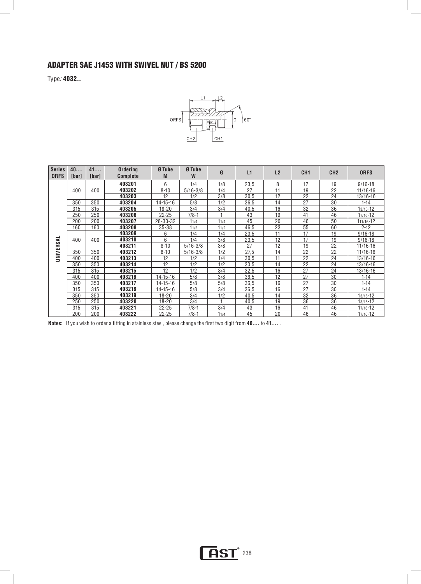## ADAPTER SAE J1453 with SWIVEL NUT / BS 5200

Type*:* **4032..** 



| <b>Series</b><br><b>ORFS</b> | 40<br>[bar] | 41<br>[bar] | <b>Ordering</b><br><b>Complete</b> | Ø Tube<br>M    | Ø Tube<br>W  | G    | L1   | L2 | CH <sub>1</sub> | CH <sub>2</sub> | <b>ORFS</b>  |
|------------------------------|-------------|-------------|------------------------------------|----------------|--------------|------|------|----|-----------------|-----------------|--------------|
|                              |             |             | 403201                             | 6              | 1/4          | 1/8  | 23,5 | 8  | 17              | 19              | $9/16 - 18$  |
|                              | 400         | 400         | 403202                             | $8 - 10$       | $5/16 - 3/8$ | 1/4  | 27   | 11 | 19              | 22              | 11/16-16     |
|                              |             |             | 403203                             | 12             | 1/2          | 3/8  | 30,5 | 12 | 22              | 24              | 13/16-16     |
|                              | 350         | 350         | 403204                             | 14-15-16       | 5/8          | 1/2  | 36,5 | 14 | 27              | 30              | $1 - 14$     |
|                              | 315         | 315         | 403205                             | $18 - 20$      | 3/4          | 3/4  | 40,5 | 16 | 32              | 36              | 13/16-12     |
|                              | 250         | 250         | 403206                             | $22 - 25$      | $7/8-1$      |      | 43   | 19 | 41              | 46              | 17/16-12     |
|                              | 200         | 200         | 403207                             | 28-30-32       | 11/4         | 11/4 | 45   | 20 | 46              | 50              | 111/16-12    |
|                              | 160         | 160         | 403208                             | $35 - 38$      | 11/2         | 11/2 | 46.5 | 23 | 55              | 60              | $2 - 12$     |
|                              |             |             | 403209                             | 6              | 1/4          | 1/4  | 23,5 | 11 | 17              | 19              | $9/16 - 18$  |
|                              | 400         | 400         | 403210                             | 6              | 1/4          | 3/8  | 23,5 | 12 | 17              | 19              | $9/16 - 18$  |
| UNIVERSAL                    |             |             | 403211                             | $8 - 10$       | $5/16 - 3/8$ | 3/8  | 27   | 12 | 19              | 22              | 11/16-16     |
|                              | 350         | 350         | 403212                             | $8 - 10$       | $5/16 - 3/8$ | 1/2  | 27.5 | 14 | 22              | 22              | 11/16-16     |
|                              | 400         | 400         | 403213                             | 12             | 1/2          | 1/4  | 30.5 | 11 | 22              | 24              | 13/16-16     |
|                              | 350         | 350         | 403214                             | 12             | 1/2          | 1/2  | 30.5 | 14 | 22              | 24              | 13/16-16     |
|                              | 315         | 315         | 403215                             | 12             | 1/2          | 3/4  | 32,5 | 16 | 27              | 24              | 13/16-16     |
|                              | 400         | 400         | 403216                             | $14 - 15 - 16$ | 5/8          | 3/8  | 36.5 | 12 | 27              | 30              | $1 - 14$     |
|                              | 350         | 350         | 403217                             | $14 - 15 - 16$ | 5/8          | 5/8  | 36,5 | 16 | 27              | 30              | $1 - 14$     |
|                              | 315         | 315         | 403218                             | $14 - 15 - 16$ | 5/8          | 3/4  | 36.5 | 16 | 27              | 30              | $1 - 14$     |
|                              | 350         | 350         | 403219                             | $18 - 20$      | 3/4          | 1/2  | 40,5 | 14 | 32              | 36              | $13/16 - 12$ |
|                              | 250         | 250         | 403220                             | $18 - 20$      | 3/4          |      | 40.5 | 19 | 36              | 36              | $13/16 - 12$ |
|                              | 315         | 315         | 403221                             | $22 - 25$      | $7/8-1$      | 3/4  | 43   | 16 | 41              | 46              | 17/16-12     |
|                              | 200         | 200         | 403222                             | $22 - 25$      | $7/8-1$      | 11/4 | 45   | 20 | 46              | 46              | 17/16-12     |

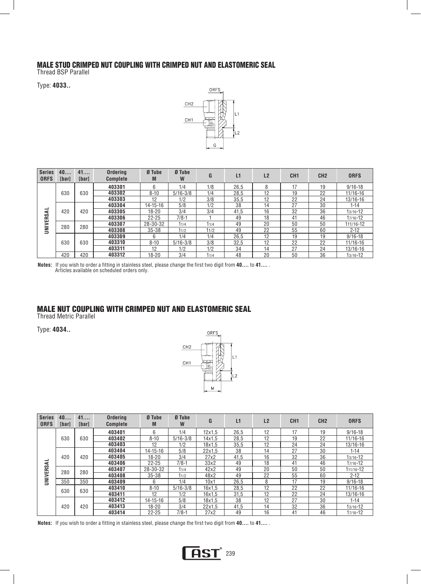#### MALE STUD CRIMPED NUT COUPLING WITH CRIMPED NUT AND ELASTOMERIC SEAL

Thread BSP Parallel

Type: **4033..** 



| <b>Series</b><br><b>ORFS</b> | 40<br>[bar] | 41<br>[bar] | <b>Ordering</b><br><b>Complete</b> | Ø Tube<br>M    | Ø Tube<br>W  | G    | L1   | L2 | CH <sub>1</sub> | CH <sub>2</sub> | <b>ORFS</b>  |
|------------------------------|-------------|-------------|------------------------------------|----------------|--------------|------|------|----|-----------------|-----------------|--------------|
|                              |             |             | 403301                             | 6              | 1/4          | 1/8  | 26.5 |    | 17              | 19              | $9/16 - 18$  |
|                              | 630         | 630         | 403302                             | $8 - 10$       | $5/16 - 3/8$ | 1/4  | 28.5 | 12 | 19              | 22              | 11/16-16     |
|                              |             |             | 403303                             | 12             | 1/2          | 3/8  | 35.5 | 12 | 22              | 24              | 13/16-16     |
|                              |             |             | 403304                             | $14 - 15 - 16$ | 5/8          | 1/2  | 38   | 14 | 27              | 30              | $1 - 14$     |
| -                            | 420         | 420         | 403305                             | $18 - 20$      | 3/4          | 3/4  | 41.5 | 16 | 32              | 36              | 13/16-12     |
|                              |             |             | 403306                             | $22 - 25$      | $7/8 - 1$    |      | 49   | 18 | 41              | 46              | 17/16-12     |
| UNIVERSA                     | 280         | 280         | 403307                             | 28-30-32       | 11/4         | 11/4 | 49   | 20 | 50              | 50              | 111/16-12    |
|                              |             |             | 403308                             | $35 - 38$      | 11/2         | 11/2 | 49   | 22 | 55              | 60              | $2 - 12$     |
|                              |             |             | 403309                             | 6              | 1/4          | 1/4  | 26.5 | 12 | 19              | 19              | $9/16 - 18$  |
|                              | 630         | 630         | 403310                             | $8 - 10$       | $5/16 - 3/8$ | 3/8  | 32.5 | 12 | 22              | 22              | $11/16 - 16$ |
|                              |             |             | 403311                             | 12             | 1/2          | 1/2  | 34   | 14 | 27              | 24              | 13/16-16     |
|                              | 420         | 420         | 403312                             | $18 - 20$      | 3/4          | 11/4 | 48   | 20 | 50              | 36              | 13/16-12     |

**Notes:** If you wish to order a fitting in stainless steel, please change the first two digit from **40....** to **41....** . Articles available on scheduled orders only.

## MALE NUT COUPLING WITH CRIMPED NUT AND ELASTOMERIC SEAL

Thread Metric Parallel

Type: **4034..** 



| <b>Series</b><br><b>ORFS</b> | 40<br><b>Ibarl</b> | 41<br><b>Ibarl</b> | <b>Ordering</b><br><b>Complete</b> | Ø Tube<br>M    | Ø Tube<br>W  | G             | L1   | L2 | CH <sub>1</sub> | CH <sub>2</sub> | <b>ORFS</b>  |
|------------------------------|--------------------|--------------------|------------------------------------|----------------|--------------|---------------|------|----|-----------------|-----------------|--------------|
|                              |                    |                    | 403401                             | 6              | 1/4          | $12\times1.5$ | 26,5 | 12 | 17              | 19              | $9/16 - 18$  |
|                              | 630                | 630                | 403402                             | $8 - 10$       | $5/16 - 3/8$ | 14x1.5        | 28.5 | 12 | 19              | 22              | 11/16-16     |
|                              |                    |                    | 403403                             | 12             | 1/2          | 18x1.5        | 35.5 | 12 | 24              | 24              | 13/16-16     |
|                              |                    |                    | 403404                             | $14 - 15 - 16$ | 5/8          | 22x1.5        | 38   | 14 | 27              | 30              | 1-14         |
|                              | 420                | 420                | 403405                             | $18 - 20$      | 3/4          | 27x2          | 41.5 | 16 | 32              | 36              | 13/16-12     |
| UNIVERSAL                    |                    |                    | 403406                             | $22 - 25$      | $7/8 - 1$    | 33x2          | 49   | 18 | 41              | 46              | 17/16-12     |
|                              | 280                | 280                | 403407                             | 28-30-32       | 11/4         | 42x2          | 49   | 20 | 50              | 50              | 111/16-12    |
|                              |                    |                    | 403408                             | $35 - 38$      | 11/2         | 48x2          | 49   | 22 | 55              | 60              | $2 - 12$     |
|                              | 350                | 350                | 403409                             | 6              | 1/4          | 10x1          | 26.5 | 8  | 17              | 19              | $9/16 - 18$  |
|                              | 630                | 630                | 403410                             | $8 - 10$       | $5/16 - 3/8$ | 16x1.5        | 28.5 | 12 | 22              | 22              | 11/16-16     |
|                              |                    |                    | 403411                             | 12             | 1/2          | 16x1.5        | 31.5 | 12 | 22              | 24              | 13/16-16     |
|                              |                    |                    | 403412                             | $14 - 15 - 16$ | 5/8          | 18x1.5        | 38   | 12 | 27              | 30              | $1 - 14$     |
|                              | 420                | 420                | 403413                             | $18 - 20$      | 3/4          | 22x1.5        | 41.5 | 14 | 32              | 36              | $13/16 - 12$ |
|                              |                    |                    | 403414                             | $22 - 25$      | $7/8-1$      | 27x2          | 49   | 16 | 41              | 46              | 17/16-12     |

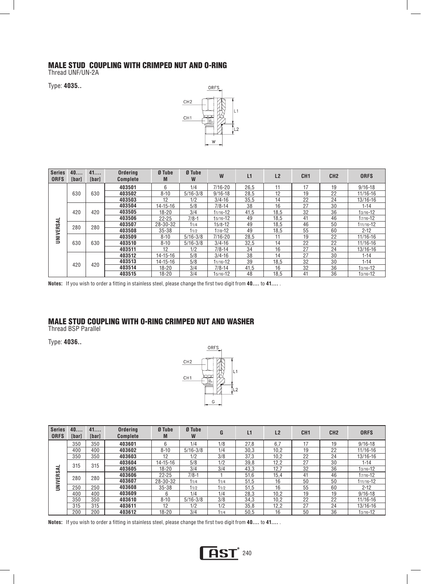# MALE STUD COUPLING WITH CRIMPED NUT AND O-RING

Thread UNF/UN-2A

Type: **4035..** 



| <b>Series</b><br><b>ORFS</b> | 40<br><b>[bar]</b> | 41<br>[bar] | <b>Ordering</b><br><b>Complete</b> | Ø Tube<br>M    | Ø Tube<br>W    | W            | L1         | L2       | CH <sub>1</sub> | CH <sub>2</sub> | <b>ORFS</b> |          |    |    |          |
|------------------------------|--------------------|-------------|------------------------------------|----------------|----------------|--------------|------------|----------|-----------------|-----------------|-------------|----------|----|----|----------|
|                              |                    |             | 403501                             | 6              | 1/4            | $7/16 - 20$  | 26,5       | 11       | 17              | 19              | $9/16 - 18$ |          |    |    |          |
|                              | 630                | 630         | 403502                             | $8 - 10$       | $5/16 - 3/8$   | $9/16 - 18$  | 28.5       | 12       | 19              | 22              | 11/16-16    |          |    |    |          |
|                              |                    |             | 403503                             | 12             | 1/2            | $3/4 - 16$   | 35.5       | 14       | 22              | 24              | 13/16-16    |          |    |    |          |
|                              |                    |             | 403504                             | $14 - 15 - 16$ | 5/8            | $7/8 - 14$   | 38         | 16       | 27              | 30              | $1 - 14$    |          |    |    |          |
|                              | 420                | 420         | 403505                             | $18 - 20$      | 3/4            | 11/16-12     | 41.5       | 18.5     | 32              | 36              | 13/16-12    |          |    |    |          |
| ᆜ                            |                    |             | 403506                             | $22 - 25$      | $7/8-1$        | $15/16 - 12$ | 49         | 18.5     | 41              | 46              | 17/16-12    |          |    |    |          |
| <b>UNIVERSA</b>              | 280                | 280         | 403507                             | 28-30-32       | 11/4           | $15/8 - 12$  | 49         | 18.5     | 46              | 50              | 111/16-12   |          |    |    |          |
|                              |                    |             | 403508                             | $35 - 38$      | 11/2           | $17/8 - 12$  | 49         | 18.5     | 55              | 60              | $2 - 12$    |          |    |    |          |
|                              |                    |             | 403509                             | $8 - 10$       | $5/16 - 3/8$   | $7/16 - 20$  | 28.5       | 11       | 19              | 22              | 11/16-16    |          |    |    |          |
|                              | 630                | 630         |                                    |                |                |              | 403510     | $8 - 10$ | $5/16 - 3/8$    | $3/4 - 16$      | 32.5        | 14       | 22 | 22 | 11/16-16 |
|                              |                    |             | 403511                             | 12             | 1/2            | $7/8 - 14$   | 34         | 16       | 27              | 24              | 13/16-16    |          |    |    |          |
|                              |                    |             |                                    | 403512         | $14 - 15 - 16$ | 5/8          | $3/4 - 16$ | 38       | 14              | 27              | 30          | $1 - 14$ |    |    |          |
|                              | 420                | 420         | 403513                             | $14 - 15 - 16$ | 5/8            | $11/16 - 12$ | 39         | 18,5     | 32              | 30              | $1 - 14$    |          |    |    |          |
|                              |                    |             | 403514                             | $18 - 20$      | 3/4            | $7/8 - 14$   | 41,5       | 16       | 32              | 36              | 13/16-12    |          |    |    |          |
|                              |                    |             | 403515                             | $18 - 20$      | 3/4            | 15/16-12     | 48         | 18.5     | 41              | 36              | 13/16-12    |          |    |    |          |

**Notes:** If you wish to order a fitting in stainless steel, please change the first two digit from **40....** to **41....** .

## MALE STUD COUPLING WITH O-RING CRIMPED NUT AND WASHER

Thread BSP Parallel

Type: **4036..** 



| <b>Series</b><br><b>ORFS</b> | 40<br><b>[bar]</b> | 41<br>[bar] | <b>Ordering</b><br><b>Complete</b> | Ø Tube<br>M | Ø Tube<br>W  | G    | L1   | L <sub>2</sub> | CH <sub>1</sub> | CH <sub>2</sub> | <b>ORFS</b>  |
|------------------------------|--------------------|-------------|------------------------------------|-------------|--------------|------|------|----------------|-----------------|-----------------|--------------|
|                              | 350                | 350         | 403601                             | 6           | 1/4          | 1/8  | 27.8 | 6.7            |                 | 19              | $9/16 - 18$  |
|                              | 400                | 400         | 403602                             | $8 - 10$    | $5/16 - 3/8$ | 1/4  | 30.3 | 10,2           | 19              | 22              | $11/16 - 16$ |
|                              | 350                | 350         | 403603                             | 12          | 1/2          | 3/8  | 37.3 | 10.2           | 22              | 24              | 13/16-16     |
|                              | 315                | 315         | 403604                             | 14-15-16    | 5/8          | 1/2  | 39.8 | 12.2           | 27              | 30              | $1 - 14$     |
| ⋖                            |                    |             | 403605                             | $18 - 20$   | 3/4          | 3/4  | 43.3 | 12.7           | 32              | 36              | 13/16-12     |
|                              | 280                | 280         | 403606                             | $22 - 25$   | $7/8-1$      |      | 51.6 | 15.4           | 41              | 46              | 17/16-12     |
|                              |                    |             | 403607                             | 28-30-32    | 11/4         | 11/4 | 51.5 | 16             | 50              | 50              | 111/16-12    |
| <b>UNIVERS</b>               | 250                | 250         | 403608                             | $35 - 38$   | 11/2         | 11/2 | 51.5 | 16             | 55              | 60              | $2 - 12$     |
|                              | 400                | 400         | 403609                             | 6           | 1/4          | 1/4  | 28,3 | 10,2           | 19              | 19              | $9/16 - 18$  |
|                              | 350                | 350         | 403610                             | $8 - 10$    | $5/16 - 3/8$ | 3/8  | 34.3 | 10.2           | 22              | 22              | $11/16 - 16$ |
|                              | 315                | 315         | 403611                             | 12          | 1/2          | 1/2  | 35,8 | 12,2           | 27              | 24              | 13/16-16     |
|                              | 200                | 200         | 403612                             | $18 - 20$   | 3/4          | 11/4 | 50,5 | 16             | 50              | 36              | 13/16-12     |

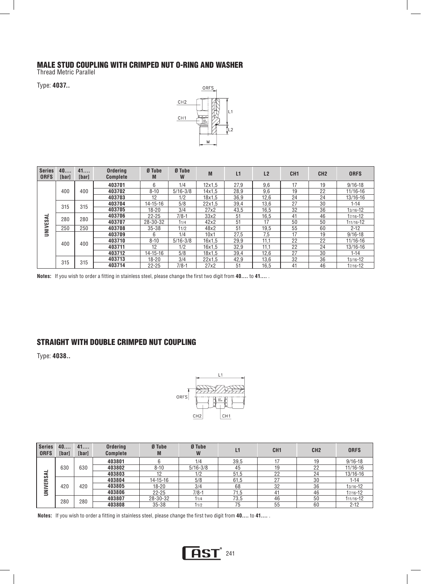#### MALE STUD COUPLING WITH CRIMPED NUT O-RING AND WASHER

Thread Metric Parallel

Type: **4037..** 



| <b>Series</b><br><b>ORFS</b> | 40<br>[bar] | 41<br>[bar] | <b>Ordering</b><br><b>Complete</b> | Ø Tube<br>M    | Ø Tube<br>W  | M            | L1     | L2     | CH <sub>1</sub> | CH <sub>2</sub> | <b>ORFS</b>  |              |
|------------------------------|-------------|-------------|------------------------------------|----------------|--------------|--------------|--------|--------|-----------------|-----------------|--------------|--------------|
|                              |             |             | 403701                             | 6              | 1/4          | 12x1.5       | 27.9   | 9.6    | 17              | 19              | $9/16 - 18$  |              |
|                              | 400         | 400         | 403702                             | $8 - 10$       | $5/16 - 3/8$ | 14x1.5       | 28.9   | 9.6    | 19              | 22              | $11/16 - 16$ |              |
|                              |             |             | 403703                             | 12             | 1/2          | 18x1.5       | 36.9   | 12,6   | 24              | 24              | 13/16-16     |              |
|                              | 315         | 315         | 403704                             | $14 - 15 - 16$ | 5/8          | 22x1.5       | 39,4   | 13.6   | 27              | 30              | $1 - 14$     |              |
|                              |             |             | 403705                             | $18 - 20$      | 3/4          | 27x2         | 43,5   | 16.5   | 32              | 36              | $13/16 - 12$ |              |
| -<br>⋖                       | 280         |             | 280                                | 403706         | $22 - 25$    | $7/8 - 1$    | 33x2   | 51     | 16.5            | 41              | 46           | 17/16-12     |
|                              |             |             | 403707                             | 28-30-32       | 11/4         | 42x2         | 51     | 17     | 50              | 50              | 111/16-12    |              |
| <b>UNIVES/</b>               | 250         | 250         | 403708                             | $35 - 38$      | 11/2         | 48x2         | 51     | 19.5   | 55              | 60              | $2 - 12$     |              |
|                              |             | 400         | 403709                             | 6              | 1/4          | 10x1         | 27.5   | 7.5    | 17              | 19              | $9/16 - 18$  |              |
|                              | 400         |             |                                    | 403710         | $8 - 10$     | $5/16 - 3/8$ | 16x1.5 | 29.9   | 11.1            | 22              | 22           | $11/16 - 16$ |
|                              |             |             |                                    |                | 403711       | 12           | 1/2    | 16x1.5 | 32.9            | 11.1            | 22           | 24           |
|                              |             |             | 403712                             | $14 - 15 - 16$ | 5/8          | 18x1.5       | 39,4   | 12.6   | 27              | 30              | 1-14         |              |
|                              | 315         | 315         | 403713                             | $18 - 20$      | 3/4          | 22x1.5       | 42.9   | 13.6   | 32              | 36              | $13/16 - 12$ |              |
|                              |             |             | 403714                             | $22 - 25$      | $7/8-1$      | 27x2         | 51     | 16.5   | 41              | 46              | 17/16-12     |              |

**Notes:** If you wish to order a fitting in stainless steel, please change the first two digit from **40....** to **41....** .

#### STRAIGHT WITH DOUBLE CRIMPED NUT COUPLING

Type: **4038..** 



| <b>Series</b><br><b>ORFS</b> | 40<br>[bar] | 41<br>[bar] | <b>Ordering</b><br><b>Complete</b> | Ø Tube<br>M    | Ø Tube<br>W  | L1   | CH <sub>1</sub> | CH <sub>2</sub> | <b>ORFS</b>  |
|------------------------------|-------------|-------------|------------------------------------|----------------|--------------|------|-----------------|-----------------|--------------|
|                              |             |             | 403801                             |                | 1/4          | 39,5 |                 | 19              | $9/16 - 18$  |
|                              | 630         | 630         | 403802                             | $8 - 10$       | $5/16 - 3/8$ | 45   | 19              | 22              | $11/16 - 16$ |
| ⋖                            |             |             | 403803                             | 10             | 1/2          | 51.5 | 22              | 24              | 13/16-16     |
| <b>NIVERS</b>                |             |             | 403804                             | $14 - 15 - 16$ | 5/8          | 61,5 | 27              | 30              | $1 - 14$     |
|                              | 420         | 420         | 403805                             | 18-20          | 3/4          | 68   | 32              | 36              | 13/16-12     |
| ∍                            |             |             | 403806                             | $22 - 25$      | $7/8-1$      | 71.5 | 41              | 46              | 17/16-12     |
|                              | 280         | 280         | 403807                             | 28-30-32       | 11/4         | 73,5 | 46              | 50              | 111/16-12    |
|                              |             |             | 403808                             | $35 - 38$      | 11/2         | 75   | 55              | 60              | $2 - 12$     |

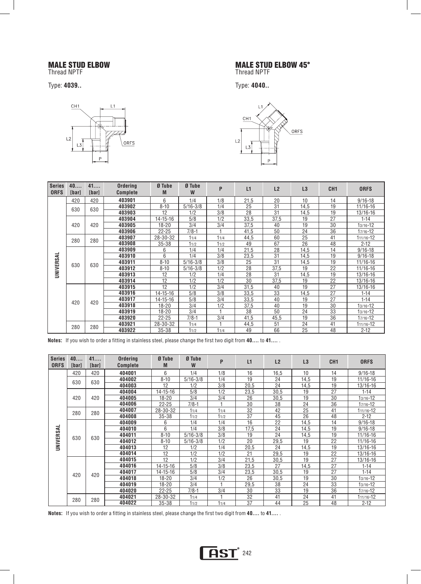## MALE STUD ELBOW

Thread NPTF

Type: **4039..** 



## MALE STUD ELBOW 45°

Thread NPTF

Type: **4040..** 



| <b>Series</b><br><b>ORFS</b> | 40<br>[bar] | 41<br>[bar] | <b>Ordering</b><br><b>Complete</b> | Ø Tube<br>M    | Ø Tube<br>W  | P      | L1       | L2   | L3              | CH <sub>1</sub> | <b>ORFS</b>   |      |    |          |
|------------------------------|-------------|-------------|------------------------------------|----------------|--------------|--------|----------|------|-----------------|-----------------|---------------|------|----|----------|
|                              | 420         | 420         | 403901                             | 6              | 1/4          | 1/8    | 21,5     | 20   | 10              | 14              | $9/16 - 18$   |      |    |          |
|                              | 630         | 630         | 403902                             | $8 - 10$       | $5/16 - 3/8$ | 1/4    | 25       | 31   | 14,5            | 19              | 11/16-16      |      |    |          |
|                              |             |             | 403903                             | 12             | 1/2          | 3/8    | 28       | 31   | 14,5            | 19              | 13/16-16      |      |    |          |
|                              |             |             | 403904                             | $14 - 15 - 16$ | 5/8          | 1/2    | 33,5     | 37,5 | 19              | 27              | $1 - 14$      |      |    |          |
|                              | 420         | 420         | 403905                             | 18-20          | 3/4          | 3/4    | 37,5     | 40   | 19              | 30              | $13/16 - 12$  |      |    |          |
|                              |             |             | 403906                             | $22 - 25$      | $7/8 - 1$    |        | 41,5     | 50   | 24              | 36              | $17/16 - 12$  |      |    |          |
|                              | 280         | 280         | 403907                             | 28-30-32       | 11/4         | 11/4   | 44,5     | 60   | 25              | 41              | $111/16 - 12$ |      |    |          |
|                              |             |             | 403908                             | $35 - 38$      | 11/2         | 11/2   | 49       | 67   | $\overline{26}$ | 48              | $2 - 12$      |      |    |          |
|                              |             |             | 403909                             | 6              | 1/4          | 1/4    | 21,5     | 28   | 14,5            | 14              | $9/16 - 18$   |      |    |          |
|                              | 630         | 630         | 403910                             | 6              | 1/4          | 3/8    | 23,5     | 31   | 14,5            | 19              | $9/16 - 18$   |      |    |          |
| UNIVERSAL                    |             |             | 403911                             | $8 - 10$       | $5/16 - 3/8$ | 3/8    | 25       | 31   | 14,5            | 19              | 11/16-16      |      |    |          |
|                              |             |             | 403912                             | $8 - 10$       | $5/16 - 3/8$ | 1/2    | 28       | 37,5 | 19              | 22              | 11/16-16      |      |    |          |
|                              |             |             | 403913                             | 12             | 1/2          | 1/4    | 28       | 31   | 14,5            | 19              | 13/16-16      |      |    |          |
|                              |             |             | 403914                             | 12             | 1/2          | 1/2    | 30       | 37,5 | 19              | 22              | 13/16-16      |      |    |          |
|                              |             |             | 403915                             | 12             | 1/2          | 3/4    | 31,5     | 40   | 19              | 27              | 13/16-16      |      |    |          |
|                              |             | 420         |                                    |                |              | 403916 | 14-15-16 | 5/8  | 3/8             | 33,5            | 33            | 14,5 | 27 | $1 - 14$ |
|                              | 420         |             | 403917                             | $14 - 15 - 16$ | 5/8          | 3/4    | 33,5     | 40   | 19              | 27              | $1 - 14$      |      |    |          |
|                              |             |             | 403918                             | $18 - 20$      | 3/4          | 1/2    | 37,5     | 40   | 19              | 30              | $13/16 - 12$  |      |    |          |
|                              |             |             | 403919                             | $18 - 20$      | 3/4          |        | 38       | 50   | 24              | 33              | $13/16 - 12$  |      |    |          |
|                              |             |             | 403920                             | $22 - 25$      | $7/8 - 1$    | 3/4    | 41,5     | 45.5 | 19              | 36              | $17/16 - 12$  |      |    |          |
|                              | 280         | 280         | 403921                             | 28-30-32       | 11/4         |        | 44,5     | 51   | 24              | 41              | 111/16-12     |      |    |          |
|                              |             |             | 403922                             | $35 - 38$      | 11/2         | 11/4   | 49       | 66   | 25              | 48              | $2 - 12$      |      |    |          |

**Notes:** If you wish to order a fitting in stainless steel, please change the first two digit from **40....** to **41....** .

| <b>Series</b><br><b>ORFS</b> | 40<br><b>[bar]</b> | 41<br>[bar] | <b>Ordering</b><br><b>Complete</b> | Ø Tube<br>M | Ø Tube<br>W  | P      | L1       | L2   | L3   | CH <sub>1</sub> | <b>ORFS</b>  |      |    |          |
|------------------------------|--------------------|-------------|------------------------------------|-------------|--------------|--------|----------|------|------|-----------------|--------------|------|----|----------|
|                              | 420                | 420         | 404001                             | 6           | 1/4          | 1/8    | 16       | 16.5 | 10   | 14              | $9/16 - 18$  |      |    |          |
|                              | 630                | 630         | 404002                             | $8 - 10$    | $5/16 - 3/8$ | 1/4    | 19       | 24   | 14,5 | 19              | 11/16-16     |      |    |          |
|                              |                    |             | 404003                             | 12          | 1/2          | 3/8    | 20,5     | 24   | 14,5 | 19              | 13/16-16     |      |    |          |
|                              |                    |             | 404004                             | 14-15-16    | 5/8          | 1/2    | 23,5     | 30.5 | 19   | 27              | $1 - 14$     |      |    |          |
|                              | 420                | 420         | 404005                             | $18 - 20$   | 3/4          | 3/4    | 26       | 30.5 | 19   | 30              | $13/16 - 12$ |      |    |          |
|                              |                    |             | 404006                             | $22 - 25$   | $7/8-1$      |        | 30       | 38   | 24   | 36              | 17/16-12     |      |    |          |
|                              | 280                | 280         | 404007                             | 28-30-32    | 11/4         | 11/4   | 32       | 42   | 25   | 41              | 111/16-12    |      |    |          |
|                              |                    |             | 404008                             | $35 - 38$   | 11/2         | 11/2   | 37       | 45   | 26   | 48              | $2 - 12$     |      |    |          |
|                              |                    |             | 404009                             | 6           | 1/4          | 1/4    | 16       | 22   | 14,5 | 14              | $9/16 - 18$  |      |    |          |
| UNIVERSAL                    | 630                | 630         | 404010                             | 6           | 1/4          | 3/8    | 17,5     | 24   | 14,5 | 19              | $9/16 - 18$  |      |    |          |
|                              |                    |             | 404011                             | $8 - 10$    | $5/16 - 3/8$ | 3/8    | 19       | 24   | 14,5 | 19              | 11/16-16     |      |    |          |
|                              |                    |             | 404012                             | $8 - 10$    | $5/16 - 3/8$ | 1/2    | 20       | 29,5 | 19   | 22              | 11/16-16     |      |    |          |
|                              |                    |             | 404013                             | 12          | 1/2          | 1/4    | 20,5     | 24   | 14,5 | 19              | 13/16-16     |      |    |          |
|                              |                    |             | 404014                             | 12          | 1/2          | 1/2    | 21       | 29,5 | 19   | 22              | 13/16-16     |      |    |          |
|                              |                    |             | 404015                             | 12          | 1/2          | 3/4    | 21,5     | 30,5 | 19   | 27              | 13/16-16     |      |    |          |
|                              |                    | 420         |                                    |             |              | 404016 | 14-15-16 | 5/8  | 3/8  | 23,5            | 27           | 14,5 | 27 | $1 - 14$ |
|                              | 420                |             | 404017                             | 14-15-16    | 5/8          | 3/4    | 23,5     | 30.5 | 19   | 27              | $1 - 14$     |      |    |          |
|                              |                    |             | 404018                             | $18 - 20$   | 3/4          | 1/2    | 26       | 30,5 | 19   | 30              | 13/16-12     |      |    |          |
|                              |                    |             | 404019                             | $18 - 20$   | 3/4          |        | 29,5     | 38   | 24   | 33              | 13/16-12     |      |    |          |
|                              |                    |             | 404020                             | $22 - 25$   | $7/8-1$      | 3/4    | 30       | 33   | 19   | 36              | $17/16 - 12$ |      |    |          |
|                              | 280                | 280         | 404021                             | 28-30-32    | 11/4         |        | 32       | 41   | 24   | 41              | 111/16-12    |      |    |          |
|                              |                    |             | 404022                             | $35 - 38$   | 11/2         | 11/4   | 37       | 44   | 25   | 48              | $2 - 12$     |      |    |          |

**Notes:** If you wish to order a fitting in stainless steel, please change the first two digit from **40....** to **41....** .

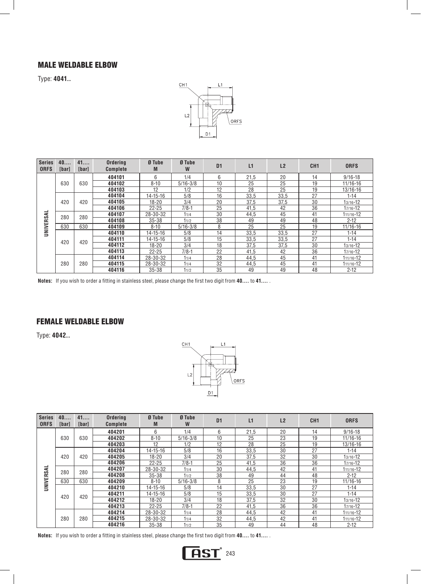### MALE WELDABLE ELBOW

Type: **4041..** 



| <b>Series</b><br><b>ORFS</b> | 40<br>[bar] | 41<br>[bar] | <b>Ordering</b><br><b>Complete</b> | Ø Tube<br>M    | Ø Tube<br>W  | D <sub>1</sub> | L1   | L <sub>2</sub> | CH <sub>1</sub> | <b>ORFS</b> |    |          |
|------------------------------|-------------|-------------|------------------------------------|----------------|--------------|----------------|------|----------------|-----------------|-------------|----|----------|
|                              |             |             | 404101                             | 6              | 1/4          | 6              | 21,5 | 20             | 14              | $9/16 - 18$ |    |          |
|                              | 630         | 630         | 404102                             | $8 - 10$       | $5/16 - 3/8$ | 10             | 25   | 25             | 19              | 11/16-16    |    |          |
|                              |             |             | 404103                             | 12             | 1/2          | 12             | 28   | 25             | 19              | 13/16-16    |    |          |
|                              |             |             | 404104                             | $14 - 15 - 16$ | 5/8          | 16             | 33.5 | 33.5           | 27              | $1 - 14$    |    |          |
|                              | 420         | 420         | 404105                             | $18 - 20$      | 3/4          | 20             | 37.5 | 37.5           | 30              | 13/16-12    |    |          |
|                              |             |             | 404106                             | $22 - 25$      | $7/8-1$      | 25             | 41,5 | 42             | 36              | 17/16-12    |    |          |
| ᆜ                            | 280         | 280         | 404107                             | 28-30-32       | 11/4         | 30             | 44.5 | 45             | 41              | 111/16-12   |    |          |
|                              |             |             | 404108                             | 35-38          | 11/2         | 38             | 49   | 49             | 48              | $2 - 12$    |    |          |
| UNIVERSA                     | 630         | 630         | 404109                             | $8 - 10$       | $5/16 - 3/8$ | 8              | 25   | 25             | 19              | 11/16-16    |    |          |
|                              |             |             | 404110                             | $14 - 15 - 16$ | 5/8          | 14             | 33.5 | 33.5           | 27              | $1 - 14$    |    |          |
|                              | 420         | 420         |                                    |                | 404111       | $14 - 15 - 16$ | 5/8  | 15             | 33.5            | 33.5        | 27 | $1 - 14$ |
|                              |             |             | 404112                             | 18-20          | 3/4          | 18             | 37.5 | 37.5           | 30              | 13/16-12    |    |          |
|                              |             |             | 404113                             | $22 - 25$      | $7/8-1$      | 22             | 41,5 | 42             | 36              | 17/16-12    |    |          |
|                              |             |             | 404114                             | 28-30-32       | 11/4         | 28             | 44.5 | 45             | 41              | 111/16-12   |    |          |
|                              | 280         | 280         | 404115                             | 28-30-32       | 11/4         | 32             | 44.5 | 45             | 41              | 111/16-12   |    |          |
|                              |             |             | 404116                             | $35 - 38$      | 11/2         | 35             | 49   | 49             | 48              | $2 - 12$    |    |          |

**Notes:** If you wish to order a fitting in stainless steel, please change the first two digit from **40....** to **41....** .

## FEMALE WELDABLE ELBOW

Type: **4042..** 



| <b>Series</b><br><b>ORFS</b> | 40<br><b>Ibarl</b> | 41<br>[bar] | <b>Ordering</b><br><b>Complete</b> | Ø Tube<br>M    | Ø Tube<br>W  | D <sub>1</sub> | L1   | L2   | CH <sub>1</sub> | <b>ORFS</b>  |           |
|------------------------------|--------------------|-------------|------------------------------------|----------------|--------------|----------------|------|------|-----------------|--------------|-----------|
|                              |                    |             | 404201                             | 6              | 1/4          | 6              | 21.5 | 20   | 14              | $9/16 - 18$  |           |
|                              | 630                | 630         | 404202                             | $8 - 10$       | $5/16 - 3/8$ | 10             | 25   | 23   | 19              | $11/16 - 16$ |           |
|                              |                    |             | 404203                             | 12             | 1/2          | 12             | 28   | 25   | 19              | 13/16-16     |           |
|                              |                    |             | 404204                             | $14 - 15 - 16$ | 5/8          | 16             | 33.5 | 30   | 27              | $1 - 14$     |           |
|                              | 420                | 420         | 404205                             | $18 - 20$      | 3/4          | 20             | 37.5 | 32   | 30              | 13/16-12     |           |
|                              |                    |             | 404206                             | $22 - 25$      | $7/8 - 1$    | 25             | 41,5 | 36   | 36              | 17/16-12     |           |
| UNIVERSAL                    | 280                |             | 280                                | 404207         | 28-30-32     | 11/4           | 30   | 44,5 | 42              | 41           | 111/16-12 |
|                              |                    |             | 404208                             | $35 - 38$      | 11/2         | 38             | 49   | 44   | 48              | $2 - 12$     |           |
|                              | 630                | 630         | 404209                             | $8 - 10$       | $5/16 - 3/8$ | 8              | 25   | 23   | 19              | $11/16 - 16$ |           |
|                              |                    |             | 404210                             | $14 - 15 - 16$ | 5/8          | 14             | 33,5 | 30   | 27              | $1 - 14$     |           |
|                              | 420                | 420         | 404211                             | $14 - 15 - 16$ | 5/8          | 15             | 33,5 | 30   | 27              | $1 - 14$     |           |
|                              |                    |             |                                    |                | 404212       | $18 - 20$      | 3/4  | 18   | 37,5            | 32           | 30        |
|                              |                    |             | 404213                             | $22 - 25$      | $7/8-1$      | 22             | 41,5 | 36   | 36              | $17/16 - 12$ |           |
|                              |                    |             | 404214                             | 28-30-32       | 11/4         | 28             | 44,5 | 42   | 41              | 111/16-12    |           |
|                              | 280                | 280         | 404215                             | 28-30-32       | 11/4         | 32             | 44,5 | 42   | 41              | 111/16-12    |           |
|                              |                    |             | 404216                             | 35-38          | 11/2         | 35             | 49   | 44   | 48              | $2 - 12$     |           |

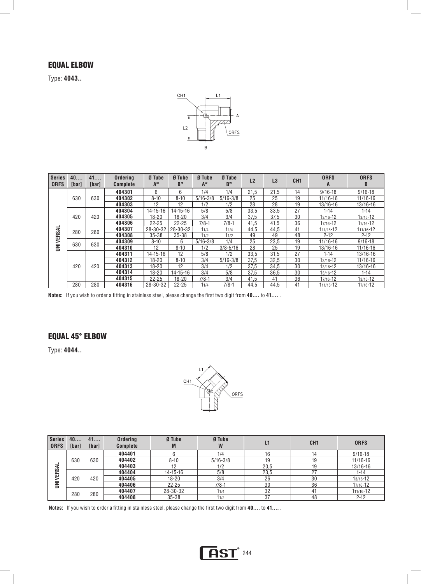#### EQUAL ELBOW

Type: **4043..** 



| <b>Series</b><br><b>ORFS</b> | 40<br><b>Ibarl</b> | 41<br><b>Ibarl</b> | <b>Ordering</b><br><b>Complete</b> | Ø Tube<br>A <sup>M</sup> | Ø Tube<br>B <sub>M</sub> | Ø Tube<br>AW | Ø Tube<br><b>B</b> <sub>w</sub> | L2   | L3   | CH <sub>1</sub> | <b>ORFS</b><br>A | <b>ORFS</b><br>B |           |
|------------------------------|--------------------|--------------------|------------------------------------|--------------------------|--------------------------|--------------|---------------------------------|------|------|-----------------|------------------|------------------|-----------|
|                              |                    |                    | 404301                             | 6                        | 6                        | 1/4          | 1/4                             | 21,5 | 21.5 | 14              | $9/16 - 18$      | $9/16 - 18$      |           |
|                              | 630                | 630                | 404302                             | $8 - 10$                 | $8 - 10$                 | $5/16 - 3/8$ | $5/16 - 3/8$                    | 25   | 25   | 19              | 11/16-16         | 11/16-16         |           |
|                              |                    |                    | 404303                             | 12                       | 12                       | 1/2          | 1/2                             | 28   | 28   | 19              | 13/16-16         | 13/16-16         |           |
|                              |                    |                    | 404304                             | 14-15-16                 | 14-15-16                 | 5/8          | 5/8                             | 33,5 | 33,5 | 27              | $1 - 14$         | $1 - 14$         |           |
|                              | 420                | 420                | 404305                             | $18 - 20$                | $18 - 20$                | 3/4          | 3/4                             | 37,5 | 37.5 | 30              | 13/16-12         | $13/16 - 12$     |           |
|                              |                    |                    | 404306                             | $22 - 25$                | $22 - 25$                | $7/8-1$      | $7/8 - 1$                       | 41,5 | 41.5 | 36              | 17/16-12         | 17/16-12         |           |
| UNIVERSAL                    | 280                |                    | 280                                | 404307                   | 28-30-32                 | 28-30-32     | 11/4                            | 11/4 | 44.5 | 44.5            | 41               | 111/16-12        | 111/16-12 |
|                              |                    |                    | 404308                             | $35 - 38$                | $35 - 38$                | 11/2         | 11/2                            | 49   | 49   | 48              | $2 - 12$         | $2 - 12$         |           |
|                              | 630                | 630                | 404309                             | $8 - 10$                 | 6                        | $5/16 - 3/8$ | 1/4                             | 25   | 23.5 | 19              | $11/16 - 16$     | $9/16 - 18$      |           |
|                              |                    |                    | 404310                             | 12                       | $8 - 10$                 | 1/2          | $3/8 - 5/16$                    | 28   | 25   | 19              | 13/16-16         | 11/16-16         |           |
|                              |                    |                    | 404311                             | $14 - 15 - 16$           | 12                       | 5/8          | 1/2                             | 33.5 | 31.5 | 27              | $1 - 14$         | 13/16-16         |           |
|                              |                    |                    | 404312                             | $18 - 20$                | $8 - 10$                 | 3/4          | $5/16 - 3/8$                    | 37.5 | 32.5 | 30              | $13/16 - 12$     | 11/16-16         |           |
|                              | 420                | 420                | 404313                             | $18 - 20$                | 12                       | 3/4          | 1/2                             | 37,5 | 34,5 | 30              | $13/16 - 12$     | 13/16-16         |           |
|                              |                    |                    | 404314                             | $18 - 20$                | $14 - 15 - 16$           | 3/4          | 5/8                             | 37.5 | 36,5 | 30              | $13/16 - 12$     | $1 - 14$         |           |
|                              |                    |                    | 404315                             | $22 - 25$                | $18 - 20$                | $7/8-1$      | 3/4                             | 41.5 | 41   | 36              | 17/16-12         | 13/16-12         |           |
|                              | 280                | 280                | 404316                             | 28-30-32                 | $22 - 25$                | 11/4         | $7/8-1$                         | 44.5 | 44.5 | 41              | 111/16-12        | 17/16-12         |           |

**Notes:** If you wish to order a fitting in stainless steel, please change the first two digit from **40....** to **41....** .

### EQUAL 45° ELBOW

Type: **4044..** 



| <b>Series</b><br><b>ORFS</b> | 40<br><b>[bar]</b> | 41<br>[bar] | Ordering<br><b>Complete</b> | Ø Tube<br>M    | Ø Tube<br>W  |      | CH <sub>1</sub> | <b>ORFS</b>  |
|------------------------------|--------------------|-------------|-----------------------------|----------------|--------------|------|-----------------|--------------|
|                              |                    |             | 404401                      |                | 1/4          |      | 14              | $9/16 - 18$  |
|                              | 630                | 630         | 404402                      | $8 - 10$       | $5/16 - 3/8$ | 19   | 19              | $11/16 - 16$ |
| –<br>⋖                       |                    |             | 404403                      | 12             | 1/2          | 20,5 | 19              | 13/16-16     |
| ERS.                         |                    |             | 404404                      | $14 - 15 - 16$ | 5/8          | 23,5 | 27              | $1 - 14$     |
| $\bar{\mathbf{z}}$           | 420                | 420         | 404405                      | 18-20          | 3/4          | 26   | 30              | 13/16-12     |
| $\overline{\phantom{0}}$     |                    |             | 404406                      | $22 - 25$      | $7/8 - 1$    | 30   | 36              | 17/16-12     |
|                              | 280                | 280         | 404407                      | 28-30-32       | 11/4         | 32   | 41              | 111/16-12    |
|                              |                    |             | 404408                      | $35 - 38$      | 11/2         | 37   | 48              | $2 - 12$     |

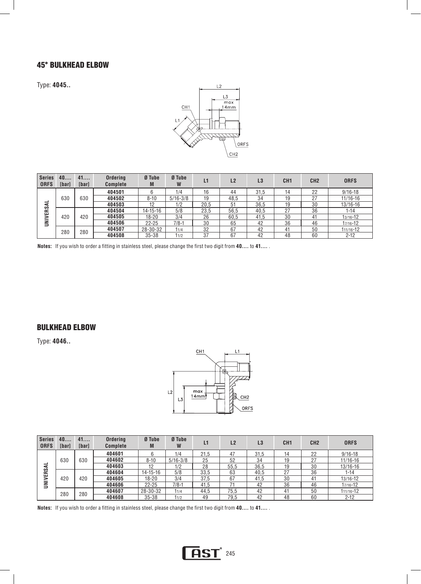#### 45° BULKHEAD ELBOW

Type: **4045..** 



| <b>Series</b><br><b>ORFS</b> | 40<br>[bar] | 41<br>[bar] | <b>Ordering</b><br><b>Complete</b> | Ø Tube<br>M    | Ø Tube<br>W  | L1   | L2   | L3   | CH <sub>1</sub> | CH <sub>2</sub> | <b>ORFS</b>  |
|------------------------------|-------------|-------------|------------------------------------|----------------|--------------|------|------|------|-----------------|-----------------|--------------|
|                              |             |             | 404501                             |                | 1/4          | 16   | 44   | 31,5 |                 | 22              | $9/16 - 18$  |
|                              | 630         | 630         | 404502                             | $8 - 10$       | $5/16 - 3/8$ | 19   | 48.5 | 34   | 19              | 27              | $11/16 - 16$ |
| ⋖                            |             |             | 404503                             | 12             | 1/2          | 20,5 | 51   | 36.5 | 19              | 30              | $13/16 - 16$ |
| ERS.                         |             |             | 404504                             | $14 - 15 - 16$ | 5/8          | 23,5 | 56,5 | 40,5 | 27              | 36              | $1 - 14$     |
|                              | 420         | 420         | 404505                             | $18 - 20$      | 3/4          | 26   | 60.5 | 41.5 | 30              | 41              | 13/16-12     |
| UNIVI                        |             |             | 404506                             | $22 - 25$      | $7/8-1$      | 30   | 65   | 42   | 36              | 46              | 17/16-12     |
|                              | 280         | 280         | 404507                             | 28-30-32       | 11/4         | 32   | 67   | 42   | 41              | 50              | 111/16-12    |
|                              |             |             | 404508                             | $35 - 38$      | 11/2         | 37   | 67   | 42   | 48              | 60              | $2 - 12$     |

**Notes:** If you wish to order a fitting in stainless steel, please change the first two digit from **40....** to **41....** .

#### BULKHEAD ELBOW

Type: **4046..** 



| <b>Series</b><br><b>ORFS</b> | 40<br><b>Tharl</b> | 41<br>[bar] | <b>Ordering</b><br><b>Complete</b> | Ø Tube<br>M    | Ø Tube<br>W  | L1   | L2   | L <sub>3</sub> | CH <sub>1</sub> | CH <sub>2</sub> | <b>ORFS</b> |          |
|------------------------------|--------------------|-------------|------------------------------------|----------------|--------------|------|------|----------------|-----------------|-----------------|-------------|----------|
|                              |                    |             | 404601                             |                | 1/4          | 21.5 | 47   | 31.5           | 14              | 22              | $9/16 - 18$ |          |
|                              | 630                | 630         | 404602                             | $8 - 10$       | $5/16 - 3/8$ | 25   | 52   | 34             | 19              | 27              | 11/16-16    |          |
| –<br>⋖                       |                    |             | 404603                             | 12             | 1/2          | 28   | 55,5 | 36,5           | 19              | 30              | 13/16-16    |          |
|                              | ERS.               |             | 404604                             | $14 - 15 - 16$ | 5/8          | 33,5 | 63   | 40.5           | 27              | 36              | $1 - 14$    |          |
| $\geqq$                      | 420                | 420         |                                    | 404605         | 18-20        | 3/4  | 37,5 | 67             | 41.5            | 30              | 41          | 13/16-12 |
| ∍                            |                    |             | 404606                             | $22 - 25$      | $7/8-1$      | 41.5 |      | 42             | 36              | 46              | 17/16-12    |          |
|                              | 280                | 280         | 404607                             | 28-30-32       | 11/4         | 44.5 | 75.5 | 42             | 41              | 50              | 111/16-12   |          |
|                              |                    |             | 404608                             | $35 - 38$      | 11/2         | 49   | 79,5 | 42             | 48              | 60              | $2 - 12$    |          |

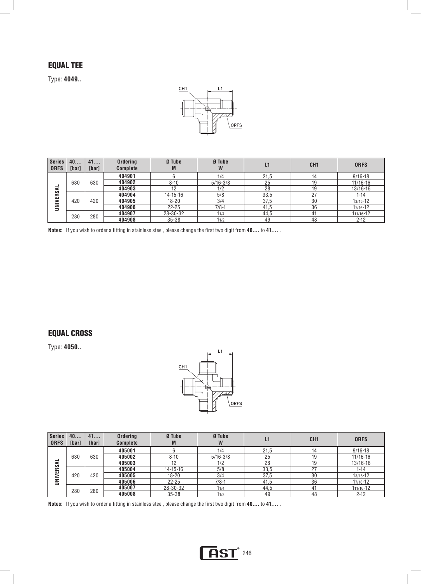## EQUAL TEE

Type: **4049..** 



| Series<br><b>ORFS</b> | 40<br>[bar] | 41<br>[bar] | <b>Ordering</b><br><b>Complete</b> | Ø Tube<br>M    | Ø Tube<br>W  | L1   | CH <sub>1</sub> | <b>ORFS</b>  |
|-----------------------|-------------|-------------|------------------------------------|----------------|--------------|------|-----------------|--------------|
|                       |             |             | 404901                             |                | 1/4          | 21,5 | 14              | $9/16 - 18$  |
|                       | 630         | 630         | 404902                             | $8 - 10$       | $5/16 - 3/8$ | 25   | 19              | $11/16 - 16$ |
| -<br>⋖                |             |             | 404903                             | 12             | 1/2          | 28   | 19              | 13/16-16     |
| ERS.                  |             |             | 404904                             | $14 - 15 - 16$ | 5/8          | 33,5 | 07              | 1-14         |
|                       | 420         | 420         | 404905                             | 18-20          | 3/4          | 37,5 | 30              | 13/16-12     |
| UNINI                 |             |             | 404906                             | $22 - 25$      | $7/8-1$      | 41.5 | 36              | 17/16-12     |
|                       | 280         | 280         | 404907                             | 28-30-32       | 11/4         | 44.5 |                 | 111/16-12    |
|                       |             |             | 404908                             | $35 - 38$      | 11/2         | 49   | 48              | $2 - 12$     |

**Notes:** If you wish to order a fitting in stainless steel, please change the first two digit from **40....** to **41....** .

#### EQUAL CROSS

Type: **4050..** 



| Series<br><b>ORFS</b> | 40<br>[bar] | 41<br>[bar] | <b>Ordering</b><br><b>Complete</b> | Ø Tube<br>M    | Ø Tube<br>W  |      | CH <sub>1</sub> | <b>ORFS</b>  |
|-----------------------|-------------|-------------|------------------------------------|----------------|--------------|------|-----------------|--------------|
|                       |             |             | 405001                             |                | 1/4          | 21,5 | 14              | $9/16 - 18$  |
| ⋖                     | 630         | 630         | 405002                             | $8 - 10$       | $5/16 - 3/8$ | 25   | 19              | $11/16 - 16$ |
|                       |             |             | 405003                             | 12             | 1/2          | 28   | 19              | 13/16-16     |
| ERS.                  |             |             | 405004                             | $14 - 15 - 16$ | 5/8          | 33,5 | 27              | 1-14         |
|                       | 420         | 420         | 405005                             | $18 - 20$      | 3/4          | 37,5 | 30              | 13/16-12     |
| UNIVI                 |             |             | 405006                             | $22 - 25$      | $7/8-1$      | 41,5 | 36              | 17/16-12     |
|                       | 280         | 280         | 405007                             | 28-30-32       | 11/4         | 44,5 | 41              | 111/16-12    |
|                       |             |             | 405008                             | $35 - 38$      | 11/2         | 49   | 48              | $2 - 12$     |

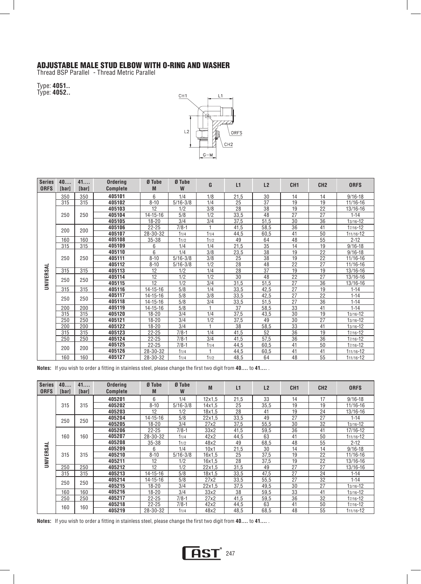#### ADJUSTABLE MALE STUD ELBOW WITH O-RING AND WASHER

Thread BSP Parallel - Thread Metric Parallel

Type: **4051..**  Type: **4052..** 



| <b>Series</b><br><b>ORFS</b> | 40<br><b>[bar]</b>                     | 41<br>[bar] | Ordering<br><b>Complete</b> | Ø Tube<br>M    | Ø Tube<br>W  | G    | L1   | L2              | CH <sub>1</sub> | CH <sub>2</sub> | <b>ORFS</b>  |
|------------------------------|----------------------------------------|-------------|-----------------------------|----------------|--------------|------|------|-----------------|-----------------|-----------------|--------------|
|                              | 350                                    | 350         | 405101                      | 6              | 1/4          | 1/8  | 21,5 | 30              | 14              | 14              | $9/16 - 18$  |
|                              | 315                                    | 315         | 405102                      | $8 - 10$       | $5/16 - 3/8$ | 1/4  | 25   | 37              | 19              | 19              | 11/16-16     |
|                              |                                        |             | 405103                      | 12             | 1/2          | 3/8  | 28   | 38              | 19              | 22              | 13/16-16     |
|                              | 250                                    | 250         | 405104                      | 14-15-16       | 5/8          | 1/2  | 33,5 | 48              | 27              | 27              | $1 - 14$     |
|                              |                                        |             | 405105                      | 18-20          | 3/4          | 3/4  | 37,5 | 51.5            | 30              | 36              | $13/16 - 12$ |
|                              | 200                                    | 200         | 405106                      | $22 - 25$      | $7/8 - 1$    |      | 41,5 | 58,5            | 36              | 41              | $17/16 - 12$ |
|                              |                                        |             | 405107                      | 28-30-32       | 11/4         | 11/4 | 44,5 | 60,5            | 41              | 50              | 111/16-12    |
|                              | 160                                    | 160         | 405108                      | $35 - 38$      | 11/2         | 11/2 | 49   | 64              | 48              | 55              | $2 - 12$     |
|                              | 315                                    | 315         | 405109                      | 6              | 1/4          | 1/4  | 21,5 | 35              | 14              | 19              | $9/16 - 18$  |
|                              |                                        |             | 405110                      | 6              | 1/4          | 3/8  | 23,5 | 38              | 19              | 22              | $9/16 - 18$  |
| UNIVERSAL                    | 250<br>250<br>315<br>315<br>250<br>250 |             | 405111                      | $8 - 10$       | $5/16 - 3/8$ | 3/8  | 25   | 38              | 19              | 22              | 11/16-16     |
|                              |                                        |             | 405112                      | $8 - 10$       | $5/16 - 3/8$ | 1/2  | 28   | 48              | 22              | 27              | $11/16 - 16$ |
|                              |                                        |             | 405113                      | 12             | 1/2          | 1/4  | 28   | $\overline{37}$ | 19              | 19              | 13/16-16     |
|                              |                                        |             | 405114                      | 12             | 1/2          | 1/2  | 30   | 48              | 22              | 27              | 13/16-16     |
|                              |                                        |             | 405115                      | 12             | 1/2          | 3/4  | 31,5 | 51,5            | 27              | $\overline{36}$ | 13/16-16     |
|                              | 315                                    | 315         | 405116                      | $14 - 15 - 16$ | 5/8          | 1/4  | 33,5 | 42,5            | 27              | 19              | $1 - 14$     |
|                              | 250                                    | 250         | 405117                      | $14 - 15 - 16$ | 5/8          | 3/8  | 33,5 | 42,5            | 27              | 22              | $1 - 14$     |
|                              |                                        |             | 405118                      | 14-15-16       | 5/8          | 3/4  | 33,5 | 51,5            | 27              | $\overline{36}$ | $1 - 14$     |
|                              | 200                                    | 200         | 405119                      | $14 - 15 - 16$ | 5/8          |      | 37   | 58,5            | 33              | 41              | $1 - 14$     |
|                              | 315                                    | 315         | 405120                      | 18-20          | 3/4          | 1/4  | 37,5 | 43,5            | 30              | 19              | $13/16 - 12$ |
|                              | 250                                    | 250         | 405121                      | 18-20          | 3/4          | 1/2  | 37,5 | 49              | 30              | 27              | $13/16 - 12$ |
|                              | 200                                    | 200         | 405122                      | 18-20          | 3/4          |      | 38   | 58,5            | $\overline{33}$ | 41              | $13/16 - 12$ |
|                              | 315                                    | 315         | 405123                      | $22 - 25$      | $7/8 - 1$    | 1/4  | 41,5 | 52              | 36              | 19              | $17/16 - 12$ |
|                              | 250                                    | 250         | 405124                      | $22 - 25$      | $7/8 - 1$    | 3/4  | 41,5 | 57,5            | 36              | 36              | $17/16 - 12$ |
|                              | 200                                    | 200         | 405125                      | $22 - 25$      | $7/8 - 1$    | 11/4 | 44,5 | 60,5            | 41              | 50              | $17/16 - 12$ |
|                              |                                        |             | 405126                      | 28-30-32       | 11/4         |      | 44,5 | 60,5            | 41              | 41              | 111/16-12    |
|                              | 160                                    | 160         | 405127                      | 28-30-32       | 11/4         | 11/2 | 48,5 | 64              | 48              | 55              | 111/16-12    |

**Notes:** If you wish to order a fitting in stainless steel, please change the first two digit from **40....** to **41....** .

| <b>Series</b><br><b>ORFS</b> | 40<br>[bar] | 41<br>[bar] | <b>Ordering</b><br><b>Complete</b> | Ø Tube<br>M    | Ø Tube<br>W  | M      | L1   | L2   | CH <sub>1</sub> | CH <sub>2</sub> | <b>ORFS</b>  |
|------------------------------|-------------|-------------|------------------------------------|----------------|--------------|--------|------|------|-----------------|-----------------|--------------|
|                              |             |             | 405201                             | 6              | 1/4          | 12x1.5 | 21.5 | 33   | 14              | 17              | $9/16 - 18$  |
|                              | 315         | 315         | 405202                             | $8 - 10$       | $5/16 - 3/8$ | 14x1.5 | 25   | 35.5 | 19              | 19              | $11/16 - 16$ |
|                              |             |             | 405203                             | 12             | 1/2          | 18x1.5 | 28   | 41   | 19              | 24              | 13/16-16     |
|                              | 250         | 250         | 405204                             | $14 - 15 - 16$ | 5/8          | 22x1.5 | 33,5 | 49   | 27              | 27              | $1 - 14$     |
|                              |             |             | 405205                             | 18-20          | 3/4          | 27x2   | 37,5 | 55,5 | 30              | 32              | 13/16-12     |
|                              |             |             | 405206                             | $22 - 25$      | $7/8 - 1$    | 33x2   | 41,5 | 59,5 | 36              | 41              | 17/16-12     |
|                              | 160         | 160         | 405207                             | 28-30-32       | 11/4         | 42x2   | 44,5 | 63   | 41              | 50              | 111/16-12    |
|                              |             |             | 405208                             | $35 - 38$      | 11/2         | 48x2   | 49   | 68.5 | 48              | 55              | $2 - 12$     |
| UNIVERSAL                    | 315         |             | 405209                             | 6              | 1/4          | 10x1   | 21.5 | 30   | 14              | 14              | $9/16 - 18$  |
|                              |             | 315         | 405210                             | $8 - 10$       | $5/16 - 3/8$ | 16x1.5 | 25   | 37.5 | 19<br>22        | 11/16-16        |              |
|                              |             |             | 405211                             | 12             | 1/2          | 16x1.5 | 28   | 37.5 | 19              | 22              | 13/16-16     |
|                              | 250         | 250         | 405212                             | 12             | 1/2          | 22x1.5 | 31,5 | 49   | 27              | 27              | 13/16-16     |
|                              | 315         | 315         | 405213                             | $14 - 15 - 16$ | 5/8          | 18x1.5 | 33,5 | 47,5 | 27              | 24              | $1 - 14$     |
|                              | 250         | 250         | 405214                             | $14 - 15 - 16$ | 5/8          | 27x2   | 33,5 | 55,5 | 27              | 32              | $1 - 14$     |
|                              |             |             | 405215                             | 18-20          | 3/4          | 22x1.5 | 37,5 | 49,5 | 30              | 27              | $13/16 - 12$ |
|                              | 160         | 160         | 405216                             | 18-20          | 3/4          | 33x2   | 38   | 59.5 | 33              | 41              | 13/16-12     |
|                              | 250         | 250         | 405217                             | $22 - 25$      | $7/8-1$      | 27x2   | 41.5 | 59.5 | 36              | 32              | 17/16-12     |
|                              | 160         | 160         | 405218                             | $22 - 25$      | $7/8 - 1$    | 42x2   | 44,5 | 63   | 41              | 50              | 17/16-12     |
|                              |             |             | 405219                             | 28-30-32       | 11/4         | 48x2   | 48,5 | 68,5 | 48              | 55              | 111/16-12    |

**Notes:** If you wish to order a fitting in stainless steel, please change the first two digit from **40....** to **41....** .

# **AST** 247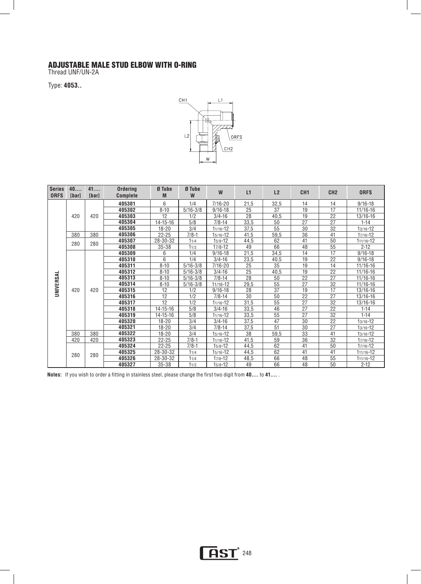#### ADJUSTABLE MALE STUD ELBOW WITH O-RING

Thread UNF/UN-2A

Type: **4053..** 



| <b>Series</b><br><b>ORFS</b> | 40<br>[bar] | 41<br>[bar] | <b>Ordering</b><br><b>Complete</b> | Ø Tube<br>M    | Ø Tube<br>W  | W            | L1              | L2                | CH <sub>1</sub>                                                               | CH <sub>2</sub> | <b>ORFS</b>   |    |    |          |
|------------------------------|-------------|-------------|------------------------------------|----------------|--------------|--------------|-----------------|-------------------|-------------------------------------------------------------------------------|-----------------|---------------|----|----|----------|
|                              |             |             | 405301                             | 6              | 1/4          | $7/16 - 20$  | 21,5            | 32,5              | 14                                                                            | 14              | $9/16 - 18$   |    |    |          |
|                              |             |             | 405302                             | $8 - 10$       | $5/16 - 3/8$ | $9/16 - 18$  | 25              | 37                | 19                                                                            | 17              | 11/16-16      |    |    |          |
|                              | 420         | 420         | 405303                             | 12             | 1/2          | $3/4 - 16$   | 28              | 40,5              | 19                                                                            | 22              | 13/16-16      |    |    |          |
|                              |             |             | 405304                             | $14 - 15 - 16$ | 5/8          | $7/8 - 14$   | 33,5            | 50                | 27                                                                            | 27              | $1 - 14$      |    |    |          |
|                              |             |             | 405305                             | $18 - 20$      | 3/4          | $11/16 - 12$ | 37,5            | 55                | 30                                                                            | 32              | $13/16 - 12$  |    |    |          |
|                              | 380         | 380         | 405306                             | $22 - 25$      | $7/8-1$      | $15/16 - 12$ | 41,5            | 59,5              | $\overline{36}$                                                               | 41              | 17/16-12      |    |    |          |
|                              |             |             | 405307                             | 28-30-32       | 11/4         | $15/8 - 12$  | 44,5            | 62                | 41                                                                            | 50              | 111/16-12     |    |    |          |
|                              | 280         | 280         | 405308                             | $35 - 38$      | 11/2         | $17/8 - 12$  | 49              | 66                | 48                                                                            | 55              | $2 - 12$      |    |    |          |
|                              |             |             | 405309                             | 6              | 1/4          | $9/16 - 18$  | 21,5            | 34,5              | 14                                                                            | $\overline{17}$ | $9/16 - 18$   |    |    |          |
|                              |             |             | 405310                             | 6              | 1/4          | $3/4 - 16$   | 23,5            | 40,5              | 19                                                                            | $\overline{22}$ | $9/16 - 18$   |    |    |          |
|                              |             |             | 405311                             | $8 - 10$       | $5/16 - 3/8$ | 7/16-20      | 25              | 35                | 19                                                                            | 14              | 11/16-16      |    |    |          |
|                              |             |             | 405312                             | $8 - 10$       | $5/16 - 3/8$ | $3/4 - 16$   | $\overline{25}$ | 40,5              | 19                                                                            | $\overline{22}$ | 11/16-16      |    |    |          |
|                              |             |             | 405313                             | $8 - 10$       | $5/16 - 3/8$ | $7/8 - 14$   | 28              | 50                |                                                                               | 27              | 11/16-16      |    |    |          |
| UNIVERSAL                    |             |             | 405314                             | $8 - 10$       | $5/16 - 3/8$ | 11/16-12     | 29,5            | $\overline{55}$   |                                                                               |                 | 11/16-16      |    |    |          |
|                              | 420         | 420         | 405315                             | 12             | 1/2          | $9/16 - 18$  | 28              | 37                | $\overline{22}$<br>27<br>$\overline{32}$<br>17<br>19<br>$\overline{22}$<br>27 | 13/16-16        |               |    |    |          |
|                              |             |             | 405316                             | 12             | 1/2          | $7/8 - 14$   | 30              | 50                |                                                                               |                 | 13/16-16      |    |    |          |
|                              |             |             | 405317                             | 12             | 1/2          | 11/16-12     | 31,5            | 55                | 27                                                                            | 32              | 13/16-16      |    |    |          |
|                              |             |             | 405318                             | $14 - 15 - 16$ | 5/8          | $3/4 - 16$   | 33,5            | 46                | 27                                                                            | 22              | $1 - 14$      |    |    |          |
|                              |             |             |                                    |                |              | 405319       | $14 - 15 - 16$  | 5/8               | 11/16-12                                                                      | 33,5            | 55            | 27 | 32 | $1 - 14$ |
|                              |             |             |                                    |                |              |              | 405320          | $18 - 20$         | 3/4                                                                           | $3/4 - 16$      | 37,5          | 47 | 30 | 22       |
|                              |             |             | 405321                             | $18 - 20$      | 3/4          | $7/8 - 14$   | 37,5            | 51                | 30                                                                            | 27              | $13/16 - 12$  |    |    |          |
|                              | 380         | 380         | 405322                             | $18 - 20$      | 3/4          | $15/16 - 12$ | 38              | $\overline{59,5}$ | 33                                                                            | 41              | $13/16 - 12$  |    |    |          |
|                              | 420         | 420         | 405323                             | $22 - 25$      | $7/8 - 1$    | $11/16 - 12$ | 41,5            | 59                | 36                                                                            | 32              | 17/16-12      |    |    |          |
|                              |             |             | 405324                             | $22 - 25$      | $7/8 - 1$    | $15/8 - 12$  | 44,5            | 62                | 41                                                                            | 50              | 17/16-12      |    |    |          |
|                              | 280         | 280         | 405325                             | 28-30-32       | 11/4         | $15/16 - 12$ | 44,5            | 62                | 41                                                                            | 41              | 111/16-12     |    |    |          |
|                              |             |             | 405326                             | 28-30-32       | 11/4         | $17/8 - 12$  | 48,5            | 66                | 48                                                                            | 55              | $111/16 - 12$ |    |    |          |
|                              |             |             | 405327                             | $35 - 38$      | 11/2         | $15/8 - 12$  | 49              | 66                | 48                                                                            | 50              | $2 - 12$      |    |    |          |

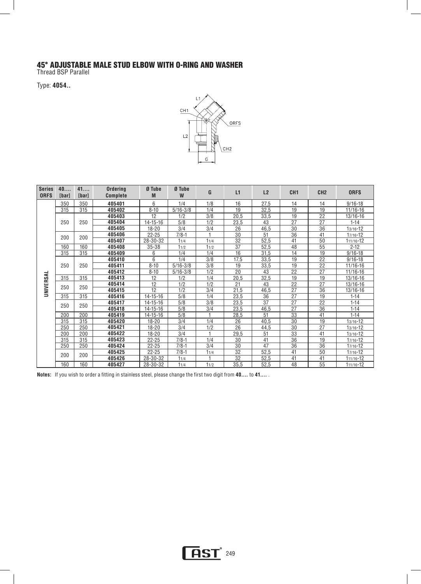#### 45° ADJUSTABLE MALE STUD ELBOW WITH O-RING AND WASHER

Thread BSP Parallel

Type: **4054..** 



| <b>Series</b><br><b>ORFS</b> | 40<br><b>[bar]</b> | 41<br>[bar] | Ordering<br><b>Complete</b> | Ø Tube<br>M    | Ø Tube<br>W            | G    | L1   | L2   | CH <sub>1</sub> | CH <sub>2</sub> | <b>ORFS</b>   |
|------------------------------|--------------------|-------------|-----------------------------|----------------|------------------------|------|------|------|-----------------|-----------------|---------------|
|                              | 350                | 350         | 405401                      | 6              | 1/4                    | 1/8  | 16   | 27,5 | 14              | 14              | $9/16 - 18$   |
|                              | 315                | 315         | 405402                      | $8 - 10$       | $\frac{1}{5/16 - 3/8}$ | 1/4  | 19   | 32,5 | 19              | 19              | 11/16-16      |
|                              |                    |             | 405403                      | 12             | 1/2                    | 3/8  | 20,5 | 33,5 | 19              | $\overline{22}$ | 13/16-16      |
|                              | 250                | 250         | 405404                      | $14 - 15 - 16$ | 5/8                    | 1/2  | 23,5 | 43   | 27              | 27              | $1 - 14$      |
|                              |                    |             | 405405                      | $18 - 20$      | 3/4                    | 3/4  | 26   | 46,5 | 30              | 36              | $13/16 - 12$  |
|                              | 200                | 200         | 405406                      | $22 - 25$      | $7/8-1$                | 1    | 30   | 51   | 36              | 41              | $17/16 - 12$  |
|                              |                    |             | 405407                      | 28-30-32       | 11/4                   | 11/4 | 32   | 52,5 | 41              | 50              | 111/16-12     |
|                              | 160                | 160         | 405408                      | $35 - 38$      | 11/2                   | 11/2 | 37   | 52,5 | 48              | 55              | $2 - 12$      |
|                              | 315                | 315         | 405409                      | 6              | 1/4                    | 1/4  | 16   | 31,5 | 14              | 19              | $9/16 - 18$   |
|                              |                    |             | 405410                      | 6              | 1/4                    | 3/8  | 17,5 | 33,5 | 19              | 22              | $9/16 - 18$   |
| UNIVERSAL                    | 250<br>315<br>250  | 250         | 405411                      | $8 - 10$       | $\frac{1}{5/16 - 3/8}$ | 3/8  | 19   | 33,5 | 19              | 22              | 11/16-16      |
|                              |                    |             | 405412                      | $8 - 10$       | $5/16 - 3/8$           | 1/2  | 20   | 43   | 22              | 27              | 11/16-16      |
|                              |                    | 315         | 405413                      | 12             | 1/2                    | 1/4  | 20,5 | 32,5 | 19              | 19              | 13/16-16      |
|                              |                    | 250         | 405414                      | 12             | 1/2                    | 1/2  | 21   | 43   | $\overline{22}$ | $\overline{27}$ | 13/16-16      |
|                              |                    |             | 405415                      | 12             | 1/2                    | 3/4  | 21,5 | 46,5 | 27              | 36              | $13/16 - 16$  |
|                              | 315                | 315         | 405416                      | 14-15-16       | 5/8                    | 1/4  | 23,5 | 36   | $\overline{27}$ | 19              | $1 - 14$      |
|                              | 250                | 250         | 405417                      | $14 - 15 - 16$ | 5/8                    | 3/8  | 23,5 | 37   | 27              | 22              | $1 - 14$      |
|                              |                    |             | 405418                      | $14 - 15 - 16$ | 5/8                    | 3/4  | 23,5 | 46,5 | 27              | 36              | $1 - 14$      |
|                              | 200                | 200         | 405419                      | $14 - 15 - 16$ | 5/8                    |      | 28,5 | 51   | 33              | 41              | $1 - 14$      |
|                              | 315                | 315         | 405420                      | $18 - 20$      | 3/4                    | 1/4  | 26   | 40,5 | 30              | 19              | $13/16 - 12$  |
|                              | 250                | 250         | 405421                      | $18 - 20$      | 3/4                    | 1/2  | 26   | 44,5 | 30              | 27              | $13/16 - 12$  |
|                              | 200                | 200         | 405422                      | $18 - 20$      | 3/4                    |      | 29,5 | 51   | 33              | 41              | $13/16 - 12$  |
|                              | 315                | 315         | 405423                      | $22 - 25$      | $7/8 - 1$              | 1/4  | 30   | 41   | 36              | 19              | $17/16 - 12$  |
|                              | 250                | 250         | 405424                      | $22 - 25$      | $7/8-1$                | 3/4  | 30   | 47   | 36              | 36              | $17/16 - 12$  |
|                              | 200                | 200         | 405425                      | $22 - 25$      | $7/8 - 1$              | 11/4 | 32   | 52,5 | 41              | 50              | $17/16 - 12$  |
|                              |                    |             | 405426                      | 28-30-32       | 11/4                   |      | 32   | 52,5 | 41              | 41              | $111/16 - 12$ |
|                              | 160                | 160         | 405427                      | 28-30-32       | 11/4                   | 11/2 | 35,5 | 52,5 | 48              | 55              | 111/16-12     |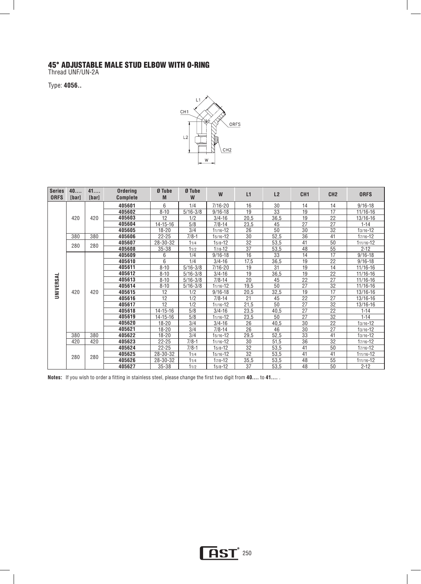#### 45° ADJUSTABLE MALE STUD ELBOW WITH O-RING

Thread UNF/UN-2A

Type: **4056..** 



| <b>Series</b><br><b>ORFS</b> | 40<br><b>[bar]</b> | 41<br>[bar] | <b>Ordering</b><br><b>Complete</b> | Ø Tube<br>M    | Ø Tube<br>W  | W              | L1   | L2         | CH <sub>1</sub>                                                                      | CH <sub>2</sub> | <b>ORFS</b>   |    |              |
|------------------------------|--------------------|-------------|------------------------------------|----------------|--------------|----------------|------|------------|--------------------------------------------------------------------------------------|-----------------|---------------|----|--------------|
|                              |                    |             | 405601                             | 6              | 1/4          | $7/16 - 20$    | 16   | 30         | 14                                                                                   | 14              | $9/16 - 18$   |    |              |
|                              |                    |             | 405602                             | $8 - 10$       | $5/16 - 3/8$ | $9/16 - 18$    | 19   | 33         | 19                                                                                   | 17              | 11/16-16      |    |              |
|                              | 420                | 420         | 405603                             | 12             | 1/2          | $3/4 - 16$     | 20,5 | 36,5       | 19                                                                                   | 22              | 13/16-16      |    |              |
|                              |                    |             | 405604                             | $14 - 15 - 16$ | 5/8          | $7/8 - 14$     | 23,5 | 45         | 27                                                                                   | 27              | $1 - 14$      |    |              |
|                              |                    |             | 405605                             | $18 - 20$      | 3/4          | $11/16 - 12$   | 26   | 50         | 30                                                                                   | 32              | $13/16 - 12$  |    |              |
|                              | 380                | 380         | 405606                             | $22 - 25$      | $7/8 - 1$    | $15/16 - 12$   | 30   | 52,5       | 36                                                                                   | 41              | 17/16-12      |    |              |
|                              | 280                | 280         | 405607                             | 28-30-32       | 11/4         | $15/8 - 12$    | 32   | 53,5       | 41                                                                                   | 50              | 111/16-12     |    |              |
|                              |                    |             | 405608                             | $35 - 38$      | 11/2         | $17/8 - 12$    | 37   | 53,5       | 48                                                                                   | 55              | $2 - 12$      |    |              |
|                              |                    |             | 405609                             | 6              | 1/4          | $9/16 - 18$    | 16   | 33         | 14                                                                                   | 17              | $9/16 - 18$   |    |              |
|                              |                    |             | 405610                             | 6              | 1/4          | $3/4 - 16$     | 17,5 | 36,5       | 19                                                                                   | 22              | $9/16 - 18$   |    |              |
|                              |                    |             | 405611                             | $8 - 10$       | $5/16 - 3/8$ | 7/16-20        | 19   | 31         | 19                                                                                   | 14              | 11/16-16      |    |              |
|                              |                    |             | 405612                             | $8 - 10$       | $5/16 - 3/8$ | $3/4 - 16$     | 19   | 36,5       | 19                                                                                   | 22              | 11/16-16      |    |              |
|                              |                    |             | 405613                             | $8 - 10$       | $5/16 - 3/8$ | $7/8 - 14$     | 20   | 45         | 22                                                                                   | 27              | 11/16-16      |    |              |
| UNIVERSAL                    |                    |             | 405614                             | $8 - 10$       | $5/16 - 3/8$ | $11/16 - 12$   | 19,5 | 50         |                                                                                      |                 | 11/16-16      |    |              |
|                              | 420                | 420         | 405615                             | 12             | 1/2          | $9/16 - 18$    | 20,5 | 32,5       | $\overline{27}$<br>$\overline{32}$<br>19<br>17<br>$\overline{22}$<br>$\overline{27}$ | 13/16-16        |               |    |              |
|                              |                    |             | 405616                             | 12             | 1/2          | $7/8 - 14$     | 21   | 45         |                                                                                      | 13/16-16        |               |    |              |
|                              |                    |             | 405617                             | 12             | 1/2          | $11/16 - 12$   | 21,5 | 50         | $\overline{27}$                                                                      | 32              | 13/16-16      |    |              |
|                              |                    |             | 405618                             | $14 - 15 - 16$ | 5/8          | $3/4 - 16$     | 23,5 | 40,5       | $\overline{27}$                                                                      | 22              | $1 - 14$      |    |              |
|                              |                    |             |                                    |                | 405619       | $14 - 15 - 16$ | 5/8  | 11/16-12   | 23,5                                                                                 | 50              | 27            | 32 | $1 - 14$     |
|                              |                    |             |                                    |                | 405620       | $18 - 20$      | 3/4  | $3/4 - 16$ | 26                                                                                   | 40,5            | 30            | 22 | $13/16 - 12$ |
|                              |                    |             | 405621                             | $18 - 20$      | 3/4          | $7/8 - 14$     | 26   | 46         | 30                                                                                   | 27              | $13/16 - 12$  |    |              |
|                              | 380                | 380         | 405622                             | $18 - 20$      | 3/4          | $15/16 - 12$   | 29,5 | 52,5       | $\overline{33}$                                                                      | 41              | $13/16 - 12$  |    |              |
|                              | 420                | 420         | 405623                             | $22 - 25$      | $7/8 - 1$    | $11/16 - 12$   | 30   | 51,5       | 36                                                                                   | $\overline{32}$ | 17/16-12      |    |              |
|                              |                    |             | 405624                             | $22 - 25$      | $7/8 - 1$    | $15/8 - 12$    | 32   | 53,5       | 41                                                                                   | 50              | 17/16-12      |    |              |
|                              | 280                | 280         | 405625                             | 28-30-32       | 11/4         | $15/16 - 12$   | 32   | 53,5       | 41                                                                                   | 41              | 111/16-12     |    |              |
|                              |                    |             | 405626                             | 28-30-32       | 11/4         | $17/8 - 12$    | 35,5 | 53,5       | 48                                                                                   | 55              | $111/16 - 12$ |    |              |
|                              |                    |             | 405627                             | $35 - 38$      | 11/2         | $15/8 - 12$    | 37   | 53,5       | 48                                                                                   | 50              | $2 - 12$      |    |              |

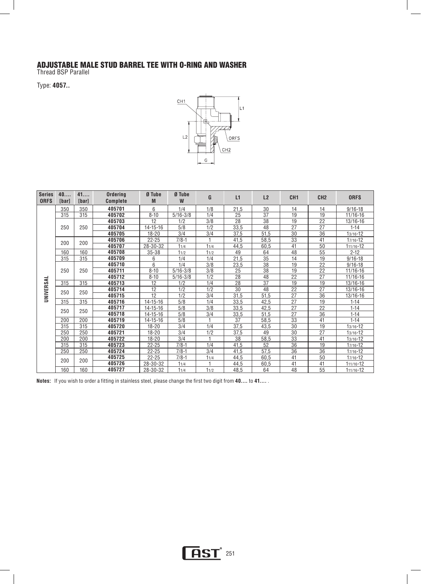#### ADJUSTABLE MALE STUD BARREL TEE WITH O-RING AND WASHER

Thread BSP Parallel

Type: **4057..** 



| <b>Series</b><br><b>ORFS</b> | 40<br>[bar]       | 41<br>[bar] | Ordering<br>Complete | Ø Tube<br>M    | Ø Tube<br>W                     | G    | L1   | L2              | CH <sub>1</sub> | CH <sub>2</sub> | <b>ORFS</b>   |
|------------------------------|-------------------|-------------|----------------------|----------------|---------------------------------|------|------|-----------------|-----------------|-----------------|---------------|
|                              | 350               | 350         | 405701               | 6              | 1/4                             | 1/8  | 21,5 | 30              | 14              | 14              | $9/16 - 18$   |
|                              | 315               | 315         | 405702               | $8 - 10$       | $\overline{5/16} - \frac{3}{8}$ | 1/4  | 25   | 37              | 19              | 19              | 11/16-16      |
|                              |                   |             | 405703               | 12             | 1/2                             | 3/8  | 28   | 38              | 19              | 22              | 13/16-16      |
|                              | 250               | 250         | 405704               | $14 - 15 - 16$ | 5/8                             | 1/2  | 33,5 | 48              | 27              | 27              | $1 - 14$      |
|                              |                   |             | 405705               | $18 - 20$      | 3/4                             | 3/4  | 37,5 | 51,5            | 30              | 36              | $13/16 - 12$  |
|                              | 200               | 200         | 405706               | $22 - 25$      | $7/8 - 1$                       |      | 41,5 | 58,5            | 33              | 41              | $17/16 - 12$  |
|                              |                   |             | 405707               | 28-30-32       | 11/4                            | 11/4 | 44,5 | 60,5            | 41              | 50              | $111/16 - 12$ |
|                              | 160               | 160         | 405708               | $35 - 38$      | 11/2                            | 11/2 | 49   | 64              | 48              | 55              | $2 - 12$      |
|                              | 315               | 315         | 405709               | 6              | 1/4                             | 1/4  | 21,5 | 35              | 14              | 19              | $9/16 - 18$   |
| UNIVERSAL                    |                   |             | 405710               | 6              | 1/4                             | 3/8  | 23,5 | 38              | 19              | 22              | $9/16 - 18$   |
|                              | 250<br>315<br>250 | 250         | 405711               | $8 - 10$       | $5/16 - 3/8$                    | 3/8  | 25   | 38              | 19              | $\overline{22}$ | 11/16-16      |
|                              |                   |             | 405712               | $8 - 10$       | $5/16 - 3/8$                    | 1/2  | 28   | 48              | 22              | 27              | 11/16-16      |
|                              |                   | 315         | 405713               | 12             | 1/2                             | 1/4  | 28   | $\overline{37}$ | 19              | 19              | 13/16-16      |
|                              |                   | 250         | 405714               | 12             | 1/2                             | 1/2  | 30   | 48              | 22              | $\overline{27}$ | 13/16-16      |
|                              |                   |             | 405715               | 12             | 1/2                             | 3/4  | 31,5 | 51,5            | $\overline{27}$ | $\overline{36}$ | 13/16-16      |
|                              | 315               | 315         | 405716               | 14-15-16       | 5/8                             | 1/4  | 33,5 | 42,5            | 27              | 19              | $1 - 14$      |
|                              | 250               | 250         | 405717               | $14 - 15 - 16$ | 5/8                             | 3/8  | 33,5 | 42,5            | 27              | 22              | $1 - 14$      |
|                              |                   |             | 405718               | $14 - 15 - 16$ | 5/8                             | 3/4  | 33,5 | 51,5            | 27              | 36              | $1 - 14$      |
|                              | 200               | 200         | 405719               | $14 - 15 - 16$ | 5/8                             |      | 37   | 58,5            | 33              | 41              | $1 - 14$      |
|                              | 315               | 315         | 405720               | $18 - 20$      | 3/4                             | 1/4  | 37,5 | 43,5            | 30              | 19              | $13/16 - 12$  |
|                              | 250               | 250         | 405721               | $18 - 20$      | 3/4                             | 1/2  | 37,5 | 49              | 30              | 27              | $13/16 - 12$  |
|                              | 200               | 200         | 405722               | $18 - 20$      | 3/4                             |      | 38   | 58,5            | 33              | 41              | $13/16 - 12$  |
|                              | 315               | 315         | 405723               | $22 - 25$      | $7/8 - 1$                       | 1/4  | 41,5 | 52              | 36              | 19              | $17/16 - 12$  |
|                              | 250               | 250         | 405724               | $22 - 25$      | $7/8 - 1$                       | 3/4  | 41,5 | 57.5            | 36              | 36              | $17/16 - 12$  |
|                              | 200               | 200         | 405725               | $22 - 25$      | $7/8-1$                         | 11/4 | 44,5 | 60,5            | 41              | 50              | $17/16 - 12$  |
|                              |                   |             | 405726               | 28-30-32       | 11/4                            |      | 44,5 | 60,5            | 41              | 41              | $111/16 - 12$ |
|                              | 160               | 160         | 405727               | 28-30-32       | 11/4                            | 11/2 | 48,5 | 64              | 48              | 55              | 111/16-12     |

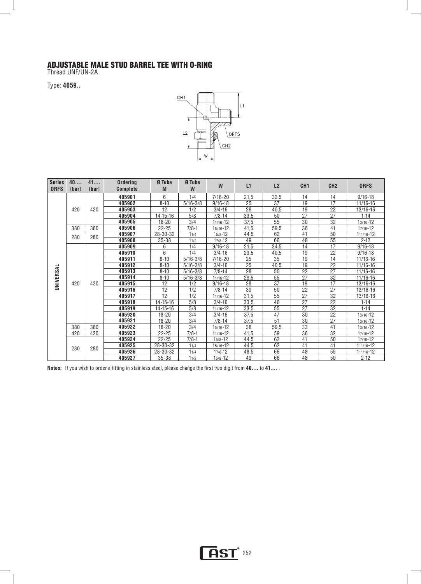#### ADJUSTABLE MALE STUD BARREL TEE WITH O-RING

Thread UNF/UN-2A

Type: **4059..** 



| <b>Series</b><br><b>ORFS</b> | 40<br><b>[bar]</b> | 41<br>[bar] | Ordering<br><b>Complete</b> | Ø Tube<br>M    | Ø Tube<br>W                                                                 | W            | L1              | L2              | CH <sub>1</sub> | CH <sub>2</sub>                                                                                                    | <b>ORFS</b>  |
|------------------------------|--------------------|-------------|-----------------------------|----------------|-----------------------------------------------------------------------------|--------------|-----------------|-----------------|-----------------|--------------------------------------------------------------------------------------------------------------------|--------------|
|                              |                    |             | 405901                      | 6              | 1/4                                                                         | $7/16 - 20$  | 21,5            | 32,5            | 14              | 14                                                                                                                 | $9/16 - 18$  |
|                              |                    |             | 405902                      | $8 - 10$       | $5/16 - 3/8$                                                                | $9/16 - 18$  | 25              | 37              | 19              | 17                                                                                                                 | 11/16-16     |
|                              | 420                | 420         | 405903                      | 12             | 1/2                                                                         | $3/4 - 16$   | 28              | 40,5            | 19              | 22                                                                                                                 | 13/16-16     |
|                              |                    |             | 405904                      | $14 - 15 - 16$ | 5/8                                                                         | $7/8 - 14$   | 33,5            | 50              | 27              | 27                                                                                                                 | $1 - 14$     |
|                              |                    |             | 405905                      | $18 - 20$      | 3/4                                                                         | $11/16 - 12$ | 37,5            | 55              | 30              | 32                                                                                                                 | $13/16 - 12$ |
|                              | 380                | 380         | 405906                      | $22 - 25$      | $7/8 - 1$                                                                   | $15/16 - 12$ | 41,5            | 59,5            | 36              | 41                                                                                                                 | $17/16 - 12$ |
|                              |                    |             | 405907                      | 28-30-32       | 11/4                                                                        | $15/8 - 12$  | 44,5            | 62              | 41              | 50                                                                                                                 | 111/16-12    |
|                              | 280                | 280         | 405908                      | 35-38          | 11/2                                                                        | $17/8 - 12$  | 49              | 66              | 48              | 55                                                                                                                 | $2 - 12$     |
|                              |                    |             | 405909                      | 6              | 1/4                                                                         | $9/16 - 18$  | 21,5            | 34,5            | 14              | $\overline{17}$                                                                                                    | $9/16 - 18$  |
|                              |                    |             | 405910                      | 6              | 1/4                                                                         | $3/4 - 16$   | 23,5            | 40,5            | 19              | 22                                                                                                                 | $9/16 - 18$  |
|                              |                    |             | 405911                      | $8 - 10$       |                                                                             | $7/16 - 20$  | 25              | 35              |                 |                                                                                                                    | 11/16-16     |
|                              |                    |             | 405912                      | $8 - 10$       | $5/16 - 3/8$                                                                | $3/4 - 16$   | 25              | 40.5            | 19              |                                                                                                                    | 11/16-16     |
|                              |                    |             | 405913                      | $8 - 10$       | $\frac{1}{5/16 - 3/8}$<br>$5/16 - 3/8$<br>$7/8 - 14$<br>$5/16 - 3/8$<br>1/2 |              | 28              | 50              | 22              |                                                                                                                    | 11/16-16     |
| UNIVERSAL                    |                    |             | 405914                      | $8 - 10$       |                                                                             | $11/16 - 12$ | 29,5            | 55              | 27              | 32                                                                                                                 | 11/16-16     |
|                              | 420                | 420         | 405915                      | 12             |                                                                             | $9/16 - 18$  | 28              | 37              | 19              | 14<br>$\overline{19}$<br>$\overline{22}$<br>$\overline{27}$<br>17<br>27<br>22<br>27<br>32<br>27<br>$\overline{22}$ | 13/16-16     |
|                              |                    |             | 405916                      | 12             | 1/2                                                                         | $7/8 - 14$   | 30              | 50              |                 | 13/16-16                                                                                                           |              |
|                              |                    |             | 405917                      | 12             | 1/2                                                                         | $11/16 - 12$ | 31,5            | 55              |                 |                                                                                                                    | 13/16-16     |
|                              |                    |             | 405918                      | $14 - 15 - 16$ | 5/8                                                                         | $3/4 - 16$   | 33,5            | $\overline{46}$ |                 |                                                                                                                    | $1 - 14$     |
|                              |                    |             | 405919                      | $14 - 15 - 16$ | 5/8                                                                         | $11/16 - 12$ | 33,5            | 55              | 27              | 32                                                                                                                 | $1 - 14$     |
|                              |                    |             | 405920                      | $18 - 20$      | 3/4                                                                         | $3/4 - 16$   | 37,5            | 47              | 30              | $\overline{22}$                                                                                                    | $13/16 - 12$ |
|                              |                    |             | 405921                      | $18 - 20$      | 3/4                                                                         | $7/8 - 14$   | 37,5            | 51              | 30              | 27                                                                                                                 | $13/16 - 12$ |
|                              | 380                | 380         | 405922                      | $18 - 20$      | 3/4                                                                         | $15/16 - 12$ | $\overline{38}$ | 59,5            | $\overline{33}$ | 41                                                                                                                 | $13/16 - 12$ |
|                              | 420                | 420         | 405923                      | 22-25          | $7/8-1$                                                                     | $11/16 - 12$ | 41,5            | 59              | 36              | 32                                                                                                                 | $17/16 - 12$ |
|                              |                    |             | 405924                      | 22-25          | $7/8 - 1$                                                                   | $15/8 - 12$  | 44,5            | 62              | 41              | 50                                                                                                                 | $17/16 - 12$ |
|                              | 280                | 280         | 405925                      | 28-30-32       | 11/4                                                                        | 15/16-12     | 44,5            | 62              | 41              | 41                                                                                                                 | 111/16-12    |
|                              |                    |             | 405926                      | 28-30-32       | 11/4                                                                        | $17/8 - 12$  | 48,5            | 66              | 48              | 55                                                                                                                 | 111/16-12    |
|                              |                    |             | 405927                      | $35 - 38$      | 11/2                                                                        | $15/8 - 12$  | 49              | 66              | 48              | 50                                                                                                                 | $2 - 12$     |

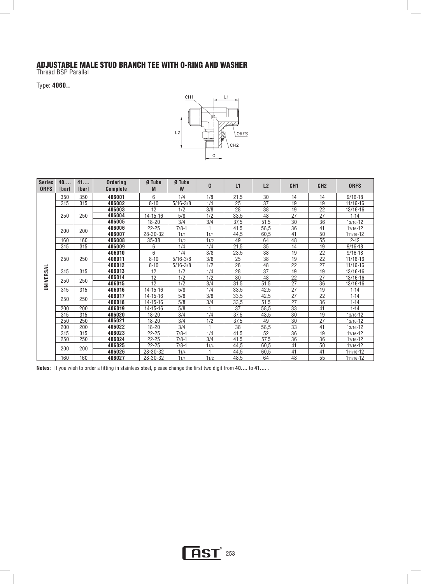#### ADJUSTABLE MALE STUD BRANCH TEE WITH O-RING AND WASHER

Thread BSP Parallel

Type: **4060..** 



| <b>Series</b><br><b>ORFS</b> | 40<br>[bar]                            | 41<br>[bar] | Ordering<br><b>Complete</b> | Ø Tube<br>M                     | Ø Tube<br>W  | G              | L1   | L <sub>2</sub>  | CH <sub>1</sub> | CH <sub>2</sub> | <b>ORFS</b>  |
|------------------------------|----------------------------------------|-------------|-----------------------------|---------------------------------|--------------|----------------|------|-----------------|-----------------|-----------------|--------------|
|                              | 350                                    | 350         | 406001                      | 6                               | 1/4          | 1/8            | 21,5 | 30              | 14              | 14              | $9/16 - 18$  |
|                              | 315                                    | 315         | 406002                      | $8 - 10$                        | $5/16 - 3/8$ | 1/4            | 25   | 37              | 19              | 19              | $11/16 - 16$ |
|                              |                                        |             | 406003                      | 12                              | 1/2          | 3/8            | 28   | 38              | 19              | 22              | $13/16 - 16$ |
|                              | 250                                    | 250         | 406004                      | $14 - 15 - 16$                  | 5/8          | 1/2            | 33,5 | 48              | 27              | 27              | $1 - 14$     |
|                              |                                        |             | 406005                      | 18-20                           | 3/4          | 3/4            | 37,5 | 51,5            | 30              | 36              | $13/16 - 12$ |
|                              | 200                                    | 200         | 406006                      | $22 - 25$                       | $7/8 - 1$    |                | 41,5 | 58,5            | 36              | 41              | $17/16 - 12$ |
|                              |                                        |             | 406007                      | 28-30-32                        | 11/4         | 11/4           | 44,5 | 60,5            | 41              | 50              | 111/16-12    |
|                              | 160                                    | 160         | 406008                      | $35 - 38$                       | 11/2         | 11/2           | 49   | 64              | 48              | 55              | $2 - 12$     |
|                              | 315                                    | 315         | 406009                      | 6                               | 1/4          | 1/4            | 21,5 | 35              | 14              | 19              | $9/16 - 18$  |
|                              |                                        |             | 406010                      | 6                               | 1/4          | 3/8            | 23,5 | 38              | 19              | 22              | $9/16 - 18$  |
|                              | 250<br>250<br>315<br>315<br>250<br>250 | 406011      | $8 - 10$                    | $\overline{5/16} - \frac{3}{8}$ | 3/8          | 25             | 38   | 19              | 22              | 11/16-16        |              |
|                              |                                        |             | 406012                      | $8 - 10$                        | $5/16 - 3/8$ | 1/2            | 28   | 48              | 22              | 27              | 11/16-16     |
|                              |                                        |             | 406013                      | 12                              | 1/2          | 1/4            | 28   | $\overline{37}$ | 19              | 19              | 13/16-16     |
| UNIVERSAL                    |                                        |             | 406014                      | 12                              | 1/2          | 1/2            | 30   | 48              | 22              | 27              | 13/16-16     |
|                              |                                        |             | 406015                      | 12                              | 1/2          | 3/4            | 31,5 | 51,5            | 27              | 36              | 13/16-16     |
|                              | 315                                    | 315         | 406016                      | 14-15-16                        | 5/8          | 1/4            | 33,5 | 42,5            | 27              | 19              | $1 - 14$     |
|                              | 250                                    | 250         | 406017                      | $14 - 15 - 16$                  | 5/8          | 3/8            | 33,5 | 42,5            | 27              | 22              | $1 - 14$     |
|                              |                                        |             | 406018                      | $14 - 15 - 16$                  | 5/8          | 3/4            | 33,5 | 51,5            | 27              | 36              | $1 - 14$     |
|                              | 200                                    | 200         | 406019                      | $14 - 15 - 16$                  | 5/8          |                | 37   | 58,5            | 33              | 41              | $1 - 14$     |
|                              | 315                                    | 315         | 406020                      | $18 - 20$                       | 3/4          | 1/4            | 37,5 | 43,5            | 30              | 19              | $13/16 - 12$ |
|                              | 250                                    | 250         | 406021                      | 18-20                           | 3/4          | 1/2            | 37,5 | 49              | 30              | 27              | $13/16 - 12$ |
|                              | 200                                    | 200         | 406022                      | $18 - 20$                       | 3/4          | $\overline{1}$ | 38   | 58,5            | $\overline{33}$ | 41              | $13/16 - 12$ |
|                              | 315                                    | 315         | 406023                      | 22-25                           | $7/8 - 1$    | 1/4            | 41,5 | 52              | 36              | 19              | 17/16-12     |
|                              | 250                                    | 250         | 406024                      | $22 - 25$                       | $7/8 - 1$    | 3/4            | 41,5 | 57,5            | 36              | 36              | $17/16 - 12$ |
|                              | 200                                    | 200         | 406025                      | $22 - 25$                       | $7/8 - 1$    | 11/4           | 44,5 | 60,5            | 41              | 50              | 17/16-12     |
|                              |                                        |             | 406026                      | 28-30-32                        | 11/4         |                | 44,5 | 60,5            | 41              | 41              | 111/16-12    |
|                              | 160                                    | 160         | 406027                      | 28-30-32                        | 11/4         | 11/2           | 48,5 | 64              | 48              | 55              | 111/16-12    |

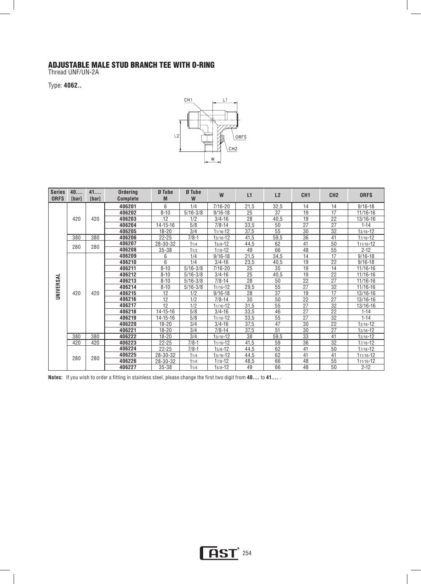#### ADJUSTABLE MALE STUD BRANCH TEE WITH O-RING

Thread UNF/UN-2A

Type: **4062..** 



| <b>Series</b><br><b>ORFS</b> | 40<br><b>[bar]</b> | 41<br>[bar] | Ordering<br><b>Complete</b> | Ø Tube<br>M    | Ø Tube<br>W  | W            | L1         | L2              | CH <sub>1</sub> | CH <sub>2</sub> | <b>ORFS</b>  |              |
|------------------------------|--------------------|-------------|-----------------------------|----------------|--------------|--------------|------------|-----------------|-----------------|-----------------|--------------|--------------|
|                              |                    |             | 406201                      | 6              | 1/4          | $7/16 - 20$  | 21,5       | 32,5            | 14              | 14              | $9/16 - 18$  |              |
|                              |                    |             | 406202                      | $8 - 10$       | $5/16 - 3/8$ | $9/16 - 18$  | 25         | 37              | 19              | $\overline{17}$ | $11/16 - 16$ |              |
|                              | 420                | 420         | 406203                      | 12             | 1/2          | $3/4 - 16$   | 28         | 40,5            | 19              | $\overline{22}$ | $13/16 - 16$ |              |
|                              |                    |             | 406204                      | $14 - 15 - 16$ | 5/8          | $7/8 - 14$   | 33,5       | 50              | 27              | 27              | $1 - 14$     |              |
|                              |                    |             | 406205                      | $18 - 20$      | 3/4          | $11/16 - 12$ | 37.5       | 55              | 30              | 32              | $13/16 - 12$ |              |
|                              | 380                | 380         | 406206                      | $22 - 25$      | $7/8 - 1$    | $15/16 - 12$ | 41,5       | 59,5            | 36              | 41              | $17/16 - 12$ |              |
|                              | 280                | 280         | 406207                      | 28-30-32       | 11/4         | $15/8 - 12$  | 44,5       | 62              | 41              | 50              | 111/16-12    |              |
|                              |                    |             | 406208                      | $35 - 38$      | 11/2         | $17/8 - 12$  | 49         | 66              | 48              | 55              | $2 - 12$     |              |
|                              |                    |             | 406209                      | 6              | 1/4          | $9/16 - 18$  | 21,5       | 34,5            | 14              | 17              | $9/16 - 18$  |              |
|                              |                    |             | 406210                      | 6              | 1/4          | $3/4 - 16$   | 23,5       | 40,5            | 19              | 22              | $9/16 - 18$  |              |
|                              |                    |             | 406211                      | $8 - 10$       | $5/16 - 3/8$ | $7/16 - 20$  | 25         | 35              | $\overline{19}$ |                 | $11/16 - 16$ |              |
|                              |                    |             | 406212                      | $8 - 10$       | $5/16 - 3/8$ | $3/4 - 16$   | 25         | 40,5            | 19              | 14<br>22        | $11/16 - 16$ |              |
|                              |                    |             | 406213                      | $8 - 10$       | $5/16 - 3/8$ | $7/8 - 14$   | 28         | 50              | 22              | 27              | $11/16 - 16$ |              |
| UNIVERSAL                    |                    |             | 406214                      | $8 - 10$       | $5/16 - 3/8$ | $11/16 - 12$ | 29,5       | $\overline{55}$ | 27              | 32              | $11/16 - 16$ |              |
|                              | 420                | 420         | 406215                      | 12             | 1/2          | $9/16 - 18$  | 28         | 37              | 19              | 17              | 13/16-16     |              |
|                              |                    |             | 406216                      | 12             | 1/2          | $7/8 - 14$   | 30         | 50              | 22              | $\overline{27}$ | 13/16-16     |              |
|                              |                    |             | 406217                      | 12             | 1/2          | $11/16 - 12$ | 31,5       | 55              | $\overline{27}$ | $\overline{32}$ | 13/16-16     |              |
|                              |                    |             | 406218                      | 14-15-16       | 5/8          | $3/4 - 16$   | 33,5       | 46              | $\overline{27}$ | $\overline{22}$ | $1 - 14$     |              |
|                              |                    |             | 406219                      | 14-15-16       | 5/8          | $11/16 - 12$ | 33,5       | 55              | 27              | $\overline{32}$ | $1 - 14$     |              |
|                              |                    |             |                             | 406220         | $18 - 20$    | 3/4          | $3/4 - 16$ | 37,5            | 47              | 30              | 22           | $13/16 - 12$ |
|                              |                    |             | 406221                      | $18 - 20$      | 3/4          | $7/8 - 14$   | 37,5       | 51              | 30              | 27              | $13/16 - 12$ |              |
|                              | 380                | 380         | 406222                      | $18 - 20$      | 3/4          | $15/16 - 12$ | 38         | 59,5            | 33              | 41              | $13/16 - 12$ |              |
|                              | 420                | 420         | 406223                      | $22 - 25$      | $7/8-1$      | $11/16 - 12$ | 41,5       | 59              | 36              | 32              | $17/16 - 12$ |              |
|                              |                    |             | 406224                      | $22 - 25$      | $7/8 - 1$    | $15/8 - 12$  | 44,5       | 62              | 41              | 50              | $17/16 - 12$ |              |
|                              | 280                | 280         | 406225                      | 28-30-32       | 11/4         | $15/16 - 12$ | 44,5       | 62              | 41              | 41              | 111/16-12    |              |
|                              |                    |             | 406226                      | 28-30-32       | 11/4         | $17/8 - 12$  | 48,5       | 66              | 48              | 55              | 111/16-12    |              |
|                              |                    |             | 406227                      | $35 - 38$      | 11/4         | $15/8 - 12$  | 49         | 66              | 48              | 50              | $2 - 12$     |              |

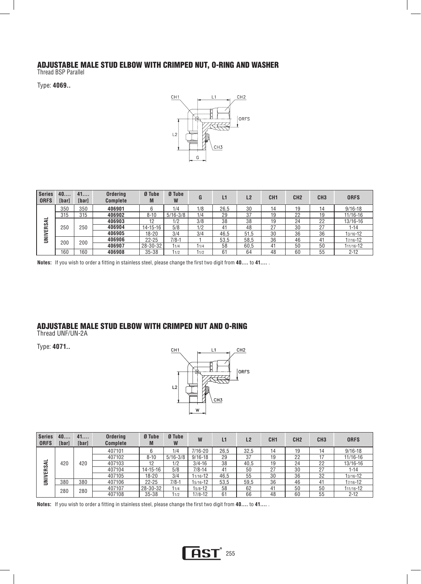#### ADJUSTABLE MALE STUD ELBOW WITH CRIMPED NUT, O-RING AND WASHER

Thread BSP Parallel

Type: **4069..** 



| <b>Series</b><br><b>ORFS</b> | 40<br>[bar] | 41<br>[bar] | Ordering<br><b>Complete</b> | Ø Tube<br>M | Ø Tube<br>W  | G    | L1   | L <sub>2</sub> | CH <sub>1</sub> | CH <sub>2</sub> | CH <sub>3</sub> | <b>ORFS</b> |
|------------------------------|-------------|-------------|-----------------------------|-------------|--------------|------|------|----------------|-----------------|-----------------|-----------------|-------------|
|                              | 350         | 350         | 406901                      |             | 1/4          | 1/8  | 26.5 | 30             | 14              | 19              | 14              | $9/16 - 18$ |
| ⋖<br><b>RS</b><br>ш          | 315         | 315         | 406902                      | $8 - 10$    | $5/16 - 3/8$ | 1/4  | 29   | 37             | 19              | 22              | 19              | 11/16-16    |
|                              | 250         |             | 406903                      | 12          | 1/2          | 3/8  | 38   | 38             | 19              | 24              | 22              | 13/16-16    |
|                              |             | 250         |                             | 406904      | 14-15-16     | 5/8  | 1/2  | 41             | 48              | 27              | 30              | 27          |
| >                            |             |             | 406905                      | $18 - 20$   | 3/4          | 3/4  | 46.5 | 51.5           | 30              | 36              | 36              | 13/16-12    |
| z                            | 200         | 200         | 406906                      | $22 - 25$   | $7/8-1$      |      | 53.5 | 58.5           | 36              | 46              | 41              | 17/16-12    |
|                              |             |             | 406907                      | 28-30-32    | 11/4         | 11/4 | 58   | 60.5           | 41              | 50              | 50              | 111/16-12   |
|                              | 160         | 160         | 406908                      | $35 - 38$   | 11/2         | 11/2 | 61   | 64             | 48              | 60              | 55              | $2 - 12$    |

**Notes:** If you wish to order a fitting in stainless steel, please change the first two digit from **40....** to **41....** .

#### ADJUSTABLE MALE STUD ELBOW WITH CRIMPED NUT AND O-RING

Thread UNF/UN-2A

Type: **4071..** 



| <b>Series</b><br><b>ORFS</b> | 40<br><b>Ibarl</b> | 41<br>[bar] | <b>Ordering</b><br><b>Complete</b> | Ø Tube<br>M    | Ø Tube<br>W  | W           |      | L <sub>2</sub> | CH <sub>1</sub> | CH <sub>2</sub> | CH <sub>3</sub> | <b>ORFS</b>  |
|------------------------------|--------------------|-------------|------------------------------------|----------------|--------------|-------------|------|----------------|-----------------|-----------------|-----------------|--------------|
|                              | 420                |             | 407101                             | 6              | 1/4          | $7/16 - 20$ | 26.5 | 32.5           | 14              | 19              | 14              | $9/16 - 18$  |
|                              |                    |             | 407102                             | $8 - 10$       | $5/16 - 3/8$ | $9/16 - 18$ | 29   | 37             | 19              | 22              |                 | $11/16 - 16$ |
| –<br>⋖                       |                    | 420         | 407103                             | 12             | 1/2          | $3/4 - 16$  | 38   | 40.5           | 19              | 24              | 22              | $13/16 - 16$ |
| <b>UNIVERS</b>               |                    |             | 407104                             | $14 - 15 - 16$ | 5/8          | $7/8 - 14$  | 41   | 50             | 27              | 30              | 27              | $1 - 14$     |
|                              |                    |             | 407105                             | 18-20          | 3/4          | 11/16-12    | 46.5 | 55             | 30              | 36              | 32              | 13/16-12     |
|                              | 380                | 380         | 407106                             | $22 - 25$      | $7/8-$       | 15/16-12    | 53,5 | 59.5           | 36              | 46              | 41              | 17/16-12     |
|                              |                    |             | 407107                             | 28-30-32       | 11/4         | $15/8 - 12$ | 58   | 62             | 41              | 50              | 50              | 111/16-12    |
|                              | 280                | 280         | 407108                             | $35 - 38$      | 1/2          | $17/8 - 12$ | 61   | 66             | 48              | 60              | 55              | $2 - 12$     |

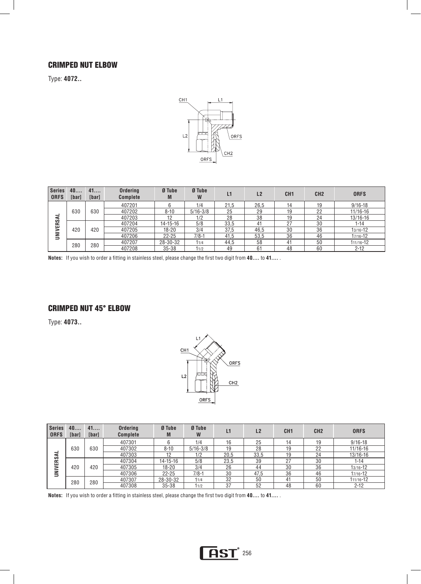#### CRIMPED NUT ELBOW

Type: **4072..** 



| <b>Series</b><br><b>ORFS</b> | 40<br><b>[bar]</b> | 41<br>[bar] | <b>Ordering</b><br><b>Complete</b> | Ø Tube<br>M    | Ø Tube<br>W  | L1   | L2   | CH <sub>1</sub> | CH <sub>2</sub> | <b>ORFS</b>   |
|------------------------------|--------------------|-------------|------------------------------------|----------------|--------------|------|------|-----------------|-----------------|---------------|
|                              | 630                | 630         | 407201                             |                | 1/4          | 21.5 | 26.5 | 14              | 19              | $9/16 - 18$   |
|                              |                    |             | 407202                             | $8 - 10$       | $5/16 - 3/8$ | 25   | 29   | 19              | 22              | $11/16 - 16$  |
|                              |                    |             | 407203                             | 12             | 1/2          | 28   | 38   | 19              | 24              | $13/16 - 16$  |
|                              |                    | 420         | 407204                             | $14 - 15 - 16$ | 5/8          | 33.5 | 41   | 27              | 30              | $1 - 14$      |
|                              | 420                |             | 407205                             | $18 - 20$      | 3/4          | 37,5 | 46.5 | 30              | 36              | 13/16-12      |
| UNIVERSA                     |                    |             | 407206                             | $22 - 25$      | $7/8-1$      | 41,5 | 53,5 | 36              | 46              | 17/16-12      |
|                              | 280                | 280         | 407207                             | 28-30-32       | 11/4         | 44.5 | 58   | 41              | 50              | $111/16 - 12$ |
|                              |                    |             | 407208                             | $35 - 38$      | 11/2         | 49   | 61   | 48              | 60              | $2 - 12$      |

**Notes:** If you wish to order a fitting in stainless steel, please change the first two digit from **40....** to **41....** .

#### CRIMPED NUT 45° ELBOW

Type: **4073..** 



| <b>Series</b><br><b>ORFS</b> | 40<br><b>[bar]</b> | 41<br>[bar] | <b>Ordering</b><br><b>Complete</b> | Ø Tube<br>M    | Ø Tube<br>W  | L1   | L2   | CH <sub>1</sub> | CH <sub>2</sub> | <b>ORFS</b> |
|------------------------------|--------------------|-------------|------------------------------------|----------------|--------------|------|------|-----------------|-----------------|-------------|
|                              | 630                | 630         | 407301                             |                | 1/4          | 16   | 25   | 14              | 19              | $9/16 - 18$ |
|                              |                    |             | 407302                             | $8 - 10$       | $5/16 - 3/8$ | 19   | 28   | 19              | 22              | 11/16-16    |
|                              |                    |             | 407303                             | 12             | 1/2          | 20,5 | 33.5 | 19              | 24              | 13/16-16    |
|                              |                    | 420         | 407304                             | $14 - 15 - 16$ | 5/8          | 23.5 | 39   | 27              | 30              | 1-14        |
|                              | 420                |             | 407305                             | 18-20          | 3/4          | 26   | 44   | 30              | 36              | 13/16-12    |
| <b>UNIVERSA</b>              |                    |             | 407306                             | $22 - 25$      | $7/8-1$      | 30   | 47.5 | 36              | 46              | 17/16-12    |
|                              | 280                | 280         | 407307                             | 28-30-32       | 11/4         | 32   | 50   | 41              | 50              | 111/16-12   |
|                              |                    |             | 407308                             | $35 - 38$      | 11/2         | 37   | 52   | 48              | 60              | $2 - 12$    |

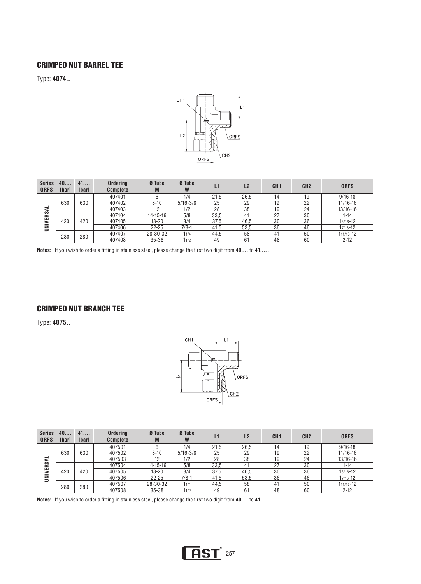### CRIMPED NUT BARREL TEE

Type: **4074..** 



| <b>Series</b><br><b>ORFS</b> | 40<br>[bar] | 41<br>[bar] | <b>Ordering</b><br><b>Complete</b> | Ø Tube<br>M    | Ø Tube<br>W  | L1   | L <sub>2</sub> | CH <sub>1</sub> | CH <sub>2</sub> | <b>ORFS</b>  |
|------------------------------|-------------|-------------|------------------------------------|----------------|--------------|------|----------------|-----------------|-----------------|--------------|
|                              | 630         | 630         | 407401                             |                | 1/4          | 21.5 | 26.5           | 14              | 19              | $9/16 - 18$  |
|                              |             |             | 407402                             | $8 - 10$       | $5/16 - 3/8$ | 25   | 29             | 19              | 22              | $11/16 - 16$ |
| -<br>⋖                       |             |             | 407403                             | 12             | 1/2          | 28   | 38             | 19              | 24              | $13/16 - 16$ |
| ERS.                         | 420         | 420         | 407404                             | $14 - 15 - 16$ | 5/8          | 33,5 | 4 <sup>1</sup> | 27              | 30              | $1 - 14$     |
| $\bar{m}$                    |             |             | 407405                             | $18 - 20$      | 3/4          | 37.5 | 46.5           | 30              | 36              | $13/16 - 12$ |
| ∍                            |             |             | 407406                             | $22 - 25$      | $7/8-1$      | 41,5 | 53,5           | 36              | 46              | 17/16-12     |
|                              | 280         | 280         | 407407                             | 28-30-32       | 11/4         | 44.5 | 58             | 41              | 50              | 111/16-12    |
|                              |             |             | 407408                             | $35 - 38$      | 11/2         | 49   | 61             | 48              | 60              | $2 - 12$     |

**Notes:** If you wish to order a fitting in stainless steel, please change the first two digit from **40....** to **41....** .

#### CRIMPED NUT BRANCH TEE

Type: **4075..** 



| <b>Series</b><br><b>ORFS</b> | 40<br>[bar] | 41<br>[bar] | <b>Ordering</b><br><b>Complete</b> | Ø Tube<br>M    | Ø Tube<br>W  | L1   | L2   | CH <sub>1</sub> | CH <sub>2</sub> | <b>ORFS</b>  |
|------------------------------|-------------|-------------|------------------------------------|----------------|--------------|------|------|-----------------|-----------------|--------------|
|                              | 630         | 630         | 407501                             |                | 1/4          | 21.5 | 26.5 | 14              | 19              | $9/16 - 18$  |
| ₹                            |             |             | 407502                             | $8 - 10$       | $5/16 - 3/8$ | 25   | 29   | 19              | 22              | $11/16 - 16$ |
|                              |             |             | 407503                             | 10             | 1/2          | 28   | 38   | 19              | 24              | 13/16-16     |
| <b>NIVERS</b>                |             | 420         | 407504                             | $14 - 15 - 16$ | 5/8          | 33,5 | 41   | 27              | 30              | 1-14         |
|                              | 420         |             | 407505                             | 18-20          | 3/4          | 37,5 | 46,5 | 30              | 36              | 13/16-12     |
| $\overline{\phantom{0}}$     |             |             | 407506                             | $22 - 25$      | $7/8 - 1$    | 41,5 | 53,5 | 36              | 46              | 17/16-12     |
|                              | 280         | 280         | 407507                             | 28-30-32       | 11/4         | 44,5 | 58   | 41              | 50              | 111/16-12    |
|                              |             |             | 407508                             | $35 - 38$      | 11/2         | 49   | 61   | 48              | 60              | $2 - 12$     |